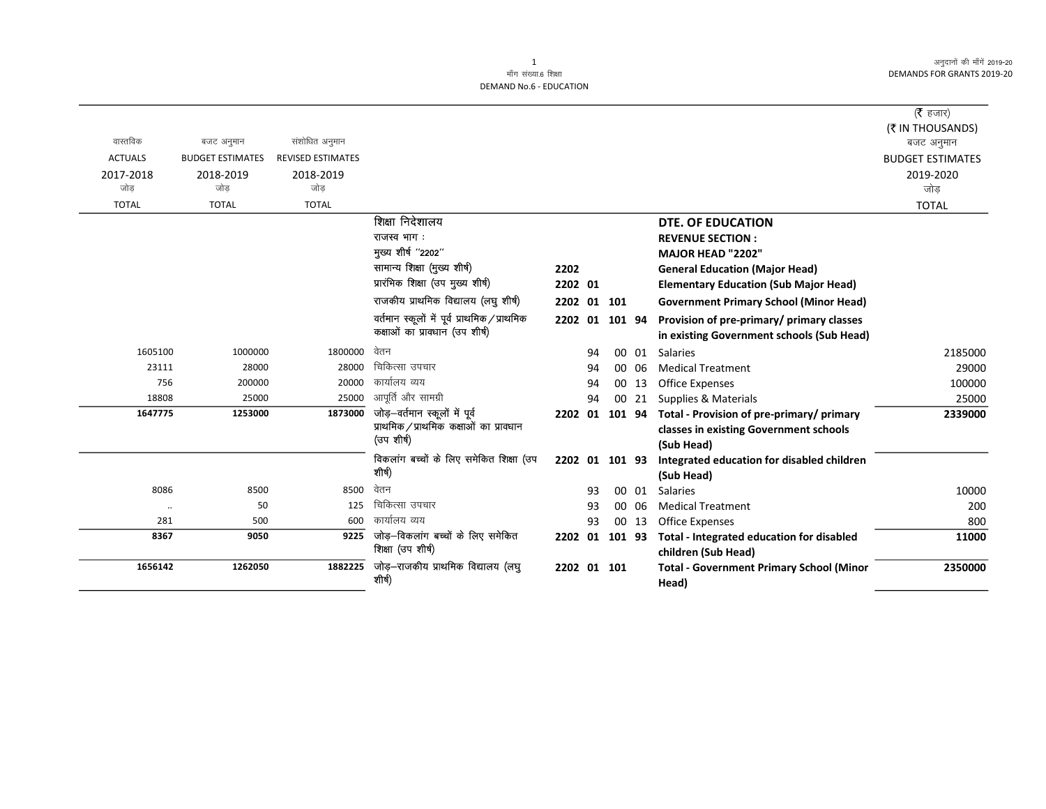|                      |                         |                          |                                               |                |    |    |       |                                                 | ( $\bar{\tau}$ हजार)    |
|----------------------|-------------------------|--------------------------|-----------------------------------------------|----------------|----|----|-------|-------------------------------------------------|-------------------------|
|                      |                         |                          |                                               |                |    |    |       |                                                 | (₹ IN THOUSANDS)        |
| वास्तविक             | बजट अनुमान              | संशोधित अनुमान           |                                               |                |    |    |       |                                                 | बजट अनुमान              |
| <b>ACTUALS</b>       | <b>BUDGET ESTIMATES</b> | <b>REVISED ESTIMATES</b> |                                               |                |    |    |       |                                                 | <b>BUDGET ESTIMATES</b> |
| 2017-2018            | 2018-2019               | 2018-2019                |                                               |                |    |    |       |                                                 | 2019-2020               |
| जोड                  | जोड                     | जोड                      |                                               |                |    |    |       |                                                 | जोड                     |
| <b>TOTAL</b>         | <b>TOTAL</b>            | <b>TOTAL</b>             |                                               |                |    |    |       |                                                 | <b>TOTAL</b>            |
|                      |                         |                          | शिक्षा निदेशालय                               |                |    |    |       | DTE. OF EDUCATION                               |                         |
|                      |                         |                          | राजस्व भाग:                                   |                |    |    |       | <b>REVENUE SECTION:</b>                         |                         |
|                      |                         |                          | मुख्य शीर्ष "2202"                            |                |    |    |       | MAJOR HEAD "2202"                               |                         |
|                      |                         |                          | सामान्य शिक्षा (मुख्य शीर्ष)                  | 2202           |    |    |       | <b>General Education (Major Head)</b>           |                         |
|                      |                         |                          | प्रारंभिक शिक्षा (उप मुख्य शीर्ष)             | 2202 01        |    |    |       | <b>Elementary Education (Sub Major Head)</b>    |                         |
|                      |                         |                          | राजकीय प्राथमिक विद्यालय (लघु शीर्ष)          | 2202 01 101    |    |    |       | <b>Government Primary School (Minor Head)</b>   |                         |
|                      |                         |                          | वर्तमान स्कूलों में पूर्व प्राथमिक / प्राथमिक | 2202 01 101 94 |    |    |       | Provision of pre-primary/ primary classes       |                         |
|                      |                         |                          | कक्षाओं का प्राक्धान (उप शीर्ष)               |                |    |    |       | in existing Government schools (Sub Head)       |                         |
| 1605100              | 1000000                 | 1800000                  | वेतन                                          |                | 94 |    | 00 01 | <b>Salaries</b>                                 | 2185000                 |
| 23111                | 28000                   | 28000                    | चिकित्सा उपचार                                |                | 94 | 00 | 06    | <b>Medical Treatment</b>                        | 29000                   |
| 756                  | 200000                  | 20000                    | कार्यालय व्यय                                 |                | 94 | 00 | 13    | Office Expenses                                 | 100000                  |
| 18808                | 25000                   | 25000                    | आपूर्ति और सामग्री                            |                | 94 |    | 00 21 | Supplies & Materials                            | 25000                   |
| 1647775              | 1253000                 | 1873000                  | जोड़-वर्तमान स्कूलों में पूर्व                | 2202 01 101 94 |    |    |       | Total - Provision of pre-primary/ primary       | 2339000                 |
|                      |                         |                          | प्राथमिक / प्राथमिक कक्षाओं का प्रावधान       |                |    |    |       | classes in existing Government schools          |                         |
|                      |                         |                          | (उप शीर्ष)                                    |                |    |    |       | (Sub Head)                                      |                         |
|                      |                         |                          | विकलांग बच्चों के लिए समेकित शिक्षा (उप       | 2202 01 101 93 |    |    |       | Integrated education for disabled children      |                         |
|                      |                         |                          | शीर्ष)                                        |                |    |    |       | (Sub Head)                                      |                         |
| 8086                 | 8500                    | 8500                     | वेतन                                          |                | 93 |    | 00 01 | Salaries                                        | 10000                   |
| $\ddot{\phantom{0}}$ | 50                      | 125                      | चिकित्सा उपचार                                |                | 93 | 00 | 06    | <b>Medical Treatment</b>                        | 200                     |
| 281                  | 500                     | 600                      | कार्यालय व्यय                                 |                | 93 | 00 | 13    | <b>Office Expenses</b>                          | 800                     |
| 8367                 | 9050                    | 9225                     | जोड़–विकलांग बच्चों के लिए समेकित             | 2202 01 101 93 |    |    |       | Total - Integrated education for disabled       | 11000                   |
|                      |                         |                          | शिक्षा (उप शीर्ष)                             |                |    |    |       | children (Sub Head)                             |                         |
| 1656142              | 1262050                 | 1882225                  | जोड़-राजकीय प्राथमिक विद्यालय (लघु            | 2202 01 101    |    |    |       | <b>Total - Government Primary School (Minor</b> | 2350000                 |
|                      |                         |                          | शीर्ष)                                        |                |    |    |       | Head)                                           |                         |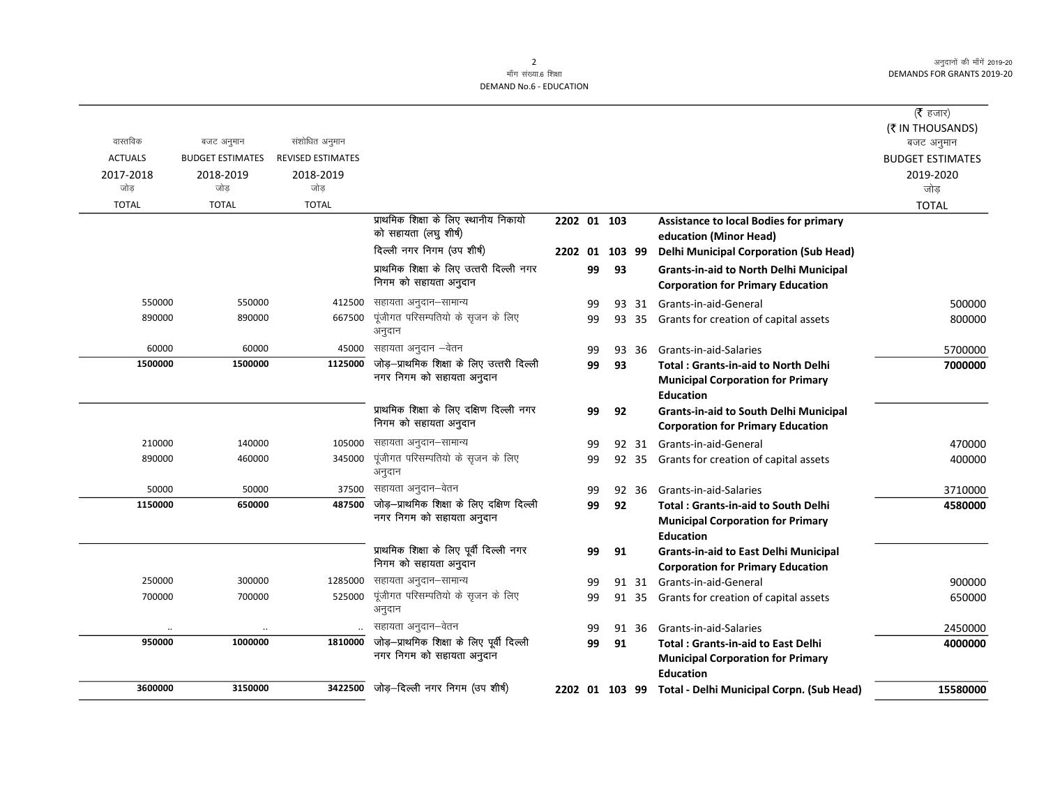$(\bar{\mathfrak{F}}$  हजार) **(₹ IN THOUSANDS)**<br>बजट अनुमान

| वास्तविक         | बजट अनुमान              | संशोधित अनुमान           |                                                                        |             |    |        |       |                                                                                                            | (₹ IN THOUSANDS)<br>बजट अनुमान |
|------------------|-------------------------|--------------------------|------------------------------------------------------------------------|-------------|----|--------|-------|------------------------------------------------------------------------------------------------------------|--------------------------------|
| <b>ACTUALS</b>   | <b>BUDGET ESTIMATES</b> | <b>REVISED ESTIMATES</b> |                                                                        |             |    |        |       |                                                                                                            | <b>BUDGET ESTIMATES</b>        |
| 2017-2018<br>जोड | 2018-2019<br>जोड        | 2018-2019<br>जोड         |                                                                        |             |    |        |       |                                                                                                            | 2019-2020<br>जोड़              |
| <b>TOTAL</b>     | <b>TOTAL</b>            | <b>TOTAL</b>             |                                                                        |             |    |        |       |                                                                                                            | <b>TOTAL</b>                   |
|                  |                         |                          | प्राथमिक शिक्षा के लिए स्थानीय निकायो<br>को सहायता (लघु शीर्ष)         | 2202 01 103 |    |        |       | <b>Assistance to local Bodies for primary</b><br>education (Minor Head)                                    |                                |
|                  |                         |                          | दिल्ली नगर निगम (उप शीर्ष)                                             | 2202 01     |    | 103 99 |       | <b>Delhi Municipal Corporation (Sub Head)</b>                                                              |                                |
|                  |                         |                          | प्राथमिक शिक्षा के लिए उत्तरी दिल्ली नगर<br>निगम को सहायता अनुदान      |             | 99 | 93     |       | <b>Grants-in-aid to North Delhi Municipal</b><br><b>Corporation for Primary Education</b>                  |                                |
| 550000           | 550000                  | 412500                   | सहायता अनुदान–सामान्य                                                  |             | 99 |        |       | 93 31 Grants-in-aid-General                                                                                | 500000                         |
| 890000           | 890000                  | 667500                   | पूंजीगत परिसम्पतियो के सृजन के लिए<br>अनुदान                           |             | 99 |        | 93 35 | Grants for creation of capital assets                                                                      | 800000                         |
| 60000            | 60000                   | 45000                    | सहायता अनुदान –वेतन                                                    |             | 99 |        | 93 36 | Grants-in-aid-Salaries                                                                                     | 5700000                        |
| 1500000          | 1500000                 | 1125000                  | जोड़-प्राथमिक शिक्षा के लिए उत्तरी दिल्ली<br>नगर निगम को सहायता अनुदान |             | 99 | 93     |       | <b>Total: Grants-in-aid to North Delhi</b><br><b>Municipal Corporation for Primary</b><br><b>Education</b> | 7000000                        |
|                  |                         |                          | प्राथमिक शिक्षा के लिए दक्षिण दिल्ली नगर<br>निगम को सहायता अनुदान      |             | 99 | 92     |       | <b>Grants-in-aid to South Delhi Municipal</b><br><b>Corporation for Primary Education</b>                  |                                |
| 210000           | 140000                  | 105000                   | सहायता अनुदान–सामान्य                                                  |             | 99 |        |       | 92 31 Grants-in-aid-General                                                                                | 470000                         |
| 890000           | 460000                  | 345000                   | पूंजीगत परिसम्पतियो के सृजन के लिए<br>अनुदान                           |             | 99 |        | 92 35 | Grants for creation of capital assets                                                                      | 400000                         |
| 50000            | 50000                   | 37500                    | सहायता अनुदान–वेतन                                                     |             | 99 |        | 92 36 | Grants-in-aid-Salaries                                                                                     | 3710000                        |
| 1150000          | 650000                  | 487500                   | जोड़-प्राथमिक शिक्षा के लिए दक्षिण दिल्ली<br>नगर निगम को सहायता अनुदान |             | 99 | 92     |       | <b>Total: Grants-in-aid to South Delhi</b><br><b>Municipal Corporation for Primary</b><br><b>Education</b> | 4580000                        |
|                  |                         |                          | प्राथमिक शिक्षा के लिए पूर्वी दिल्ली नगर<br>निगम को सहायता अनुदान      |             | 99 | 91     |       | <b>Grants-in-aid to East Delhi Municipal</b><br><b>Corporation for Primary Education</b>                   |                                |
| 250000           | 300000                  | 1285000                  | सहायता अनुदान–सामान्य                                                  |             | 99 |        |       | 91 31 Grants-in-aid-General                                                                                | 900000                         |
| 700000           | 700000                  | 525000                   | पूंजीगत परिसम्पतियो के सृजन के लिए<br>अनुदान                           |             | 99 |        |       | 91 35 Grants for creation of capital assets                                                                | 650000                         |
|                  |                         |                          | सहायता अनुदान–वेतन                                                     |             | 99 |        | 91 36 | Grants-in-aid-Salaries                                                                                     | 2450000                        |
| 950000           | 1000000                 | 1810000                  | जोड़-प्राथमिक शिक्षा के लिए पूर्वी दिल्ली                              |             | 99 | 91     |       | <b>Total: Grants-in-aid to East Delhi</b>                                                                  | 4000000                        |
|                  |                         |                          | नगर निगम को सहायता अनुदान                                              |             |    |        |       | <b>Municipal Corporation for Primary</b><br><b>Education</b>                                               |                                |
| 3600000          | 3150000                 | 3422500                  | जोड़-दिल्ली नगर निगम (उप शीर्ष)                                        |             |    |        |       | 2202 01 103 99 Total - Delhi Municipal Corpn. (Sub Head)                                                   | 15580000                       |
|                  |                         |                          |                                                                        |             |    |        |       |                                                                                                            |                                |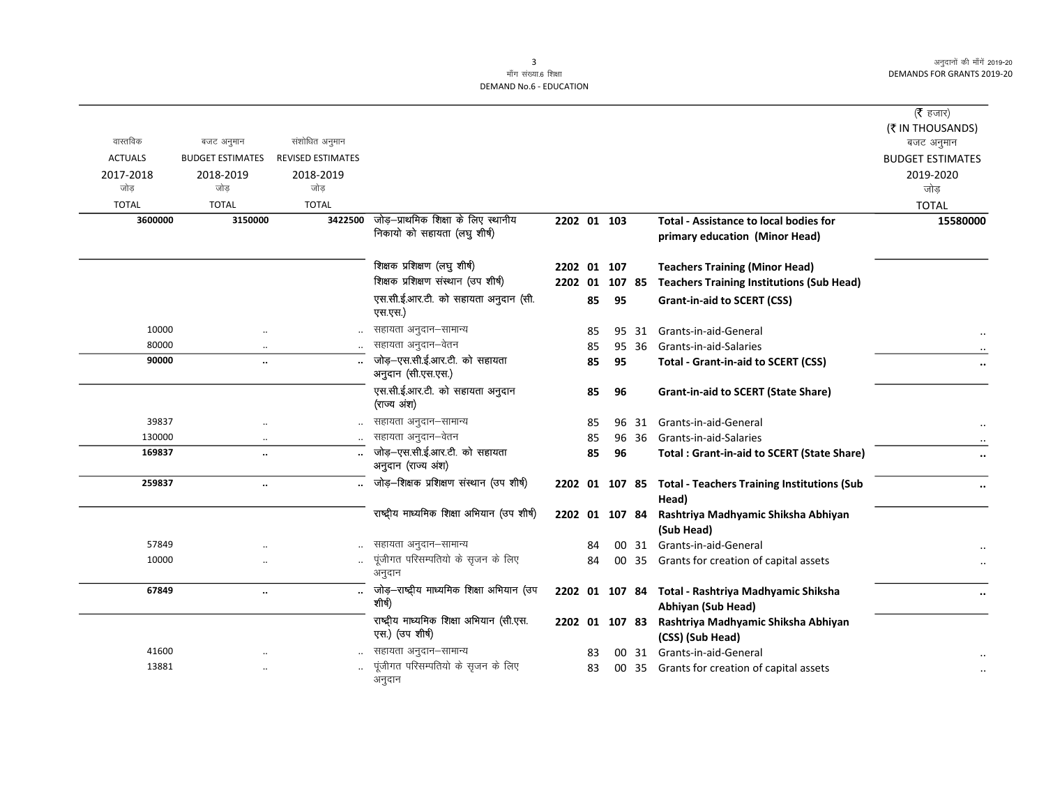$\overline{\phantom{0}}$ 

माँग संख्या.6 शिक्षा **DEMAND No.6 - EDUCATION** 

|                |                         |                          |                                                     |                |    |        |       |                                                                     | ( $\bar{\tau}$ हजार)    |
|----------------|-------------------------|--------------------------|-----------------------------------------------------|----------------|----|--------|-------|---------------------------------------------------------------------|-------------------------|
|                |                         |                          |                                                     |                |    |        |       |                                                                     | (₹ IN THOUSANDS)        |
| वास्तविक       | बजट अनुमान              | संशोधित अनुमान           |                                                     |                |    |        |       |                                                                     | बजट अनुमान              |
| <b>ACTUALS</b> | <b>BUDGET ESTIMATES</b> | <b>REVISED ESTIMATES</b> |                                                     |                |    |        |       |                                                                     | <b>BUDGET ESTIMATES</b> |
| 2017-2018      | 2018-2019               | 2018-2019                |                                                     |                |    |        |       |                                                                     | 2019-2020               |
| जोड            | जोड                     | जोड                      |                                                     |                |    |        |       |                                                                     | जोड़                    |
| <b>TOTAL</b>   | <b>TOTAL</b>            | <b>TOTAL</b>             |                                                     |                |    |        |       |                                                                     | <b>TOTAL</b>            |
| 3600000        | 3150000                 | 3422500                  | जोड़-प्राथमिक शिक्षा के लिए स्थानीय                 | 2202 01 103    |    |        |       | <b>Total - Assistance to local bodies for</b>                       | 15580000                |
|                |                         |                          | निकायो को सहायता (लघु शीर्ष)                        |                |    |        |       | primary education (Minor Head)                                      |                         |
|                |                         |                          | शिक्षक प्रशिक्षण (लघु शीर्ष)                        | 2202 01 107    |    |        |       | <b>Teachers Training (Minor Head)</b>                               |                         |
|                |                         |                          | शिक्षक प्रशिक्षण संस्थान (उप शीर्ष)                 | 2202 01        |    | 107 85 |       | <b>Teachers Training Institutions (Sub Head)</b>                    |                         |
|                |                         |                          | एस.सी.ई.आर.टी. को सहायता अनुदान (सी.                |                | 85 | 95     |       | <b>Grant-in-aid to SCERT (CSS)</b>                                  |                         |
|                |                         |                          | एस.एस.)                                             |                |    |        |       |                                                                     |                         |
| 10000          | $\ddotsc$               |                          | सहायता अनुदान–सामान्य                               |                | 85 |        | 95 31 | Grants-in-aid-General                                               |                         |
| 80000          | $\cdot$                 |                          | सहायता अनुदान–वेतन                                  |                | 85 |        | 95 36 | Grants-in-aid-Salaries                                              |                         |
| 90000          | $\ddot{\phantom{a}}$    |                          | जोड़-एस.सी.ई.आर.टी. को सहायता<br>अनुदान (सी.एस.एस.) |                | 85 | 95     |       | <b>Total - Grant-in-aid to SCERT (CSS)</b>                          |                         |
|                |                         |                          | एस.सी.ई.आर.टी. को सहायता अनुदान<br>(राज्य अंश)      |                | 85 | 96     |       | <b>Grant-in-aid to SCERT (State Share)</b>                          |                         |
| 39837          |                         |                          | सहायता अनुदान–सामान्य                               |                | 85 |        | 96 31 | Grants-in-aid-General                                               |                         |
| 130000         | $\cdot$                 |                          | सहायता अनुदान–वेतन                                  |                | 85 |        | 96 36 | Grants-in-aid-Salaries                                              |                         |
| 169837         |                         |                          | जोड़-एस.सी.ई.आर.टी. को सहायता<br>अनुदान (राज्य अंश) |                | 85 | 96     |       | <b>Total: Grant-in-aid to SCERT (State Share)</b>                   |                         |
| 259837         | $\ddot{\phantom{a}}$    |                          | जोड़-शिक्षक प्रशिक्षण संस्थान (उप शीर्ष)            |                |    |        |       | 2202 01 107 85 Total - Teachers Training Institutions (Sub<br>Head) |                         |
|                |                         |                          | राष्ट्रीय माध्यमिक शिक्षा अभियान (उप शीर्ष)         | 2202 01 107 84 |    |        |       | Rashtriya Madhyamic Shiksha Abhiyan                                 |                         |
|                |                         |                          |                                                     |                |    |        |       | (Sub Head)                                                          |                         |
| 57849          |                         |                          | सहायता अनुदान–सामान्य                               |                | 84 |        |       | 00 31 Grants-in-aid-General                                         |                         |
| 10000          |                         |                          | पूंजीगत परिसम्पतियो के सृजन के लिए                  |                | 84 |        |       | 00 35 Grants for creation of capital assets                         |                         |
|                |                         |                          | अनुदान                                              |                |    |        |       |                                                                     |                         |
| 67849          | $\ddot{\phantom{a}}$    | $\ddot{\phantom{a}}$     | जोड़-राष्ट्रीय माध्यमिक शिक्षा अभियान (उप           |                |    |        |       | 2202 01 107 84 Total - Rashtriya Madhyamic Shiksha                  |                         |
|                |                         |                          | शीर्ष)                                              |                |    |        |       | Abhiyan (Sub Head)                                                  |                         |
|                |                         |                          | राष्ट्रीय माध्यमिक शिक्षा अभियान (सी.एस.            | 2202 01 107 83 |    |        |       | Rashtriya Madhyamic Shiksha Abhiyan                                 |                         |
|                |                         |                          | एस.) (उप शीर्ष)                                     |                |    |        |       | (CSS) (Sub Head)                                                    |                         |
| 41600          |                         |                          | सहायता अनुदान–सामान्य                               |                | 83 |        | 00 31 | Grants-in-aid-General                                               |                         |
| 13881          |                         |                          | पूंजीगत परिसम्पतियो के सृजन के लिए<br>अनुदान        |                | 83 |        |       | 00 35 Grants for creation of capital assets                         |                         |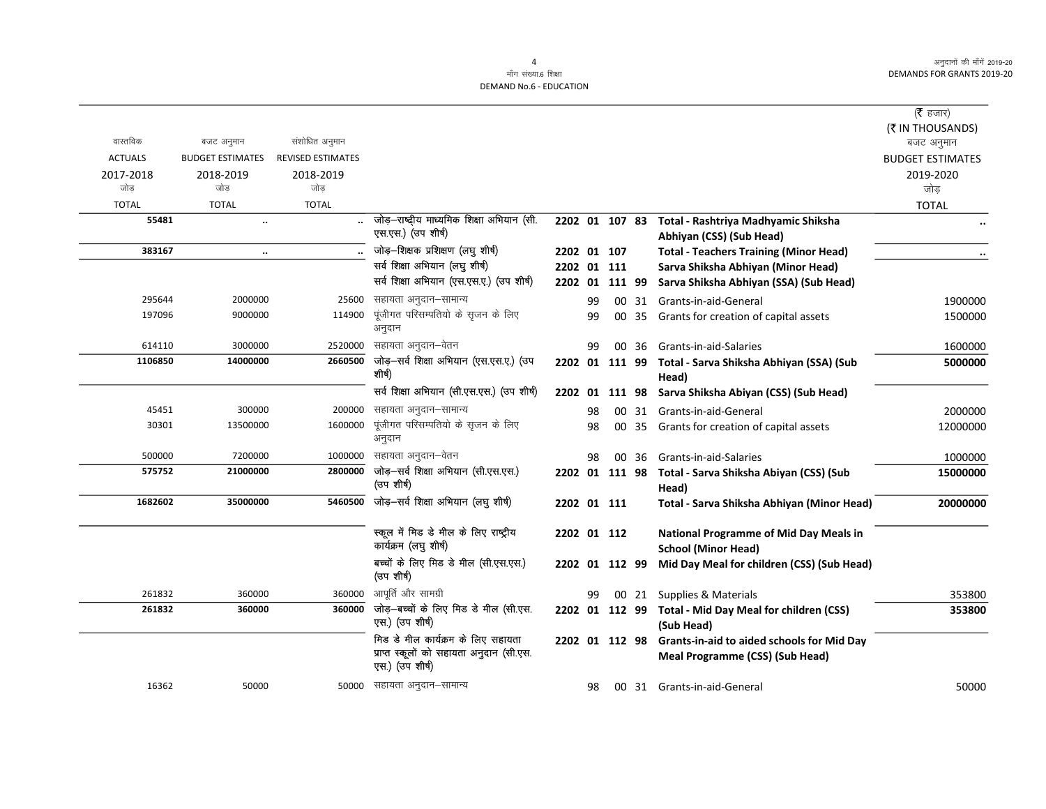$\overline{\phantom{0}}$ 

# माँग संख्या.6 शिक्षा DEMAND No.6 - EDUCATION

| वास्तविक         | बजट अनुमान              | संशोधित अनुमान           |                                                                                                   |                |    |                |       |                                                                                                     | ( $\bar{\tau}$ हजार)<br>(₹ IN THOUSANDS)<br>बजट अनुमान |
|------------------|-------------------------|--------------------------|---------------------------------------------------------------------------------------------------|----------------|----|----------------|-------|-----------------------------------------------------------------------------------------------------|--------------------------------------------------------|
| <b>ACTUALS</b>   | <b>BUDGET ESTIMATES</b> | <b>REVISED ESTIMATES</b> |                                                                                                   |                |    |                |       |                                                                                                     | <b>BUDGET ESTIMATES</b>                                |
| 2017-2018<br>जोड | 2018-2019<br>जोड        | 2018-2019<br>जोड         |                                                                                                   |                |    |                |       |                                                                                                     | 2019-2020<br>जोड                                       |
| <b>TOTAL</b>     | <b>TOTAL</b>            | <b>TOTAL</b>             |                                                                                                   |                |    |                |       |                                                                                                     | <b>TOTAL</b>                                           |
| 55481            | $\ddot{\phantom{a}}$    |                          | जोड़-राष्ट्रीय माध्यमिक शिक्षा अभियान (सी.<br>एस.एस.) (उप शीर्ष)                                  | 2202 01 107 83 |    |                |       | Total - Rashtriya Madhyamic Shiksha<br>Abhiyan (CSS) (Sub Head)                                     |                                                        |
| 383167           | $\ddotsc$               |                          | जोड़-शिक्षक प्रशिक्षण (लघु शीर्ष)                                                                 | 2202 01 107    |    |                |       | <b>Total - Teachers Training (Minor Head)</b>                                                       |                                                        |
|                  |                         |                          | सर्व शिक्षा अभियान (लघु शीर्ष)                                                                    | 2202 01 111    |    |                |       | Sarva Shiksha Abhiyan (Minor Head)                                                                  |                                                        |
|                  |                         |                          | सर्व शिक्षा अभियान (एस.एस.ए.) (उप शीर्ष)                                                          | 2202 01        |    | 111 99         |       | Sarva Shiksha Abhiyan (SSA) (Sub Head)                                                              |                                                        |
| 295644           | 2000000                 | 25600                    | सहायता अनुदान–सामान्य                                                                             |                | 99 |                |       | 00 31 Grants-in-aid-General                                                                         | 1900000                                                |
| 197096           | 9000000                 | 114900                   | पूंजीगत परिसम्पतियो के सृजन के लिए<br>अनुदान                                                      |                | 99 | 00             | 35    | Grants for creation of capital assets                                                               | 1500000                                                |
| 614110           | 3000000                 | 2520000                  | सहायता अनुदान–वेतन                                                                                |                | 99 | 00             | 36    | Grants-in-aid-Salaries                                                                              | 1600000                                                |
| 1106850          | 14000000                | 2660500                  | जोड़-सर्व शिक्षा अभियान (एस.एस.ए.) (उप<br>शीर्ष)                                                  |                |    |                |       | 2202 01 111 99 Total - Sarva Shiksha Abhiyan (SSA) (Sub<br>Head)                                    | 5000000                                                |
|                  |                         |                          | सर्व शिक्षा अभियान (सी.एस.एस.) (उप शीर्ष)                                                         |                |    | 2202 01 111 98 |       | Sarva Shiksha Abiyan (CSS) (Sub Head)                                                               |                                                        |
| 45451            | 300000                  | 200000                   | सहायता अनुदान–सामान्य                                                                             |                | 98 |                | 00 31 | Grants-in-aid-General                                                                               | 2000000                                                |
| 30301            | 13500000                | 1600000                  | पूंजीगत परिसम्पतियो के सृजन के लिए<br>अनुदान                                                      |                | 98 |                | 00 35 | Grants for creation of capital assets                                                               | 12000000                                               |
| 500000           | 7200000                 | 1000000                  | सहायता अनुदान–वेतन                                                                                |                | 98 |                | 00 36 | Grants-in-aid-Salaries                                                                              | 1000000                                                |
| 575752           | 21000000                | 2800000                  | जोड़-सर्व शिक्षा अभियान (सी.एस.एस.)<br>(उप शीर्ष)                                                 |                |    | 2202 01 111 98 |       | Total - Sarva Shiksha Abiyan (CSS) (Sub<br>Head)                                                    | 15000000                                               |
| 1682602          | 35000000                | 5460500                  | जोड़-सर्व शिक्षा अभियान (लघु शीर्ष)                                                               |                |    | 2202 01 111    |       | Total - Sarva Shiksha Abhiyan (Minor Head)                                                          | 20000000                                               |
|                  |                         |                          | स्कूल में मिड डे मील के लिए राष्ट्रीय<br>कार्यक्रम (लघु शीर्ष)                                    |                |    | 2202 01 112    |       | <b>National Programme of Mid Day Meals in</b><br><b>School (Minor Head)</b>                         |                                                        |
|                  |                         |                          | बच्चों के लिए मिड डे मील (सी.एस.एस.)<br>(उप शीर्ष)                                                |                |    | 2202 01 112 99 |       | Mid Day Meal for children (CSS) (Sub Head)                                                          |                                                        |
| 261832           | 360000                  | 360000                   | आपूर्ति और सामग्री                                                                                |                | 99 |                |       | 00 21 Supplies & Materials                                                                          | 353800                                                 |
| 261832           | 360000                  | 360000                   | जोड़-बच्चों के लिए मिड डे मील (सी.एस.<br>एस.) (उप शीर्ष)                                          |                |    |                |       | 2202 01 112 99 Total - Mid Day Meal for children (CSS)<br>(Sub Head)                                | 353800                                                 |
|                  |                         |                          | मिड डे मील कार्यक्रम के लिए सहायता<br>प्राप्त स्कूलों को सहायता अनुदान (सी.एस.<br>एस.) (उप शीर्ष) |                |    |                |       | 2202 01 112 98 Grants-in-aid to aided schools for Mid Day<br><b>Meal Programme (CSS) (Sub Head)</b> |                                                        |
| 16362            | 50000                   |                          | 50000 सहायता अनुदान–सामान्य                                                                       |                | 98 |                |       | 00 31 Grants-in-aid-General                                                                         | 50000                                                  |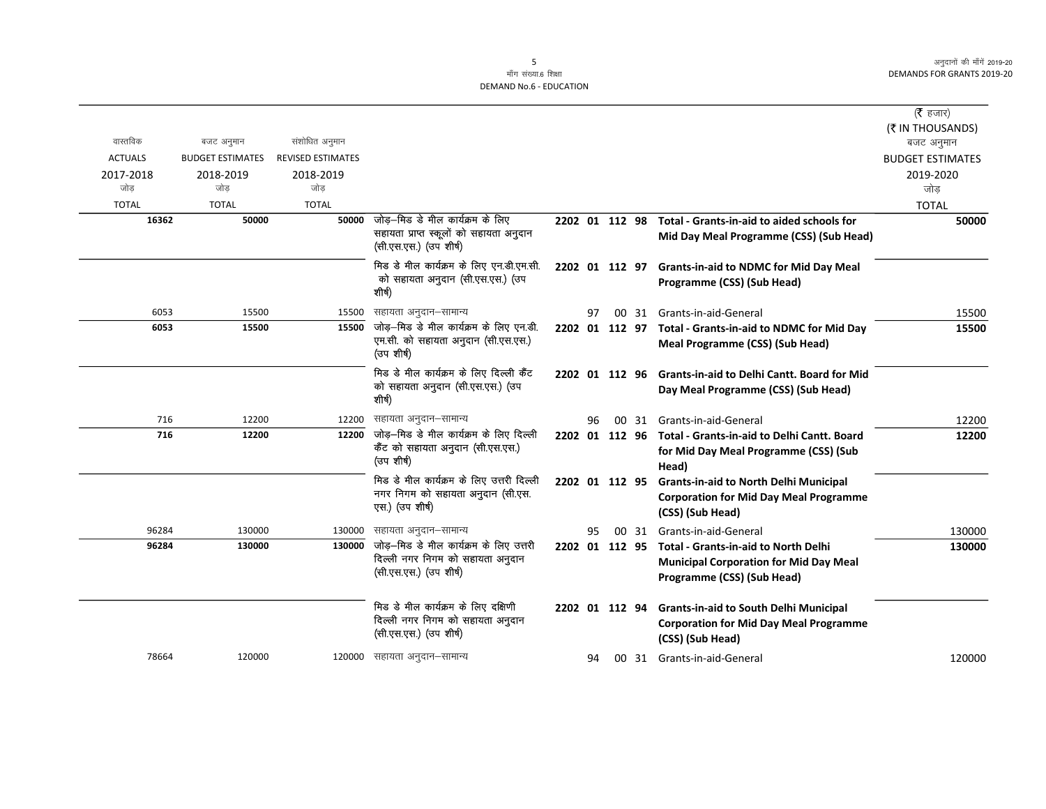|                  |                         |                          |                                                                                                       |                |    |                 |    |                                                                                                                            | ( $\bar{\tau}$ हजार)           |
|------------------|-------------------------|--------------------------|-------------------------------------------------------------------------------------------------------|----------------|----|-----------------|----|----------------------------------------------------------------------------------------------------------------------------|--------------------------------|
| वास्तविक         | बजट अनुमान              | संशोधित अनुमान           |                                                                                                       |                |    |                 |    |                                                                                                                            | (₹ IN THOUSANDS)<br>बजट अनुमान |
| <b>ACTUALS</b>   | <b>BUDGET ESTIMATES</b> | <b>REVISED ESTIMATES</b> |                                                                                                       |                |    |                 |    |                                                                                                                            | <b>BUDGET ESTIMATES</b>        |
| 2017-2018<br>जोड | 2018-2019<br>जोड        | 2018-2019<br>जोड         |                                                                                                       |                |    |                 |    |                                                                                                                            | 2019-2020<br>जोड               |
| <b>TOTAL</b>     | <b>TOTAL</b>            | <b>TOTAL</b>             |                                                                                                       |                |    |                 |    |                                                                                                                            | <b>TOTAL</b>                   |
| 16362            | 50000                   | 50000                    | जोड़—मिड डे मील कार्यक्रम के लिए<br>सहायता प्राप्त स्कूलों को सहायता अनुदान<br>(सी.एस.एस.) (उप शीर्ष) | 2202 01 112 98 |    |                 |    | Total - Grants-in-aid to aided schools for<br>Mid Day Meal Programme (CSS) (Sub Head)                                      | 50000                          |
|                  |                         |                          | मिड डे मील कार्यक्रम के लिए एन.डी.एम.सी.<br>को सहायता अनुदान (सी.एस.एस.) (उप<br>शीर्ष)                | 2202 01 112 97 |    |                 |    | <b>Grants-in-aid to NDMC for Mid Day Meal</b><br>Programme (CSS) (Sub Head)                                                |                                |
| 6053             | 15500                   | 15500                    | सहायता अनुदान–सामान्य                                                                                 |                | 97 |                 |    | 00 31 Grants-in-aid-General                                                                                                | 15500                          |
| 6053             | 15500                   | 15500                    | जोड़-मिड डे मील कार्यक्रम के लिए एन.डी.<br>एम.सी. को सहायता अनुदान (सी.एस.एस.)<br>(उप शीर्ष)          | 2202 01 112 97 |    |                 |    | Total - Grants-in-aid to NDMC for Mid Day<br><b>Meal Programme (CSS) (Sub Head)</b>                                        | 15500                          |
|                  |                         |                          | मिड डे मील कार्यक्रम के लिए दिल्ली कैंट<br>को सहायता अनुदान (सी.एस.एस.) (उप<br>शीर्ष)                 |                |    |                 |    | 2202 01 112 96 Grants-in-aid to Delhi Cantt. Board for Mid<br>Day Meal Programme (CSS) (Sub Head)                          |                                |
| 716              | 12200                   | 12200                    | सहायता अनुदान–सामान्य                                                                                 |                | 96 | 00 <sup>1</sup> | 31 | Grants-in-aid-General                                                                                                      | 12200                          |
| 716              | 12200                   | 12200                    | जोड़—मिड डे मील कार्यक्रम के लिए दिल्ली<br>कैंट को सहायता अनुदान (सी.एस.एस.)<br>(उप शीर्ष)            |                |    |                 |    | 2202 01 112 96 Total - Grants-in-aid to Delhi Cantt, Board<br>for Mid Day Meal Programme (CSS) (Sub<br>Head)               | 12200                          |
|                  |                         |                          | मिड डे मील कार्यक्रम के लिए उत्तरी दिल्ली<br>नगर निगम को सहायता अनुदान (सी.एस.<br>एस.) (उप शीर्ष)     | 2202 01 112 95 |    |                 |    | <b>Grants-in-aid to North Delhi Municipal</b><br><b>Corporation for Mid Day Meal Programme</b><br>(CSS) (Sub Head)         |                                |
| 96284            | 130000                  | 130000                   | सहायता अनुदान–सामान्य                                                                                 |                | 95 |                 |    | 00 31 Grants-in-aid-General                                                                                                | 130000                         |
| 96284            | 130000                  | 130000                   | जोड़-मिड डे मील कार्यक्रम के लिए उत्तरी<br>दिल्ली नगर निगम को सहायता अनुदान<br>(सी.एस.एस.) (उप शीर्ष) | 2202 01 112 95 |    |                 |    | <b>Total - Grants-in-aid to North Delhi</b><br><b>Municipal Corporation for Mid Day Meal</b><br>Programme (CSS) (Sub Head) | 130000                         |
|                  |                         |                          | मिड डे मील कार्यक्रम के लिए दक्षिणी<br>दिल्ली नगर निगम को सहायता अनुदान<br>(सी.एस.एस.) (उप शीर्ष)     | 2202 01 112 94 |    |                 |    | <b>Grants-in-aid to South Delhi Municipal</b><br><b>Corporation for Mid Day Meal Programme</b><br>(CSS) (Sub Head)         |                                |
| 78664            | 120000                  |                          | 120000 सहायता अनुदान–सामान्य                                                                          |                | 94 |                 |    | 00 31 Grants-in-aid-General                                                                                                | 120000                         |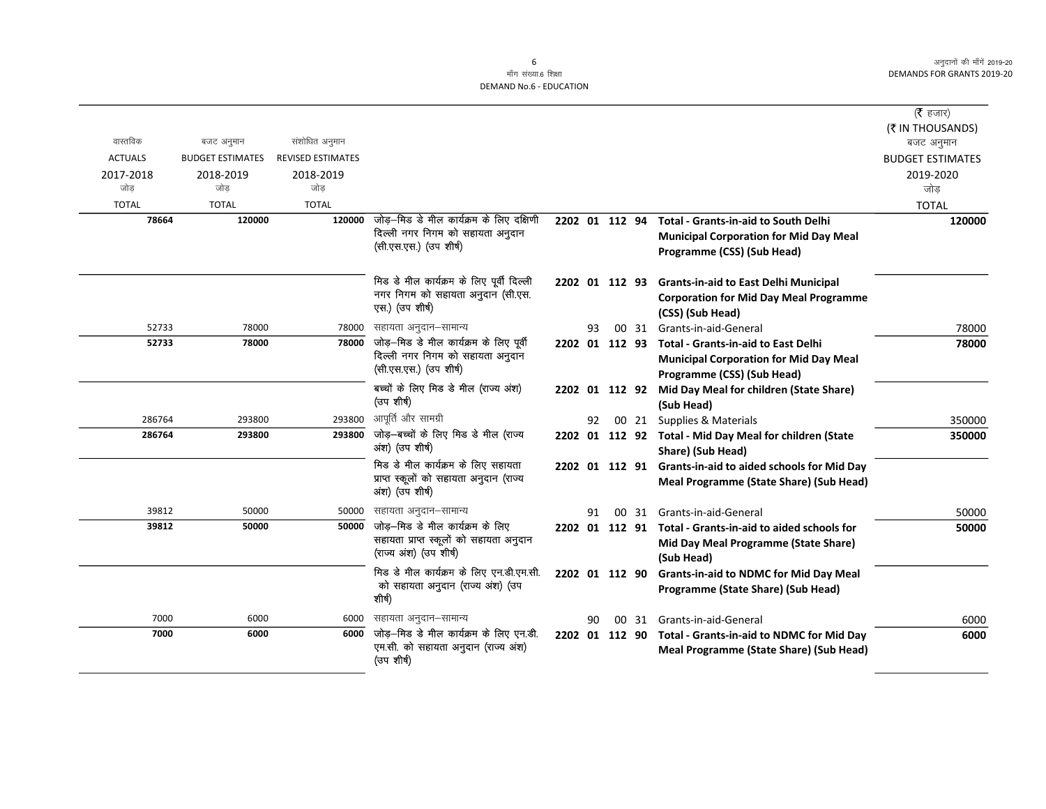|                  |                         |                          |                                                                                                        |                |    |       |                                                                                                                                   | ( $\bar{\tau}$ हजार)           |
|------------------|-------------------------|--------------------------|--------------------------------------------------------------------------------------------------------|----------------|----|-------|-----------------------------------------------------------------------------------------------------------------------------------|--------------------------------|
| वास्तविक         | बजट अनुमान              | संशोधित अनुमान           |                                                                                                        |                |    |       |                                                                                                                                   | (₹ IN THOUSANDS)<br>बजट अनुमान |
| <b>ACTUALS</b>   | <b>BUDGET ESTIMATES</b> | <b>REVISED ESTIMATES</b> |                                                                                                        |                |    |       |                                                                                                                                   | <b>BUDGET ESTIMATES</b>        |
| 2017-2018<br>जोड | 2018-2019<br>जोड        | 2018-2019<br>जोड         |                                                                                                        |                |    |       |                                                                                                                                   | 2019-2020<br>जोड               |
| <b>TOTAL</b>     | <b>TOTAL</b>            | <b>TOTAL</b>             |                                                                                                        |                |    |       |                                                                                                                                   | <b>TOTAL</b>                   |
| 78664            | 120000                  | 120000                   | जोड़—मिड डे मील कार्यक्रम के लिए दक्षिणी<br>दिल्ली नगर निगम को सहायता अनुदान<br>(सी.एस.एस.) (उप शीर्ष) | 2202 01 112 94 |    |       | <b>Total - Grants-in-aid to South Delhi</b><br><b>Municipal Corporation for Mid Day Meal</b><br>Programme (CSS) (Sub Head)        | 120000                         |
|                  |                         |                          | मिड डे मील कार्यक्रम के लिए पूर्वी दिल्ली<br>नगर निगम को सहायता अनुदान (सी.एस.<br>एस.) (उप शीर्ष)      | 2202 01 112 93 |    |       | <b>Grants-in-aid to East Delhi Municipal</b><br><b>Corporation for Mid Day Meal Programme</b><br>(CSS) (Sub Head)                 |                                |
| 52733            | 78000                   | 78000                    | सहायता अनुदान–सामान्य                                                                                  |                | 93 |       | 00 31 Grants-in-aid-General                                                                                                       | 78000                          |
| 52733            | 78000                   | 78000                    | जोड़—मिड डे मील कार्यक्रम के लिए पूर्वी<br>दिल्ली नगर निगम को सहायता अनुदान<br>(सी.एस.एस.) (उप शीर्ष)  |                |    |       | 2202 01 112 93 Total - Grants-in-aid to East Delhi<br><b>Municipal Corporation for Mid Day Meal</b><br>Programme (CSS) (Sub Head) | 78000                          |
|                  |                         |                          | बच्चों के लिए मिड डे मील (राज्य अंश)<br>(उप शीर्ष)                                                     | 2202 01 112 92 |    |       | Mid Day Meal for children (State Share)<br>(Sub Head)                                                                             |                                |
| 286764           | 293800                  | 293800                   | आपूर्ति और सामग्री                                                                                     |                | 92 | 00 21 | Supplies & Materials                                                                                                              | 350000                         |
| 286764           | 293800                  | 293800                   | जोड़—बच्चों के लिए मिड डे मील (राज्य<br>अंश) (उप शीर्ष)                                                |                |    |       | 2202 01 112 92 Total - Mid Day Meal for children (State<br>Share) (Sub Head)                                                      | 350000                         |
|                  |                         |                          | मिड डे मील कार्यक्रम के लिए सहायता<br>प्राप्त स्कूलों को सहायता अनुदान (राज्य<br>अंश) (उप शीर्ष)       |                |    |       | 2202 01 112 91 Grants-in-aid to aided schools for Mid Day<br>Meal Programme (State Share) (Sub Head)                              |                                |
| 39812            | 50000                   | 50000                    | सहायता अनुदान–सामान्य                                                                                  |                | 91 | 00 31 | Grants-in-aid-General                                                                                                             | 50000                          |
| 39812            | 50000                   | 50000                    | जोड़–मिड डे मील कार्यक्रम के लिए<br>सहायता प्राप्त स्कूलों को सहायता अनुदान<br>(राज्य अंश) (उप शीर्ष)  |                |    |       | 2202 01 112 91 Total - Grants-in-aid to aided schools for<br>Mid Day Meal Programme (State Share)<br>(Sub Head)                   | 50000                          |
|                  |                         |                          | मिड डे मील कार्यक्रम के लिए एन.डी.एम.सी.<br>को सहायता अनुदान (राज्य अंश) (उप<br>शीर्ष)                 | 2202 01 112 90 |    |       | <b>Grants-in-aid to NDMC for Mid Day Meal</b><br>Programme (State Share) (Sub Head)                                               |                                |
| 7000             | 6000                    | 6000                     | सहायता अनुदान-सामान्य                                                                                  |                | 90 | 00 31 | Grants-in-aid-General                                                                                                             | 6000                           |
| 7000             | 6000                    | 6000                     | जोड़-मिड डे मील कार्यक्रम के लिए एन.डी.<br>एम.सी. को सहायता अनुदान (राज्य अंश)<br>(उप शीर्ष)           | 2202 01 112 90 |    |       | Total - Grants-in-aid to NDMC for Mid Day<br>Meal Programme (State Share) (Sub Head)                                              | 6000                           |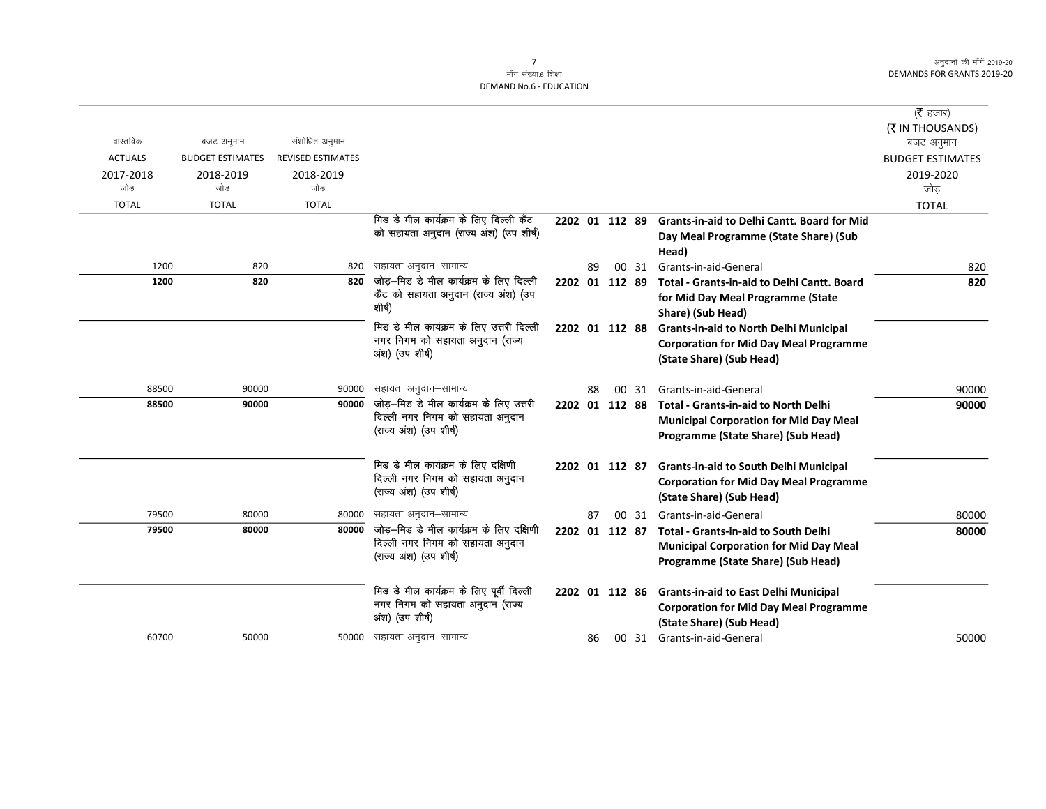|                |                         |                          |                                                                                                        |                |    |                |       |                                                                                                                                    | ( $\bar{\tau}$ हजार)<br>(₹ IN THOUSANDS) |
|----------------|-------------------------|--------------------------|--------------------------------------------------------------------------------------------------------|----------------|----|----------------|-------|------------------------------------------------------------------------------------------------------------------------------------|------------------------------------------|
| वास्तविक       | बजट अनुमान              | संशोधित अनुमान           |                                                                                                        |                |    |                |       |                                                                                                                                    | बजट अनुमान                               |
| <b>ACTUALS</b> | <b>BUDGET ESTIMATES</b> | <b>REVISED ESTIMATES</b> |                                                                                                        |                |    |                |       |                                                                                                                                    | <b>BUDGET ESTIMATES</b>                  |
| 2017-2018      | 2018-2019               | 2018-2019                |                                                                                                        |                |    |                |       |                                                                                                                                    | 2019-2020                                |
| जोड            | जोड                     | जोड                      |                                                                                                        |                |    |                |       |                                                                                                                                    | जोड                                      |
| <b>TOTAL</b>   | <b>TOTAL</b>            | <b>TOTAL</b>             |                                                                                                        |                |    |                |       |                                                                                                                                    | <b>TOTAL</b>                             |
|                |                         |                          | मिड डे मील कार्यक्रम के लिए दिल्ली कैंट<br>को सहायता अनुदान (राज्य अंश) (उप शीर्ष)                     | 2202 01 112 89 |    |                |       | <b>Grants-in-aid to Delhi Cantt. Board for Mid</b>                                                                                 |                                          |
|                |                         |                          |                                                                                                        |                |    |                |       | Day Meal Programme (State Share) (Sub<br>Head)                                                                                     |                                          |
| 1200           | 820                     | 820                      | सहायता अनुदान–सामान्य                                                                                  |                | 89 |                | 00 31 | Grants-in-aid-General                                                                                                              | 820                                      |
| 1200           | 820                     | 820                      | जोड़—मिड डे मील कार्यक्रम के लिए दिल्ली<br>कैंट को सहायता अनुदान (राज्य अंश) (उप<br>शीर्ष)             | 2202 01 112 89 |    |                |       | <b>Total - Grants-in-aid to Delhi Cantt. Board</b><br>for Mid Day Meal Programme (State<br>Share) (Sub Head)                       | 820                                      |
|                |                         |                          | मिड डे मील कार्यक्रम के लिए उत्तरी दिल्ली<br>नगर निगम को सहायता अनुदान (राज्य<br>अंश) (उप शीर्ष)       | 2202 01 112 88 |    |                |       | <b>Grants-in-aid to North Delhi Municipal</b><br><b>Corporation for Mid Day Meal Programme</b><br>(State Share) (Sub Head)         |                                          |
| 88500          | 90000                   | 90000                    | सहायता अनुदान–सामान्य                                                                                  |                | 88 |                | 00 31 | Grants-in-aid-General                                                                                                              | 90000                                    |
| 88500          | 90000                   | 90000                    | जोड़-मिड डे मील कार्यक्रम के लिए उत्तरी                                                                |                |    | 2202 01 112 88 |       | <b>Total - Grants-in-aid to North Delhi</b>                                                                                        | 90000                                    |
|                |                         |                          | दिल्ली नगर निगम को सहायता अनुदान<br>(राज्य अंश) (उप शीर्ष)                                             |                |    |                |       | <b>Municipal Corporation for Mid Day Meal</b><br>Programme (State Share) (Sub Head)                                                |                                          |
|                |                         |                          | मिड डे मील कार्यक्रम के लिए दक्षिणी<br>दिल्ली नगर निगम को सहायता अनुदान<br>(राज्य अंश) (उप शीर्ष)      |                |    | 2202 01 112 87 |       | <b>Grants-in-aid to South Delhi Municipal</b><br><b>Corporation for Mid Day Meal Programme</b><br>(State Share) (Sub Head)         |                                          |
| 79500          | 80000                   | 80000                    | सहायता अनुदान–सामान्य                                                                                  |                | 87 |                |       | 00 31 Grants-in-aid-General                                                                                                        | 80000                                    |
| 79500          | 80000                   | 80000                    | जोड़-मिड डे मील कार्यक्रम के लिए दक्षिणी<br>दिल्ली नगर निगम को सहायता अनुदान<br>(राज्य अंश) (उप शीर्ष) | 2202 01 112 87 |    |                |       | <b>Total - Grants-in-aid to South Delhi</b><br><b>Municipal Corporation for Mid Day Meal</b><br>Programme (State Share) (Sub Head) | 80000                                    |
|                |                         |                          | मिड डे मील कार्यक्रम के लिए पूर्वी दिल्ली<br>नगर निगम को सहायता अनुदान (राज्य<br>अंश) (उप शीर्ष)       | 2202 01 112 86 |    |                |       | <b>Grants-in-aid to East Delhi Municipal</b><br><b>Corporation for Mid Day Meal Programme</b><br>(State Share) (Sub Head)          |                                          |
| 60700          | 50000                   |                          | 50000 सहायता अनुदान–सामान्य                                                                            |                | 86 |                |       | 00 31 Grants-in-aid-General                                                                                                        | 50000                                    |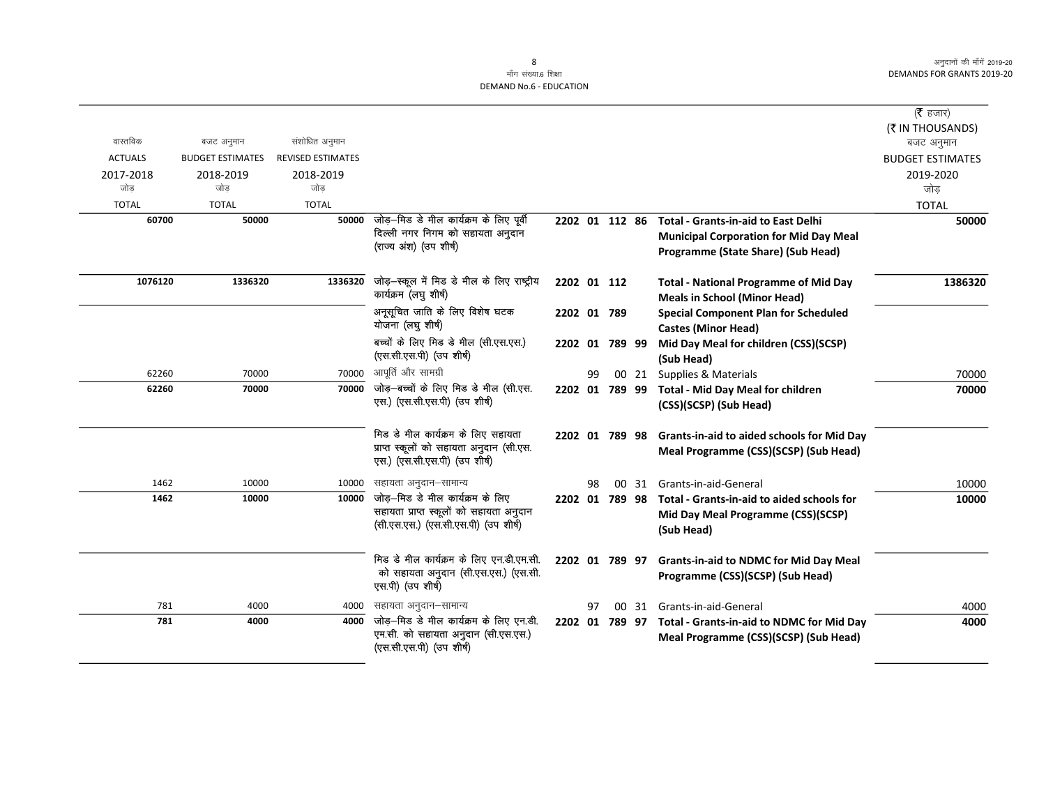|                |                                       |                          |                                                                                                                     |                |    |       |                                                                                                                                   | ( $\bar{\tau}$ हजार)                 |
|----------------|---------------------------------------|--------------------------|---------------------------------------------------------------------------------------------------------------------|----------------|----|-------|-----------------------------------------------------------------------------------------------------------------------------------|--------------------------------------|
| वास्तविक       |                                       | संशोधित अनुमान           |                                                                                                                     |                |    |       |                                                                                                                                   | (₹ IN THOUSANDS)                     |
| <b>ACTUALS</b> | बजट अनुमान<br><b>BUDGET ESTIMATES</b> | <b>REVISED ESTIMATES</b> |                                                                                                                     |                |    |       |                                                                                                                                   | बजट अनुमान                           |
| 2017-2018      | 2018-2019                             | 2018-2019                |                                                                                                                     |                |    |       |                                                                                                                                   | <b>BUDGET ESTIMATES</b><br>2019-2020 |
| जोड            | जोड                                   | जोड                      |                                                                                                                     |                |    |       |                                                                                                                                   | जोड                                  |
| <b>TOTAL</b>   | <b>TOTAL</b>                          | <b>TOTAL</b>             |                                                                                                                     |                |    |       |                                                                                                                                   | <b>TOTAL</b>                         |
| 60700          | 50000                                 | 50000                    | जोड़-मिड डे मील कार्यक्रम के लिए पूर्वी<br>दिल्ली नगर निगम को सहायता अनुदान<br>(राज्य अंश) (उप शीर्ष)               | 2202 01 112 86 |    |       | <b>Total - Grants-in-aid to East Delhi</b><br><b>Municipal Corporation for Mid Day Meal</b><br>Programme (State Share) (Sub Head) | 50000                                |
| 1076120        | 1336320                               | 1336320                  | जोड़-स्कूल में मिड डे मील के लिए राष्ट्रीय<br>कार्यक्रम (लघु शीर्ष)                                                 | 2202 01 112    |    |       | <b>Total - National Programme of Mid Day</b><br><b>Meals in School (Minor Head)</b>                                               | 1386320                              |
|                |                                       |                          | अनूसूचित जाति के लिए विशेष घटक<br>योजना (लघु शीर्ष)                                                                 | 2202 01 789    |    |       | <b>Special Component Plan for Scheduled</b><br><b>Castes (Minor Head)</b>                                                         |                                      |
|                |                                       |                          | बच्चों के लिए मिड डे मील (सी.एस.एस.)<br>(एस.सी.एस.पी) (उप शीर्ष)                                                    | 2202 01 789 99 |    |       | Mid Day Meal for children (CSS)(SCSP)<br>(Sub Head)                                                                               |                                      |
| 62260          | 70000                                 | 70000                    | आपूर्ति और सामग्री                                                                                                  |                | 99 | 00 21 | Supplies & Materials                                                                                                              | 70000                                |
| 62260          | 70000                                 | 70000                    | जोड़-बच्चों के लिए मिड डे मील (सी.एस.<br>एस.) (एस.सी.एस.पी) (उप शीर्ष)                                              | 2202 01 789 99 |    |       | <b>Total - Mid Day Meal for children</b><br>(CSS)(SCSP) (Sub Head)                                                                | 70000                                |
|                |                                       |                          | मिड डे मील कार्यक्रम के लिए सहायता<br>प्राप्त स्कूलों को सहायता अनुदान (सी.एस.<br>एस.) (एस.सी.एस.पी) (उप शीर्ष)     | 2202 01 789 98 |    |       | Grants-in-aid to aided schools for Mid Day<br>Meal Programme (CSS)(SCSP) (Sub Head)                                               |                                      |
| 1462           | 10000                                 | 10000                    | सहायता अनुदान–सामान्य                                                                                               |                | 98 | 00 31 | Grants-in-aid-General                                                                                                             | 10000                                |
| 1462           | 10000                                 | 10000                    | जोड़—मिड डे मील कार्यक्रम के लिए<br>सहायता प्राप्त स्कूलों को सहायता अनुदान<br>(सी.एस.एस.) (एस.सी.एस.पी) (उप शीर्ष) | 2202 01 789 98 |    |       | Total - Grants-in-aid to aided schools for<br>Mid Day Meal Programme (CSS)(SCSP)<br>(Sub Head)                                    | 10000                                |
|                |                                       |                          | मिड डे मील कार्यक्रम के लिए एन.डी.एम.सी.<br>को सहायता अनुदान (सी.एस.एस.) (एस.सी.<br>एस.पी) (उप शीर्ष)               | 2202 01 789 97 |    |       | <b>Grants-in-aid to NDMC for Mid Day Meal</b><br>Programme (CSS)(SCSP) (Sub Head)                                                 |                                      |
| 781            | 4000                                  | 4000                     | सहायता अनुदान–सामान्य                                                                                               |                | 97 | 00 31 | Grants-in-aid-General                                                                                                             | 4000                                 |
| 781            | 4000                                  | 4000                     | जोड़–मिड डे मील कार्यक्रम के लिए एन.डी.<br>एम.सी. को सहायता अनुदान (सी.एस.एस.)<br>(एस.सी.एस.पी) (उप शीर्ष)          |                |    |       | 2202 01 789 97 Total - Grants-in-aid to NDMC for Mid Day<br>Meal Programme (CSS)(SCSP) (Sub Head)                                 | 4000                                 |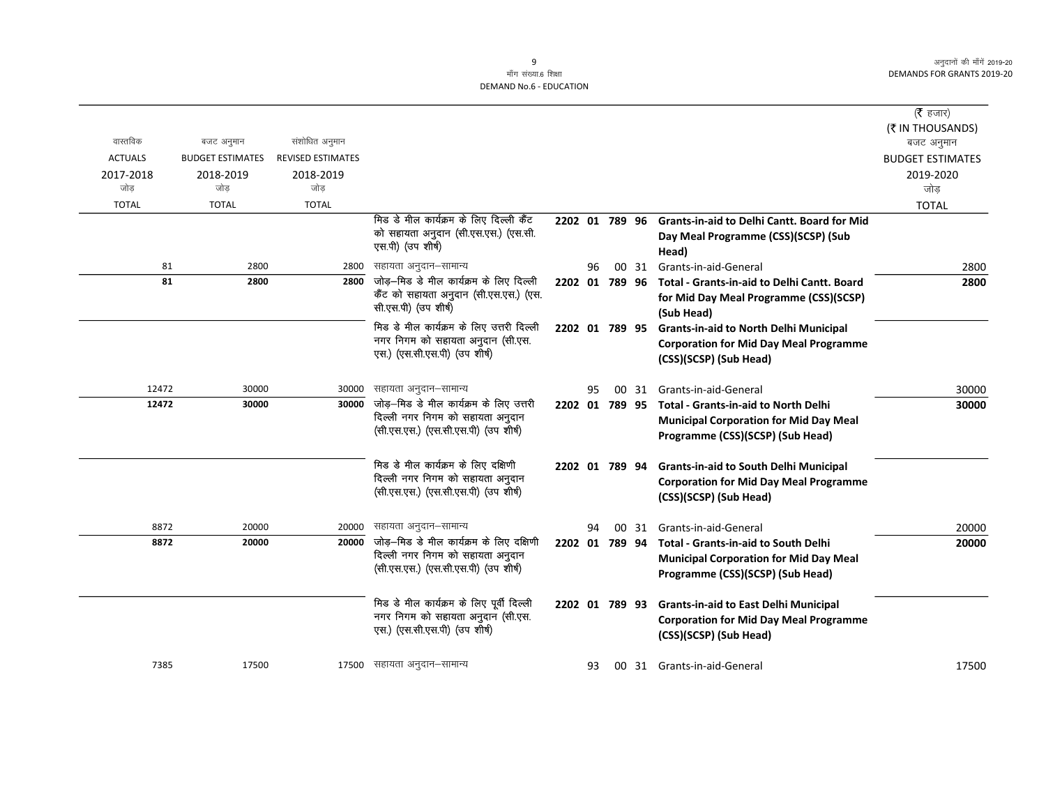$\overline{\phantom{0}}$ 

|                  |                         |                          |                                                                          |                |    |       |                                                      | ( $\bar{\tau}$ हजार)    |
|------------------|-------------------------|--------------------------|--------------------------------------------------------------------------|----------------|----|-------|------------------------------------------------------|-------------------------|
|                  |                         |                          |                                                                          |                |    |       |                                                      | (₹ IN THOUSANDS)        |
| वास्तविक         | बजट अनुमान              | संशोधित अनुमान           |                                                                          |                |    |       |                                                      | बजट अनुमान              |
| <b>ACTUALS</b>   | <b>BUDGET ESTIMATES</b> | <b>REVISED ESTIMATES</b> |                                                                          |                |    |       |                                                      | <b>BUDGET ESTIMATES</b> |
| 2017-2018<br>जोड | 2018-2019<br>जोड        | 2018-2019<br>जोड         |                                                                          |                |    |       |                                                      | 2019-2020               |
|                  |                         |                          |                                                                          |                |    |       |                                                      | जोड                     |
| <b>TOTAL</b>     | <b>TOTAL</b>            | <b>TOTAL</b>             | मिड डे मील कार्यक्रम के लिए दिल्ली कैंट                                  |                |    |       |                                                      | <b>TOTAL</b>            |
|                  |                         |                          | को सहायता अनुदान (सी.एस.एस.) (एस.सी.                                     | 2202 01 789 96 |    |       | Grants-in-aid to Delhi Cantt. Board for Mid          |                         |
|                  |                         |                          | एस.पी) (उप शीर्ष)                                                        |                |    |       | Day Meal Programme (CSS)(SCSP) (Sub                  |                         |
| 81               | 2800                    | 2800                     | सहायता अनुदान–सामान्य                                                    |                | 96 | 00 31 | Head)<br>Grants-in-aid-General                       |                         |
| 81               | 2800                    | 2800                     | जोड़–मिड डे मील कार्यक्रम के लिए दिल्ली                                  | 2202 01 789 96 |    |       | Total - Grants-in-aid to Delhi Cantt. Board          | 2800<br>2800            |
|                  |                         |                          | कैंट को सहायता अनुदान (सी.एस.एस.) (एस.                                   |                |    |       |                                                      |                         |
|                  |                         |                          | सी.एस.पी) (उप शीर्ष)                                                     |                |    |       | for Mid Day Meal Programme (CSS)(SCSP)<br>(Sub Head) |                         |
|                  |                         |                          | मिड डे मील कार्यक्रम के लिए उत्तरी दिल्ली                                | 2202 01 789 95 |    |       | <b>Grants-in-aid to North Delhi Municipal</b>        |                         |
|                  |                         |                          | नगर निगम को सहायता अनुदान (सी.एस.                                        |                |    |       | <b>Corporation for Mid Day Meal Programme</b>        |                         |
|                  |                         |                          | एस.) (एस.सी.एस.पी) (उप शीर्ष)                                            |                |    |       | (CSS)(SCSP) (Sub Head)                               |                         |
|                  |                         |                          |                                                                          |                |    |       |                                                      |                         |
| 12472            | 30000                   | 30000                    | सहायता अनुदान–सामान्य                                                    |                | 95 | 00 31 | Grants-in-aid-General                                | 30000                   |
| 12472            | 30000                   | 30000                    | जोड़-मिड डे मील कार्यक्रम के लिए उत्तरी                                  | 2202 01 789 95 |    |       | Total - Grants-in-aid to North Delhi                 | 30000                   |
|                  |                         |                          | दिल्ली नगर निगम को सहायता अनुदान                                         |                |    |       | <b>Municipal Corporation for Mid Day Meal</b>        |                         |
|                  |                         |                          | (सी.एस.एस.) (एस.सी.एस.पी) (उप शीर्ष)                                     |                |    |       | Programme (CSS)(SCSP) (Sub Head)                     |                         |
|                  |                         |                          |                                                                          |                |    |       |                                                      |                         |
|                  |                         |                          | मिड डे मील कार्यक्रम के लिए दक्षिणी                                      | 2202 01 789 94 |    |       | <b>Grants-in-aid to South Delhi Municipal</b>        |                         |
|                  |                         |                          | दिल्ली नगर निगम को सहायता अनुदान<br>(सी.एस.एस.) (एस.सी.एस.पी) (उप शीर्ष) |                |    |       | <b>Corporation for Mid Day Meal Programme</b>        |                         |
|                  |                         |                          |                                                                          |                |    |       | (CSS)(SCSP) (Sub Head)                               |                         |
| 8872             | 20000                   | 20000                    | सहायता अनुदान–सामान्य                                                    |                | 94 | 00 31 | Grants-in-aid-General                                | 20000                   |
| 8872             | 20000                   | 20000                    | जोड़—मिड डे मील कार्यक्रम के लिए दक्षिणी                                 | 2202 01 789 94 |    |       | <b>Total - Grants-in-aid to South Delhi</b>          | 20000                   |
|                  |                         |                          | दिल्ली नगर निगम को सहायता अनुदान                                         |                |    |       | <b>Municipal Corporation for Mid Day Meal</b>        |                         |
|                  |                         |                          | (सी.एस.एस.) (एस.सी.एस.पी) (उप शीर्ष)                                     |                |    |       | Programme (CSS)(SCSP) (Sub Head)                     |                         |
|                  |                         |                          |                                                                          |                |    |       |                                                      |                         |
|                  |                         |                          | मिड डे मील कार्यक्रम के लिए पूर्वी दिल्ली                                | 2202 01 789 93 |    |       | <b>Grants-in-aid to East Delhi Municipal</b>         |                         |
|                  |                         |                          | नगर निगम को सहायता अनुदान (सी.एस.                                        |                |    |       | <b>Corporation for Mid Day Meal Programme</b>        |                         |
|                  |                         |                          | एस.) (एस.सी.एस.पी) (उप शीर्ष)                                            |                |    |       | (CSS)(SCSP) (Sub Head)                               |                         |
|                  |                         |                          |                                                                          |                |    |       |                                                      |                         |
| 7385             | 17500                   |                          | 17500 सहायता अनुदान–सामान्य                                              |                | 93 |       | 00 31 Grants-in-aid-General                          | 17500                   |
|                  |                         |                          |                                                                          |                |    |       |                                                      |                         |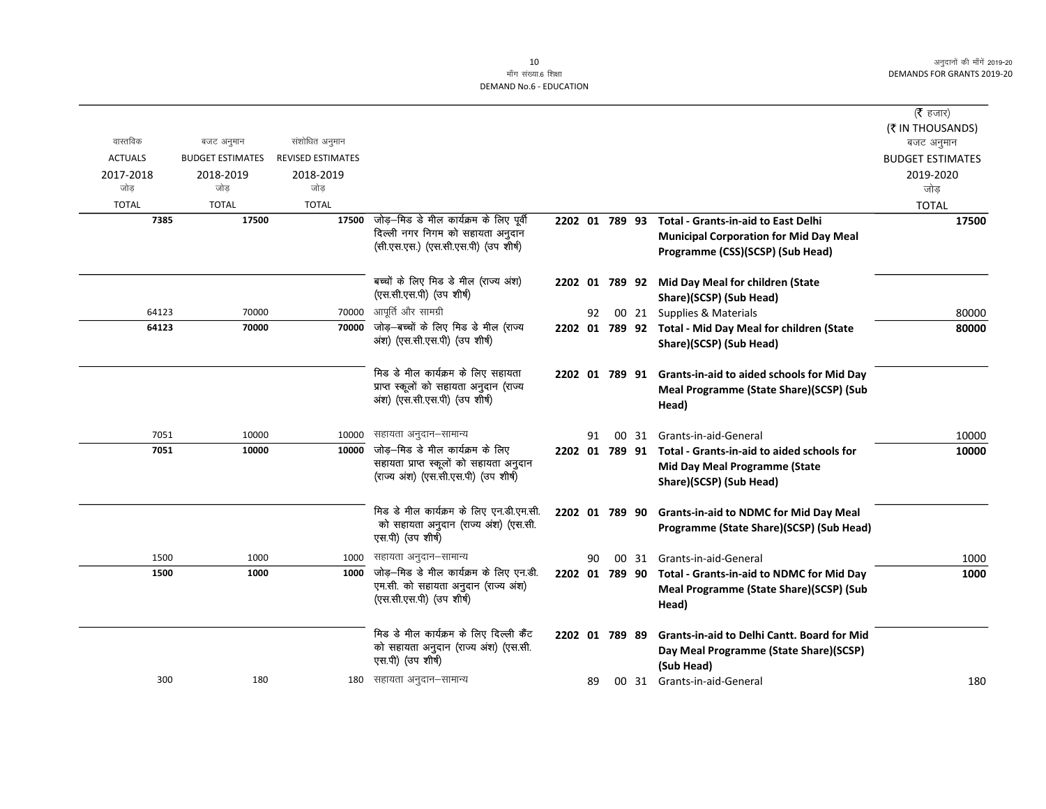|                |                         |                          |                                                                          |                |    |       |                                                                                    | (रै हजार)                      |
|----------------|-------------------------|--------------------------|--------------------------------------------------------------------------|----------------|----|-------|------------------------------------------------------------------------------------|--------------------------------|
| वास्तविक       | बजट अनुमान              | संशोधित अनुमान           |                                                                          |                |    |       |                                                                                    | (₹ IN THOUSANDS)<br>बजट अनुमान |
| <b>ACTUALS</b> | <b>BUDGET ESTIMATES</b> | <b>REVISED ESTIMATES</b> |                                                                          |                |    |       |                                                                                    | <b>BUDGET ESTIMATES</b>        |
| 2017-2018      | 2018-2019               | 2018-2019                |                                                                          |                |    |       |                                                                                    | 2019-2020                      |
| जोड            | जोड                     | जोड                      |                                                                          |                |    |       |                                                                                    | जोड                            |
| <b>TOTAL</b>   | <b>TOTAL</b>            | <b>TOTAL</b>             |                                                                          |                |    |       |                                                                                    | <b>TOTAL</b>                   |
| 7385           | 17500                   | 17500                    | जोड़—मिड डे मील कार्यक्रम के लिए पूर्वी                                  | 2202 01 789 93 |    |       | <b>Total - Grants-in-aid to East Delhi</b>                                         | 17500                          |
|                |                         |                          | दिल्ली नगर निगम को सहायता अनुदान                                         |                |    |       | <b>Municipal Corporation for Mid Day Meal</b>                                      |                                |
|                |                         |                          | (सी.एस.एस.) (एस.सी.एस.पी) (उप शीर्ष)                                     |                |    |       | Programme (CSS)(SCSP) (Sub Head)                                                   |                                |
|                |                         |                          | बच्चों के लिए मिड डे मील (राज्य अंश)                                     |                |    |       | 2202 01 789 92 Mid Day Meal for children (State                                    |                                |
|                |                         |                          | (एस.सी.एस.पी) (उप शीर्ष)                                                 |                |    |       | Share)(SCSP) (Sub Head)                                                            |                                |
| 64123          | 70000                   | 70000                    | आपूर्ति और सामग्री                                                       |                | 92 |       | 00 21 Supplies & Materials                                                         | 80000                          |
| 64123          | 70000                   | 70000                    | जोड़-बच्चों के लिए मिड डे मील (राज्य<br>अंश) (एस.सी.एस.पी) (उप शीर्ष)    |                |    |       | 2202 01 789 92 Total - Mid Day Meal for children (State<br>Share)(SCSP) (Sub Head) | 80000                          |
|                |                         |                          | मिड डे मील कार्यक्रम के लिए सहायता                                       |                |    |       | 2202 01 789 91 Grants-in-aid to aided schools for Mid Day                          |                                |
|                |                         |                          | प्राप्त स्कूलों को सहायता अनुदान (राज्य<br>अंश) (एस.सी.एस.पी) (उप शीर्ष) |                |    |       | Meal Programme (State Share)(SCSP) (Sub<br>Head)                                   |                                |
| 7051           | 10000                   | 10000                    | सहायता अनुदान–सामान्य                                                    |                | 91 | 00 31 | Grants-in-aid-General                                                              | 10000                          |
| 7051           | 10000                   | 10000                    | जोड़—मिड डे मील कार्यक्रम के लिए                                         |                |    |       | 2202 01 789 91 Total - Grants-in-aid to aided schools for                          | 10000                          |
|                |                         |                          | सहायता प्राप्त स्कूलों को सहायता अनुदान                                  |                |    |       | <b>Mid Day Meal Programme (State</b>                                               |                                |
|                |                         |                          | (राज्य अंश) (एस.सी.एस.पी) (उप शीर्ष)                                     |                |    |       | Share)(SCSP) (Sub Head)                                                            |                                |
|                |                         |                          | मिड डे मील कार्यक्रम के लिए एन.डी.एम.सी.                                 | 2202 01 789 90 |    |       | <b>Grants-in-aid to NDMC for Mid Day Meal</b>                                      |                                |
|                |                         |                          | को सहायता अनुदान (राज्य अंश) (एस.सी.<br>एस.पी) (उप शीर्ष)                |                |    |       | Programme (State Share)(SCSP) (Sub Head)                                           |                                |
| 1500           | 1000                    | 1000                     | सहायता अनुदान–सामान्य                                                    |                | 90 |       | 00 31 Grants-in-aid-General                                                        | 1000                           |
| 1500           | 1000                    | 1000                     | जोड़—मिड डे मील कार्यक्रम के लिए एन.डी.                                  |                |    |       | 2202 01 789 90 Total - Grants-in-aid to NDMC for Mid Day                           | 1000                           |
|                |                         |                          | एम.सी. को सहायता अनुदान (राज्य अंश)<br>(एस.सी.एस.पी) (उप शीर्ष)          |                |    |       | Meal Programme (State Share)(SCSP) (Sub<br>Head)                                   |                                |
|                |                         |                          | मिड डे मील कार्यक्रम के लिए दिल्ली कैंट                                  | 2202 01 789 89 |    |       | <b>Grants-in-aid to Delhi Cantt. Board for Mid</b>                                 |                                |
|                |                         |                          | को सहायता अनुदान (राज्य अंश) (एस.सी.<br>एस.पी) (उप शीर्ष)                |                |    |       | Day Meal Programme (State Share)(SCSP)<br>(Sub Head)                               |                                |
| 300            | 180                     |                          | 180 सहायता अनुदान–सामान्य                                                |                | 89 |       | 00 31 Grants-in-aid-General                                                        | 180                            |
|                |                         |                          |                                                                          |                |    |       |                                                                                    |                                |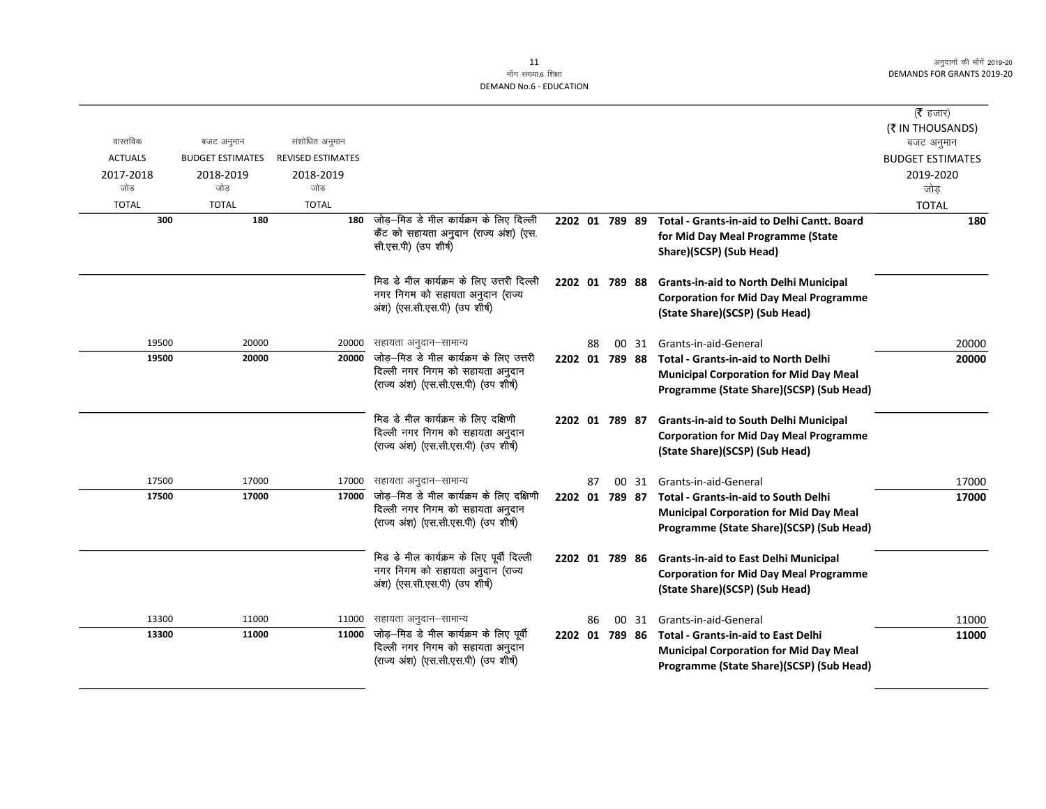|                     |                         |                   |                                                                              |                |    |  |                                                    | ( $\bar{\tau}$ हजार)    |
|---------------------|-------------------------|-------------------|------------------------------------------------------------------------------|----------------|----|--|----------------------------------------------------|-------------------------|
|                     |                         |                   |                                                                              |                |    |  |                                                    | (₹ IN THOUSANDS)        |
| वास्तविक            | बजट अनुमान              | संशोधित अनुमान    |                                                                              |                |    |  |                                                    | बजट अनुमान              |
| <b>ACTUALS</b>      | <b>BUDGET ESTIMATES</b> | REVISED ESTIMATES |                                                                              |                |    |  |                                                    | <b>BUDGET ESTIMATES</b> |
| 2017-2018<br>जोड    | 2018-2019               | 2018-2019<br>जोड  |                                                                              |                |    |  |                                                    | 2019-2020               |
|                     | जोड                     |                   |                                                                              |                |    |  |                                                    | जोड                     |
| <b>TOTAL</b><br>300 | <b>TOTAL</b><br>180     | <b>TOTAL</b>      | 180 जोड़-मिड डे मील कार्यक्रम के लिए दिल्ली                                  | 2202 01 789 89 |    |  | <b>Total - Grants-in-aid to Delhi Cantt. Board</b> | <b>TOTAL</b><br>180     |
|                     |                         |                   | कैंट को सहायता अनुदान (राज्य अंश) (एस.                                       |                |    |  | for Mid Day Meal Programme (State                  |                         |
|                     |                         |                   | सी.एस.पी) (उप शीर्ष)                                                         |                |    |  | Share)(SCSP) (Sub Head)                            |                         |
|                     |                         |                   |                                                                              |                |    |  |                                                    |                         |
|                     |                         |                   | मिड डे मील कार्यक्रम के लिए उत्तरी दिल्ली                                    | 2202 01 789 88 |    |  | <b>Grants-in-aid to North Delhi Municipal</b>      |                         |
|                     |                         |                   | नगर निगम को सहायता अनुदान (राज्य                                             |                |    |  | <b>Corporation for Mid Day Meal Programme</b>      |                         |
|                     |                         |                   | अंश) (एस.सी.एस.पी) (उप शीर्ष)                                                |                |    |  | (State Share)(SCSP) (Sub Head)                     |                         |
|                     |                         |                   |                                                                              |                |    |  |                                                    |                         |
| 19500               | 20000                   | 20000             | सहायता अनुदान–सामान्य<br>जोड़-मिड डे मील कार्यक्रम के लिए उत्तरी             |                | 88 |  | 00 31 Grants-in-aid-General                        | 20000                   |
| 19500               | 20000                   | 20000             | दिल्ली नगर निगम को सहायता अनुदान                                             | 2202 01 789 88 |    |  | <b>Total - Grants-in-aid to North Delhi</b>        | 20000                   |
|                     |                         |                   | (राज्य अंश) (एस.सी.एस.पी) (उप शीर्ष)                                         |                |    |  | <b>Municipal Corporation for Mid Day Meal</b>      |                         |
|                     |                         |                   |                                                                              |                |    |  | Programme (State Share)(SCSP) (Sub Head)           |                         |
|                     |                         |                   | मिड डे मील कार्यक्रम के लिए दक्षिणी                                          | 2202 01 789 87 |    |  | <b>Grants-in-aid to South Delhi Municipal</b>      |                         |
|                     |                         |                   | दिल्ली नगर निगम को सहायता अनुदान                                             |                |    |  | <b>Corporation for Mid Day Meal Programme</b>      |                         |
|                     |                         |                   | (राज्य अंश) (एस.सी.एस.पी) (उप शीर्ष)                                         |                |    |  | (State Share)(SCSP) (Sub Head)                     |                         |
|                     |                         |                   |                                                                              |                |    |  |                                                    |                         |
| 17500               | 17000                   | 17000             | सहायता अनुदान–सामान्य                                                        |                | 87 |  | 00 31 Grants-in-aid-General                        | 17000                   |
| 17500               | 17000                   | 17000             | जोड़—मिड डे मील कार्यक्रम के लिए दक्षिणी<br>दिल्ली नगर निगम को सहायता अनुदान | 2202 01 789 87 |    |  | <b>Total - Grants-in-aid to South Delhi</b>        | 17000                   |
|                     |                         |                   | (राज्य अंश) (एस.सी.एस.पी) (उप शीर्ष)                                         |                |    |  | <b>Municipal Corporation for Mid Day Meal</b>      |                         |
|                     |                         |                   |                                                                              |                |    |  | Programme (State Share)(SCSP) (Sub Head)           |                         |
|                     |                         |                   | मिड डे मील कार्यक्रम के लिए पूर्वी दिल्ली                                    | 2202 01 789 86 |    |  | <b>Grants-in-aid to East Delhi Municipal</b>       |                         |
|                     |                         |                   | नगर निगम को सहायता अनुदान (राज्य                                             |                |    |  | <b>Corporation for Mid Day Meal Programme</b>      |                         |
|                     |                         |                   | अंश) (एस.सी.एस.पी) (उप शीर्ष)                                                |                |    |  | (State Share)(SCSP) (Sub Head)                     |                         |
|                     |                         |                   |                                                                              |                |    |  |                                                    |                         |
| 13300               | 11000                   | 11000             | सहायता अनुदान–सामान्य                                                        |                | 86 |  | 00 31 Grants-in-aid-General                        | 11000                   |
| 13300               | 11000                   | 11000             | जोड़-मिड डे मील कार्यक्रम के लिए पूर्वी                                      | 2202 01 789 86 |    |  | <b>Total - Grants-in-aid to East Delhi</b>         | 11000                   |
|                     |                         |                   | दिल्ली नगर निगम को सहायता अनुदान<br>(राज्य अंश) (एस.सी.एस.पी) (उप शीर्ष)     |                |    |  | <b>Municipal Corporation for Mid Day Meal</b>      |                         |
|                     |                         |                   |                                                                              |                |    |  | Programme (State Share)(SCSP) (Sub Head)           |                         |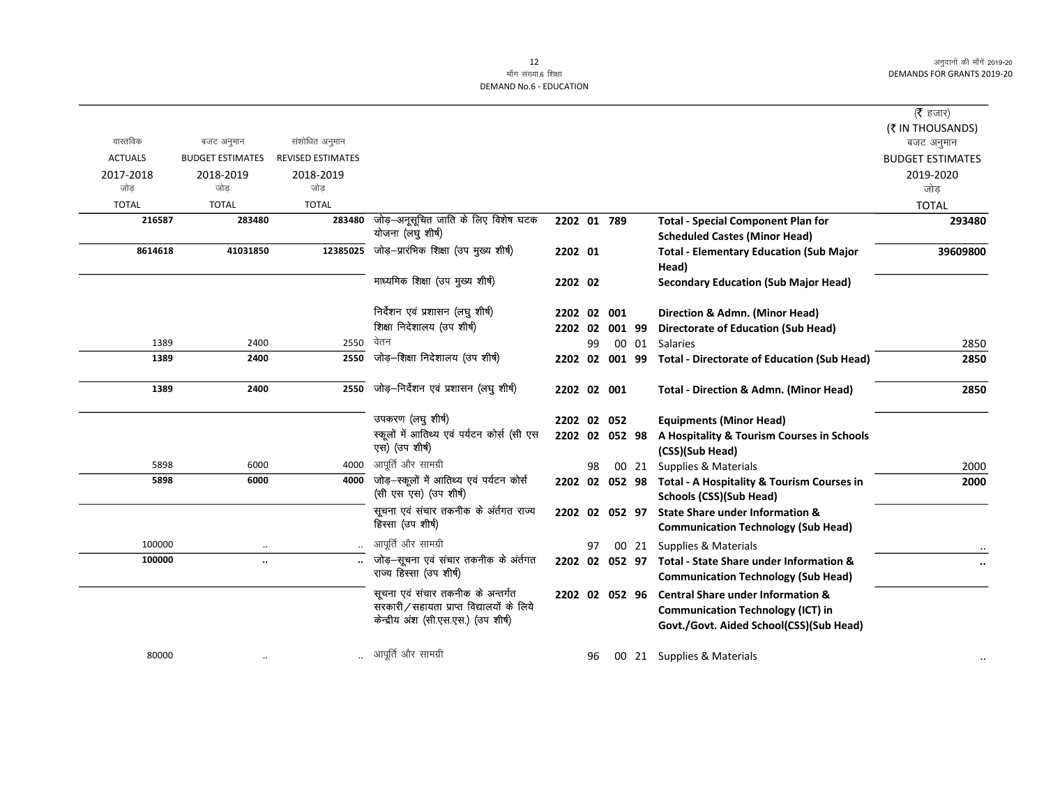|                |                         |                          |                                                                                                                       |                |    |       |                                                                                                                                     | ( $\bar{\tau}$ हजार)    |
|----------------|-------------------------|--------------------------|-----------------------------------------------------------------------------------------------------------------------|----------------|----|-------|-------------------------------------------------------------------------------------------------------------------------------------|-------------------------|
|                |                         |                          |                                                                                                                       |                |    |       |                                                                                                                                     | (₹ IN THOUSANDS)        |
| वास्तविक       | बजट अनुमान              | संशोधित अनुमान           |                                                                                                                       |                |    |       |                                                                                                                                     | बजट अनुमान              |
| <b>ACTUALS</b> | <b>BUDGET ESTIMATES</b> | <b>REVISED ESTIMATES</b> |                                                                                                                       |                |    |       |                                                                                                                                     | <b>BUDGET ESTIMATES</b> |
| 2017-2018      | 2018-2019               | 2018-2019                |                                                                                                                       |                |    |       |                                                                                                                                     | 2019-2020               |
| जोड            | जोड                     | जोड                      |                                                                                                                       |                |    |       |                                                                                                                                     | जोड                     |
| <b>TOTAL</b>   | <b>TOTAL</b>            | <b>TOTAL</b>             |                                                                                                                       |                |    |       |                                                                                                                                     | <b>TOTAL</b>            |
| 216587         | 283480                  | 283480                   | जोड़-अनूसूचित जाति के लिए विशेष घटक<br>योजना (लघु शीर्ष)                                                              | 2202 01 789    |    |       | <b>Total - Special Component Plan for</b>                                                                                           | 293480                  |
|                |                         |                          |                                                                                                                       |                |    |       | <b>Scheduled Castes (Minor Head)</b>                                                                                                |                         |
| 8614618        | 41031850                | 12385025                 | जोड़-प्रारंभिक शिक्षा (उप मुख्य शीर्ष)                                                                                | 2202 01        |    |       | <b>Total - Elementary Education (Sub Major</b><br>Head)                                                                             | 39609800                |
|                |                         |                          | माध्यमिक शिक्षा (उप मुख्य शीर्ष)                                                                                      | 2202 02        |    |       | <b>Secondary Education (Sub Major Head)</b>                                                                                         |                         |
|                |                         |                          | निर्देशन एवं प्रशासन (लघु शीर्ष)                                                                                      | 2202 02 001    |    |       | Direction & Admn. (Minor Head)                                                                                                      |                         |
|                |                         |                          | शिक्षा निदेशालय (उप शीर्ष)                                                                                            | 2202 02 001 99 |    |       | <b>Directorate of Education (Sub Head)</b>                                                                                          |                         |
| 1389           | 2400                    | 2550                     | वेतन                                                                                                                  |                | 99 |       | 00 01 Salaries                                                                                                                      | 2850                    |
| 1389           | 2400                    | 2550                     | जोड़-शिक्षा निदेशालय (उप शीर्ष)                                                                                       |                |    |       | 2202 02 001 99 Total - Directorate of Education (Sub Head)                                                                          | 2850                    |
| 1389           | 2400                    | 2550                     | जोड़–निर्देशन एवं प्रशासन (लघु शीर्ष)                                                                                 | 2202 02 001    |    |       | <b>Total - Direction &amp; Admn. (Minor Head)</b>                                                                                   | 2850                    |
|                |                         |                          | उपकरण (लघु शीर्ष)                                                                                                     | 2202 02 052    |    |       | <b>Equipments (Minor Head)</b>                                                                                                      |                         |
|                |                         |                          | स्कूलों में आतिथ्य एवं पर्यटन कोर्स (सी एस<br>एस) (उप शीर्ष)                                                          | 2202 02 052 98 |    |       | A Hospitality & Tourism Courses in Schools<br>(CSS)(Sub Head)                                                                       |                         |
| 5898           | 6000                    | 4000                     | आपूर्ति और सामग्री                                                                                                    |                | 98 | 00 21 | Supplies & Materials                                                                                                                | 2000                    |
| 5898           | 6000                    | 4000                     | जोड़-स्कूलों में आतिथ्य एवं पर्यटन कोर्स<br>(सी एस एस) (उप शीर्ष)                                                     |                |    |       | 2202 02 052 98 Total - A Hospitality & Tourism Courses in<br>Schools (CSS)(Sub Head)                                                | 2000                    |
|                |                         |                          | सूचना एवं संचार तकनीक के अंर्तगत राज्य<br>हिस्सा (उप शीर्ष)                                                           | 2202 02 052 97 |    |       | <b>State Share under Information &amp;</b>                                                                                          |                         |
|                |                         |                          |                                                                                                                       |                |    |       | <b>Communication Technology (Sub Head)</b>                                                                                          |                         |
| 100000         | $\ddotsc$               |                          | आपूर्ति और सामग्री                                                                                                    |                | 97 |       | 00 21 Supplies & Materials                                                                                                          |                         |
| 100000         | $\ddot{\phantom{a}}$    |                          | जोड़-सूचना एवं संचार तकनीक के अंर्तगत<br>राज्य हिस्सा (उप शीर्ष)                                                      |                |    |       | 2202 02 052 97 Total - State Share under Information &<br><b>Communication Technology (Sub Head)</b>                                |                         |
|                |                         |                          | सूचना एवं संचार तकनीक के अन्तर्गत<br>सरकारी/सहायता प्राप्त विद्यालयों के लिये<br>केन्द्रीय अंश (सी.एस.एस.) (उप शीर्ष) | 2202 02 052 96 |    |       | <b>Central Share under Information &amp;</b><br><b>Communication Technology (ICT) in</b><br>Govt./Govt. Aided School(CSS)(Sub Head) |                         |
| 80000          |                         |                          | आपूर्ति और सामग्री                                                                                                    |                | 96 |       | 00 21 Supplies & Materials                                                                                                          |                         |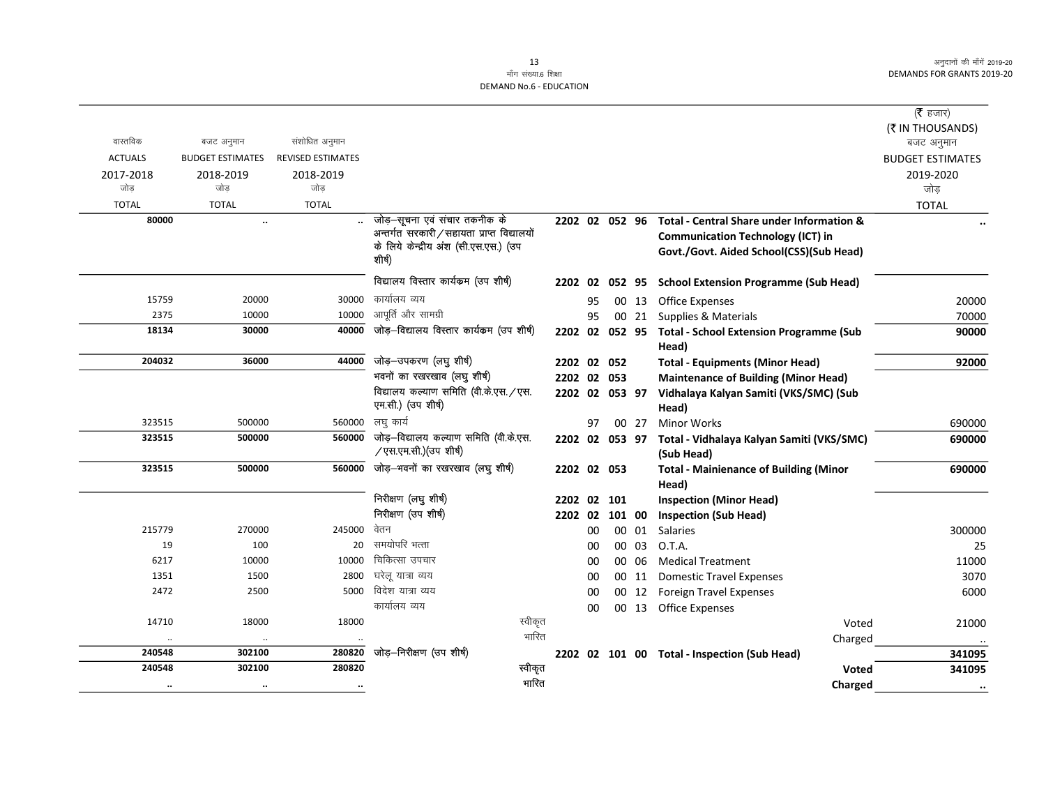( $\bar{\tau}$  हजार) (₹ IN THOUSANDS)

#### 13 माँग संख्या.6 शिक्षा DEMAND No.6 - EDUCATION

okLrfod ctV vu qeku la'kk sf/kr vu qeku ctV vuqeku ACTUALS BUDGET ESTIMATES REVISED ESTIMATES **REVISED ESTIMATES** 2017-2018 2018-2019 2018-2019 2019-2020 tk sM+ tk sM+ tk sM+ tk sM+ TOTAL TOTAL TOTAL TOTAL 80000 ... ... ... जोड़-सूचना एवं संचार अन्तर्गत सरकारी / सहाय के लिये केन्द्रीय अंश (र्स 'शीर्ष) 15759 20000 20000 30000 कार्यालय व्यय 20000 20000 3 95 00 13 Office Expenses 20000 20000 2375 10000 10000 आपूर्ति और सामग्री 2375 00 21 Supplies & Materials 10000 1 Materials 20000

# विद्यालय कल्याण समिति एम.सी.) (उप शीर्ष) 323515 500000 560000 tkMs +&fo|ky; dY;k.k lfefr ¼oh-ds-,l- /एस.एम.सी.) (उपशीष)

# 215779 270000 245000 बेतन 200000 कर 245000 कर कर 2000 00 00 01 Salaries 200000 215779 2700000 2300000 19 100 100 20 समयोपरि भत्ता 25 20 समयोपरि भत्ता 25 6217 10000 10000 fpfdRlk mipkj 00 00 06 Medical Treatment 11000 1351 1351 1500 11 Domestic Travel Expenses 1500 11 Domestic Travel Expenses 1500 11 Domestic Travel Expenses 2472 2500 2500 5000 विदेश यात्रा व्यय 2500 20 00 00 12 Foreign Travel Expenses 2500 25 5000

|               |              | <b>UTTLE EXPEITSES</b>                       | כב טט | υU |                          |           |           |           |
|---------------|--------------|----------------------------------------------|-------|----|--------------------------|-----------|-----------|-----------|
| 21000         | Voted        |                                              |       |    | स्वीकृत                  | 18000     | 18000     | 14710     |
| $\cdot$       | Charged      |                                              |       |    | भारित                    | $\cdot$ . | $\cdot$ . | $\cdot$ . |
| 341095        |              | 2202 02 101 00 Total - Inspection (Sub Head) |       |    | जोड़—निरीक्षण (उप शीर्ष) | 280820    | 302100    | 240548    |
| 341095        | <b>Voted</b> |                                              |       |    | स्वीकृत                  | 280820    | 302100    | 240548    |
| $\cdot \cdot$ | Charged      |                                              |       |    | भारित                    | $\cdots$  | $\cdot$ . | $\cdot$ . |

|        |        |        |                                                                            |                |    |     |     |                                                                                       | 1017   |
|--------|--------|--------|----------------------------------------------------------------------------|----------------|----|-----|-----|---------------------------------------------------------------------------------------|--------|
| 80000  |        |        | जोड़–सूचना एवं संचार तकनीक के<br>अन्तर्गत सरकारी/सहायता प्राप्त विद्यालयों | 2202 02 052    |    |     | 96  | Total - Central Share under Information &<br><b>Communication Technology (ICT) in</b> |        |
|        |        |        | के लिये केन्द्रीय अंश (सी.एस.एस.) (उप<br>शीर्ष)                            |                |    |     |     | Govt./Govt. Aided School(CSS)(Sub Head)                                               |        |
|        |        |        | विद्यालय विस्तार कार्यकम (उप शीर्ष)                                        | 2202 02 052 95 |    |     |     | <b>School Extension Programme (Sub Head)</b>                                          |        |
| 15759  | 20000  | 30000  | कार्यालय व्यय                                                              |                | 95 | 00  | -13 | Office Expenses                                                                       | 20000  |
| 2375   | 10000  | 10000  | आपूर्ति और सामग्री                                                         |                | 95 | 00  | 21  | Supplies & Materials                                                                  | 70000  |
| 18134  | 30000  | 40000  | जोड़–विद्यालय विस्तार कार्यक्रम (उप शीर्ष)                                 | 2202 02 052 95 |    |     |     | <b>Total - School Extension Programme (Sub</b>                                        | 90000  |
| 204032 |        | 44000  | जोड़—उपकरण (लघु शीर्ष)                                                     |                |    |     |     | Head)                                                                                 |        |
|        | 36000  |        |                                                                            | 2202 02 052    |    |     |     | <b>Total - Equipments (Minor Head)</b>                                                | 92000  |
|        |        |        | भवनों का रखरखाव (लघु शीर्ष)                                                | 2202 02 053    |    |     |     | <b>Maintenance of Building (Minor Head)</b>                                           |        |
|        |        |        | विद्यालय कल्याण समिति (वी.के.एस. / एस.<br>एम.सी.) (उप शीर्ष)               | 2202 02 053 97 |    |     |     | Vidhalaya Kalyan Samiti (VKS/SMC) (Sub<br>Head)                                       |        |
| 323515 | 500000 | 560000 | लघु कार्य                                                                  |                | 97 | 00  | 27  | <b>Minor Works</b>                                                                    | 690000 |
| 323515 | 500000 | 560000 | जोड़—विद्यालय कल्याण समिति (वी.के.एस.<br>∕एस.एम.सी.)(उप शीर्ष)             | 2202 02 053 97 |    |     |     | Total - Vidhalaya Kalyan Samiti (VKS/SMC)<br>(Sub Head)                               | 690000 |
| 323515 | 500000 | 560000 | जोड़—भवनों का रखरखाव (लघु शीर्ष)                                           | 2202 02 053    |    |     |     | <b>Total - Mainienance of Building (Minor</b><br>Head)                                | 690000 |
|        |        |        | निरीक्षण (लघु शीर्ष)                                                       | 2202 02        |    | 101 |     | <b>Inspection (Minor Head)</b>                                                        |        |
|        |        |        | निरीक्षण (उप शीर्ष)                                                        | 2202 02 101 00 |    |     |     | <b>Inspection (Sub Head)</b>                                                          |        |

2202 02 101 00 Inspection (Sub Head)

00 00 13 Office Expenses

| समयोपरि भत्ता            |
|--------------------------|
| चिकित्सा उपचार           |
| घरेलू यात्रा व्यय        |
| विदेश यात्रा व्यय        |
| कार्यालय व्यय            |
|                          |
|                          |
| जोड़–निरीक्षण (उप शीर्ष) |
|                          |

# 2202 02 101 00 Total - Inspection (Sub Head) 341095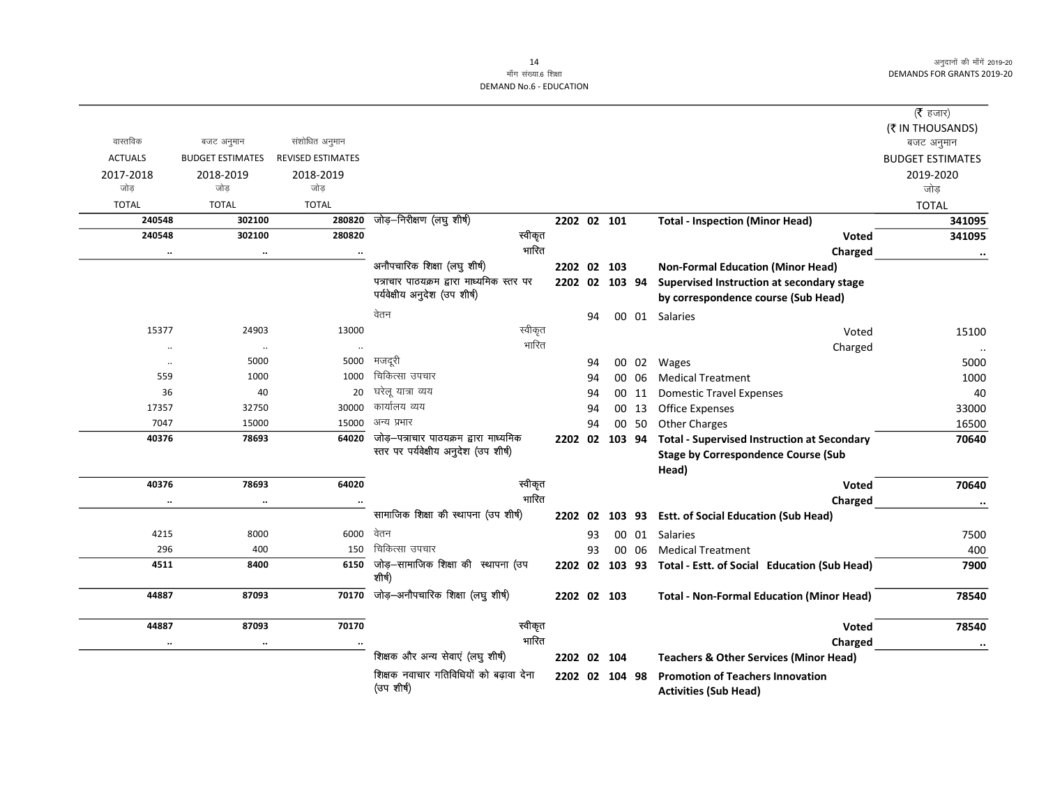# माँग संख्या.6 शिक्षा DEMAND No.6 - EDUCATION

|                |                         |                          |                                                      |         |                |    |       |                                                             | ( <b>रै</b> हजार)       |
|----------------|-------------------------|--------------------------|------------------------------------------------------|---------|----------------|----|-------|-------------------------------------------------------------|-------------------------|
|                |                         |                          |                                                      |         |                |    |       |                                                             | (₹ IN THOUSANDS)        |
| वास्तविक       | बजट अनुमान              | संशोधित अनुमान           |                                                      |         |                |    |       |                                                             | बजट अनुमान              |
| <b>ACTUALS</b> | <b>BUDGET ESTIMATES</b> | <b>REVISED ESTIMATES</b> |                                                      |         |                |    |       |                                                             | <b>BUDGET ESTIMATES</b> |
| 2017-2018      | 2018-2019               | 2018-2019                |                                                      |         |                |    |       |                                                             | 2019-2020               |
| जोड            | जोड                     | जोड                      |                                                      |         |                |    |       |                                                             | जोड                     |
| <b>TOTAL</b>   | <b>TOTAL</b>            | <b>TOTAL</b>             |                                                      |         |                |    |       |                                                             | <b>TOTAL</b>            |
| 240548         | 302100                  | 280820                   | जोड़-निरीक्षण (लघु शीर्ष)                            |         | 2202 02 101    |    |       | <b>Total - Inspection (Minor Head)</b>                      | 341095                  |
| 240548         | 302100                  | 280820                   |                                                      | स्वीकृत |                |    |       | <b>Voted</b>                                                | 341095                  |
| $\ldots$       | $\ddotsc$               |                          |                                                      | भारित   |                |    |       | Charged                                                     | $\bullet\bullet$        |
|                |                         |                          | अनौपचारिक शिक्षा (लघु शीर्ष)                         |         | 2202 02 103    |    |       | <b>Non-Formal Education (Minor Head)</b>                    |                         |
|                |                         |                          | पत्राचार पाठयक्रम द्वारा माध्यमिक स्तर पर            |         | 2202 02 103 94 |    |       | Supervised Instruction at secondary stage                   |                         |
|                |                         |                          | पर्यवेक्षीय अनुदेश (उप शीर्ष)                        |         |                |    |       | by correspondence course (Sub Head)                         |                         |
|                |                         |                          | वेतन                                                 |         |                | 94 |       | 00 01 Salaries                                              |                         |
| 15377          | 24903                   | 13000                    |                                                      | स्वीकृत |                |    |       | Voted                                                       | 15100                   |
| $\ddotsc$      | $\ldots$                |                          |                                                      | भारित   |                |    |       | Charged                                                     | $\cdot\cdot$            |
| $\ldots$       | 5000                    | 5000                     | मजदूरी                                               |         |                | 94 |       | 00 02 Wages                                                 | 5000                    |
| 559            | 1000                    | 1000                     | चिकित्सा उपचार                                       |         |                | 94 | 00 06 | <b>Medical Treatment</b>                                    | 1000                    |
| 36             | 40                      |                          | 20 घरेलू यात्रा व्यय                                 |         |                | 94 | 00 11 | <b>Domestic Travel Expenses</b>                             | 40                      |
| 17357          | 32750                   |                          | 30000 कार्यालय व्यय                                  |         |                | 94 | 00 13 | <b>Office Expenses</b>                                      | 33000                   |
| 7047           | 15000                   |                          | 15000 अन्य प्रभार                                    |         |                | 94 | 00 50 | <b>Other Charges</b>                                        | 16500                   |
| 40376          | 78693                   | 64020                    | जोड़—पत्राचार पाठयक्रम द्वारा माध्यमिक               |         |                |    |       | 2202 02 103 94 Total - Supervised Instruction at Secondary  | 70640                   |
|                |                         |                          | स्तर पर पर्यवेक्षीय अनुदेश (उप शीर्ष)                |         |                |    |       | <b>Stage by Correspondence Course (Sub</b>                  |                         |
|                |                         |                          |                                                      |         |                |    |       | Head)                                                       |                         |
| 40376          | 78693                   | 64020                    |                                                      | स्वीकृत |                |    |       | Voted                                                       | 70640                   |
| $\ldots$       | $\ddotsc$               |                          |                                                      | भारित   |                |    |       | Charged                                                     | $\cdot\cdot$            |
|                |                         |                          | सामाजिक शिक्षा की स्थापना (उप शीर्ष)                 |         | 2202 02        |    |       | 103 93 Estt. of Social Education (Sub Head)                 |                         |
| 4215           | 8000                    | 6000 वेतन                |                                                      |         |                | 93 | 00 01 | Salaries                                                    | 7500                    |
| 296            | 400                     | 150                      | चिकित्सा उपचार                                       |         |                | 93 | 00 06 | <b>Medical Treatment</b>                                    | 400                     |
| 4511           | 8400                    |                          | $\overline{6150}$ जोड़-सामाजिक शिक्षा की स्थापना (उप |         |                |    |       | 2202 02 103 93 Total - Estt. of Social Education (Sub Head) | 7900                    |
|                |                         |                          | शीर्ष)                                               |         |                |    |       |                                                             |                         |
| 44887          | 87093                   | 70170                    | जोड़–अनौपचारिक शिक्षा (लघु शीर्ष)                    |         | 2202 02 103    |    |       | <b>Total - Non-Formal Education (Minor Head)</b>            | 78540                   |
|                |                         |                          |                                                      |         |                |    |       |                                                             |                         |
| 44887          | 87093                   | 70170                    |                                                      | स्वीकृत |                |    |       | Voted                                                       | 78540                   |
| $\ddotsc$      | $\ldots$                |                          |                                                      | भारित   |                |    |       | Charged                                                     | $\ddotsc$               |
|                |                         |                          | शिक्षक और अन्य सेवाएं (लघु शीर्ष)                    |         | 2202 02 104    |    |       | <b>Teachers &amp; Other Services (Minor Head)</b>           |                         |
|                |                         |                          | शिक्षक नवाचार गतिविधियों को बढ़ावा देना              |         | 2202 02 104 98 |    |       | <b>Promotion of Teachers Innovation</b>                     |                         |
|                |                         |                          | (उप शीर्ष)                                           |         |                |    |       | <b>Activities (Sub Head)</b>                                |                         |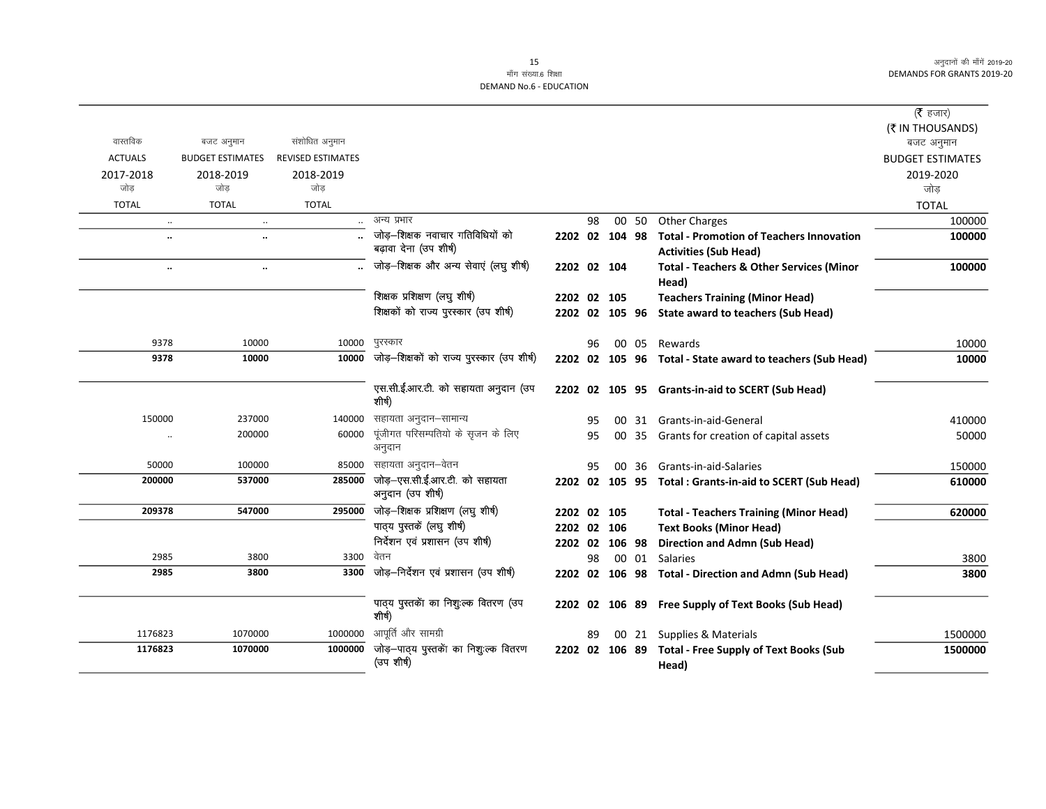#### 15 माँग संख्या.6 शिक्षा DEMAND No.6 - EDUCATION

|                      |                         |                          |                                                      |                |    |       |                                                           | (रै हजार)               |
|----------------------|-------------------------|--------------------------|------------------------------------------------------|----------------|----|-------|-----------------------------------------------------------|-------------------------|
|                      |                         |                          |                                                      |                |    |       |                                                           | (₹ IN THOUSANDS)        |
| वास्तविक             | बजट अनुमान              | संशोधित अनुमान           |                                                      |                |    |       |                                                           | बजट अनुमान              |
| <b>ACTUALS</b>       | <b>BUDGET ESTIMATES</b> | <b>REVISED ESTIMATES</b> |                                                      |                |    |       |                                                           | <b>BUDGET ESTIMATES</b> |
| 2017-2018            | 2018-2019               | 2018-2019                |                                                      |                |    |       |                                                           | 2019-2020               |
| जोड                  | जोड                     | जोड                      |                                                      |                |    |       |                                                           | जोड                     |
| <b>TOTAL</b>         | <b>TOTAL</b>            | <b>TOTAL</b>             |                                                      |                |    |       |                                                           | <b>TOTAL</b>            |
| $\ddot{\phantom{a}}$ | $\ddots$                |                          | अन्य प्रभार                                          |                | 98 | 00 50 | <b>Other Charges</b>                                      | 100000                  |
| $\ddot{\phantom{a}}$ | $\ddotsc$               |                          | जोड़-शिक्षक नवाचार गतिविधियों को                     | 2202 02 104 98 |    |       | <b>Total - Promotion of Teachers Innovation</b>           | 100000                  |
|                      |                         |                          | बढ़ावा देना (उप शीर्ष)                               |                |    |       | <b>Activities (Sub Head)</b>                              |                         |
| $\ldots$             | $\ddotsc$               |                          | जोड़-शिक्षक और अन्य सेवाएं (लघु शीर्ष)               | 2202 02 104    |    |       | <b>Total - Teachers &amp; Other Services (Minor</b>       | 100000                  |
|                      |                         |                          |                                                      |                |    |       | Head)                                                     |                         |
|                      |                         |                          | शिक्षक प्रशिक्षण (लघु शीर्ष)                         | 2202 02 105    |    |       | <b>Teachers Training (Minor Head)</b>                     |                         |
|                      |                         |                          | शिक्षकों को राज्य पुरस्कार (उप शीर्ष)                |                |    |       | 2202 02 105 96 State award to teachers (Sub Head)         |                         |
| 9378                 | 10000                   | 10000                    | पुरस्कार                                             |                | 96 | 00 05 | Rewards                                                   | 10000                   |
| 9378                 | 10000                   | 10000                    | जोड़-शिक्षकों को राज्य पुरस्कार (उप शीर्ष)           |                |    |       | 2202 02 105 96 Total - State award to teachers (Sub Head) | 10000                   |
|                      |                         |                          | एस.सी.ई.आर.टी. को सहायता अनुदान (उप<br>शीर्ष)        |                |    |       | 2202 02 105 95 Grants-in-aid to SCERT (Sub Head)          |                         |
| 150000               | 237000                  | 140000                   | सहायता अनुदान–सामान्य                                |                | 95 |       | 00 31 Grants-in-aid-General                               | 410000                  |
| $\cdot\cdot$         | 200000                  | 60000                    | पूंजीगत परिसम्पतियो के सृजन के लिए                   |                | 95 |       | 00 35 Grants for creation of capital assets               | 50000                   |
|                      |                         |                          | अनुदान                                               |                |    |       |                                                           |                         |
| 50000                | 100000                  | 85000                    | सहायता अनुदान–वेतन                                   |                | 95 |       | 00 36 Grants-in-aid-Salaries                              | 150000                  |
| 200000               | 537000                  | 285000                   | जोड़-एस.सी.ई.आर.टी. को सहायता<br>अनुदान (उप शीर्ष)   |                |    |       | 2202 02 105 95 Total: Grants-in-aid to SCERT (Sub Head)   | 610000                  |
| 209378               | 547000                  | 295000                   | जोड़-शिक्षक प्रशिक्षण (लघु शीर्ष)                    | 2202 02 105    |    |       | <b>Total - Teachers Training (Minor Head)</b>             | 620000                  |
|                      |                         |                          | पाठ्य पुस्तकें (लघु शीर्ष)                           | 2202 02 106    |    |       | <b>Text Books (Minor Head)</b>                            |                         |
|                      |                         |                          | निर्देशन एवं प्रशासन (उप शीर्ष)                      | 2202 02 106 98 |    |       | <b>Direction and Admn (Sub Head)</b>                      |                         |
| 2985                 | 3800                    | 3300                     | वेतन                                                 |                | 98 |       | 00 01 Salaries                                            | 3800                    |
| 2985                 | 3800                    | 3300                     | जोड़-निर्देशन एवं प्रशासन (उप शीर्ष)                 |                |    |       | 2202 02 106 98 Total - Direction and Admn (Sub Head)      | 3800                    |
|                      |                         |                          | पाठ्य पुस्तकों का निशुःल्क वितरण (उप<br>शीर्ष)       |                |    |       | 2202 02 106 89 Free Supply of Text Books (Sub Head)       |                         |
| 1176823              | 1070000                 | 1000000                  | आपूर्ति और सामग्री                                   |                | 89 | 00 21 | Supplies & Materials                                      | 1500000                 |
| 1176823              | 1070000                 | 1000000                  | जोड़—पाठ्य पुस्तकेंा का निशुःल्क वितरण<br>(उप शीर्ष) | 2202 02 106 89 |    |       | <b>Total - Free Supply of Text Books (Sub</b><br>Head)    | 1500000                 |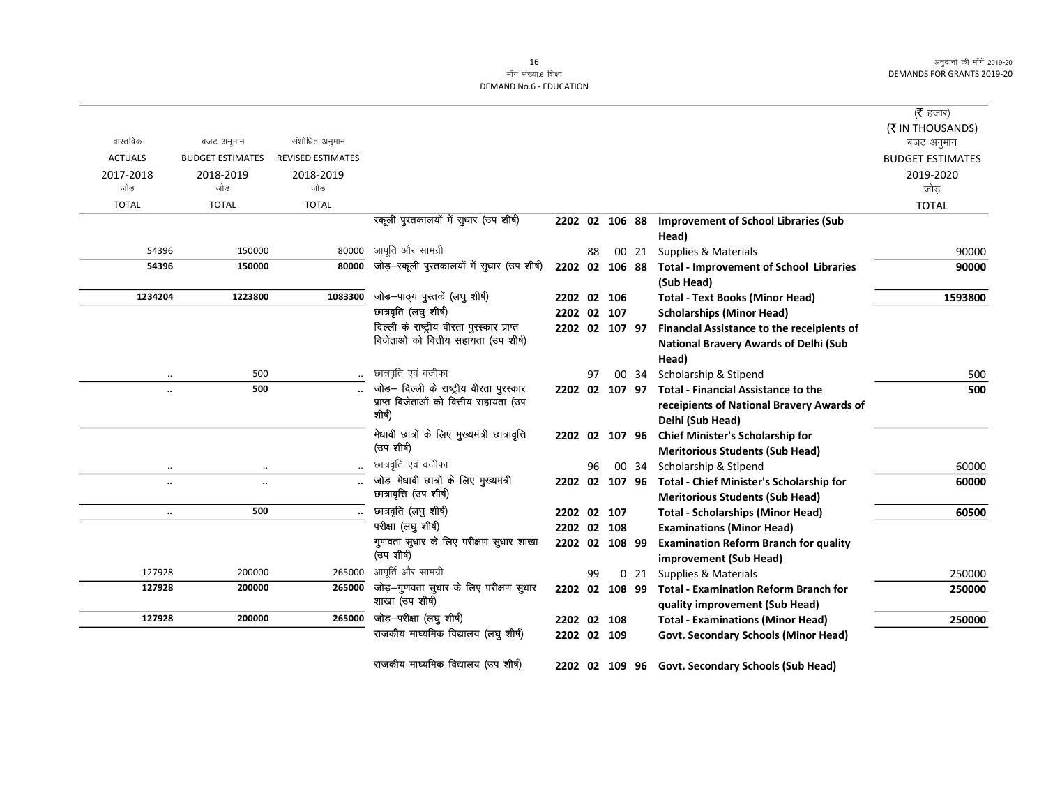|                |                         |                          |                                                  |             |    |                |                 |                                                   | (रै हजार)               |
|----------------|-------------------------|--------------------------|--------------------------------------------------|-------------|----|----------------|-----------------|---------------------------------------------------|-------------------------|
|                |                         |                          |                                                  |             |    |                |                 |                                                   | (₹ IN THOUSANDS)        |
| वास्तविक       | बजट अनुमान              | संशोधित अनुमान           |                                                  |             |    |                |                 |                                                   | बजट अनुमान              |
| <b>ACTUALS</b> | <b>BUDGET ESTIMATES</b> | <b>REVISED ESTIMATES</b> |                                                  |             |    |                |                 |                                                   | <b>BUDGET ESTIMATES</b> |
| 2017-2018      | 2018-2019               | 2018-2019                |                                                  |             |    |                |                 |                                                   | 2019-2020               |
| जोड            | जोड                     | जोड                      |                                                  |             |    |                |                 |                                                   | जोड़                    |
| <b>TOTAL</b>   | <b>TOTAL</b>            | <b>TOTAL</b>             |                                                  |             |    |                |                 |                                                   | <b>TOTAL</b>            |
|                |                         |                          | स्कूली पुस्तकालयों में सुधार (उप शीर्ष)          |             |    | 2202 02 106 88 |                 | <b>Improvement of School Libraries (Sub</b>       |                         |
|                |                         |                          |                                                  |             |    |                |                 | Head)                                             |                         |
| 54396          | 150000                  | 80000                    | आपूर्ति और सामग्री                               |             | 88 |                | 00 21           | Supplies & Materials                              | 90000                   |
| 54396          | 150000                  | 80000                    | जोड़-स्कूली पुस्तकालयों में सुधार (उप शीर्ष)     | 2202 02     |    | 106 88         |                 | <b>Total - Improvement of School Libraries</b>    | 90000                   |
|                |                         |                          |                                                  |             |    |                |                 | (Sub Head)                                        |                         |
| 1234204        | 1223800                 | 1083300                  | जोड़—पाठ्य पुस्तकें (लघु शीर्ष)                  | 2202 02 106 |    |                |                 | <b>Total - Text Books (Minor Head)</b>            | 1593800                 |
|                |                         |                          | छात्रवृति (लघु शीर्ष)                            | 2202 02 107 |    |                |                 | <b>Scholarships (Minor Head)</b>                  |                         |
|                |                         |                          | दिल्ली के राष्ट्रीय वीरता पुरस्कार प्राप्त       |             |    | 2202 02 107 97 |                 | Financial Assistance to the receipients of        |                         |
|                |                         |                          | विजेताओं को वित्तीय सहायता (उप शीर्ष)            |             |    |                |                 | <b>National Bravery Awards of Delhi (Sub</b>      |                         |
|                |                         |                          |                                                  |             |    |                |                 | Head)                                             |                         |
|                | 500                     |                          | छात्रवृति एवं वजीफा                              |             | 97 |                | 00 34           | Scholarship & Stipend                             | 500                     |
|                | 500                     |                          | जोड़- दिल्ली के राष्ट्रीय वीरता पुरस्कार         |             |    | 2202 02 107 97 |                 | <b>Total - Financial Assistance to the</b>        | 500                     |
|                |                         |                          | प्राप्त विजेताओं को वित्तीय सहायता (उप<br>शीर्ष) |             |    |                |                 | receipients of National Bravery Awards of         |                         |
|                |                         |                          |                                                  |             |    |                |                 | Delhi (Sub Head)                                  |                         |
|                |                         |                          | मेधावी छात्रों के लिए मुख्यमंत्री छात्रावृत्ति   |             |    | 2202 02 107 96 |                 | <b>Chief Minister's Scholarship for</b>           |                         |
|                |                         |                          | (उप शीर्ष)                                       |             |    |                |                 | <b>Meritorious Students (Sub Head)</b>            |                         |
| $\ddotsc$      |                         |                          | छात्रवृति एवं वजीफा                              |             | 96 |                | 00 34           | Scholarship & Stipend                             | 60000                   |
| $\ldots$       | $\ddot{\phantom{a}}$    |                          | जोड़-मेधावी छात्रों के लिए मुख्यमंत्री           |             |    | 2202 02 107 96 |                 | Total - Chief Minister's Scholarship for          | 60000                   |
|                |                         |                          | छात्रावृत्ति (उप शीर्ष)                          |             |    |                |                 | <b>Meritorious Students (Sub Head)</b>            |                         |
| $\ddotsc$      | 500                     |                          | छात्रवृति (लघु शीर्ष)                            | 2202 02 107 |    |                |                 | <b>Total - Scholarships (Minor Head)</b>          | 60500                   |
|                |                         |                          | परीक्षा (लघु शीर्ष)                              | 2202 02 108 |    |                |                 | <b>Examinations (Minor Head)</b>                  |                         |
|                |                         |                          | गुणवता सुधार के लिए परीक्षण सुधार शाखा           | 2202 02     |    | 108 99         |                 | <b>Examination Reform Branch for quality</b>      |                         |
|                |                         |                          | (उप शीर्ष)                                       |             |    |                |                 | improvement (Sub Head)                            |                         |
| 127928         | 200000                  | 265000                   | आपूर्ति और सामग्री                               |             | 99 |                | 0 <sub>21</sub> | Supplies & Materials                              | 250000                  |
| 127928         | 200000                  | 265000                   | जोड़-गुणवता सुधार के लिए परीक्षण सुधार           | 2202 02     |    | 108 99         |                 | <b>Total - Examination Reform Branch for</b>      | 250000                  |
|                |                         |                          | शाखा (उप शीर्ष)                                  |             |    |                |                 | quality improvement (Sub Head)                    |                         |
| 127928         | 200000                  | 265000                   | जोड़-परीक्षा (लघु शीर्ष)                         | 2202 02 108 |    |                |                 | <b>Total - Examinations (Minor Head)</b>          | 250000                  |
|                |                         |                          | राजकीय माघ्यमिक विद्यालय (लघु शीर्ष)             | 2202 02 109 |    |                |                 | <b>Govt. Secondary Schools (Minor Head)</b>       |                         |
|                |                         |                          |                                                  |             |    |                |                 |                                                   |                         |
|                |                         |                          | राजकीय माघ्यमिक विद्यालय (उप शीर्ष)              |             |    |                |                 | 2202 02 109 96 Govt. Secondary Schools (Sub Head) |                         |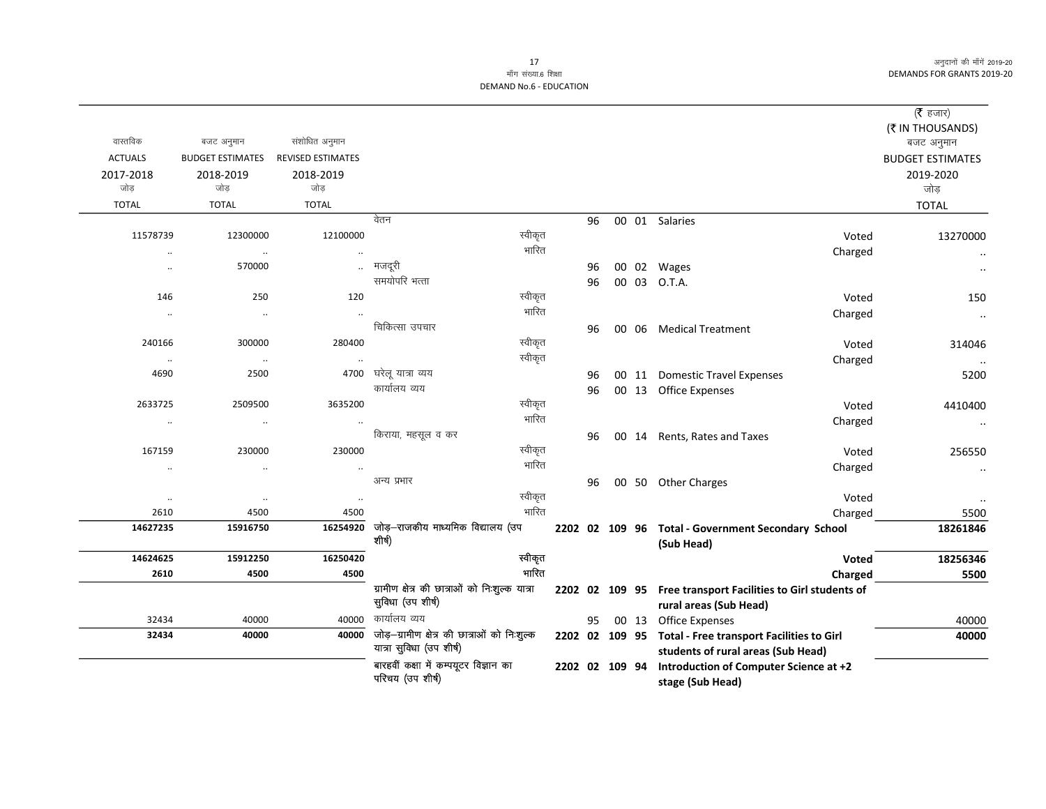# माँग संख्या.6 शिक्षा DEMAND No.6 - EDUCATION

|                      |                         |                          |                                                                          |    |                |                                                                                                | ( <b>रै</b> हजार)<br>(₹ IN THOUSANDS) |
|----------------------|-------------------------|--------------------------|--------------------------------------------------------------------------|----|----------------|------------------------------------------------------------------------------------------------|---------------------------------------|
| वास्तविक             | बजट अनुमान              | संशोधित अनुमान           |                                                                          |    |                |                                                                                                | बजट अनुमान                            |
| <b>ACTUALS</b>       | <b>BUDGET ESTIMATES</b> | <b>REVISED ESTIMATES</b> |                                                                          |    |                |                                                                                                | <b>BUDGET ESTIMATES</b>               |
| 2017-2018            | 2018-2019               | 2018-2019                |                                                                          |    |                |                                                                                                | 2019-2020                             |
| जोड़                 | जोड                     | जोड                      |                                                                          |    |                |                                                                                                | जोड़                                  |
| <b>TOTAL</b>         | <b>TOTAL</b>            | <b>TOTAL</b>             |                                                                          |    |                |                                                                                                | <b>TOTAL</b>                          |
|                      |                         |                          | वेतन                                                                     | 96 |                | 00 01 Salaries                                                                                 |                                       |
| 11578739             | 12300000                | 12100000                 | स्वीकृत                                                                  |    |                | Voted                                                                                          | 13270000                              |
| $\ddot{\phantom{a}}$ | $\ddotsc$               | $\ddot{\phantom{a}}$     | भारित                                                                    |    |                | Charged                                                                                        |                                       |
| $\ddotsc$            | 570000                  | $\ddot{\phantom{a}}$     | मजदूरी                                                                   | 96 |                | 00 02 Wages                                                                                    |                                       |
|                      |                         |                          | समयोपरि भत्ता                                                            | 96 |                | 00 03 O.T.A.                                                                                   |                                       |
| 146                  | 250                     | 120                      | स्वीकृत                                                                  |    |                | Voted                                                                                          | 150                                   |
| $\ddotsc$            | $\cdot\cdot$            | $\ddot{\phantom{a}}$     | भारित                                                                    |    |                | Charged                                                                                        | $\ddotsc$                             |
|                      |                         |                          | चिकित्सा उपचार                                                           | 96 |                | 00 06 Medical Treatment                                                                        |                                       |
| 240166               | 300000                  | 280400                   | स्वीकृत                                                                  |    |                | Voted                                                                                          | 314046                                |
| $\cdot\cdot$         | $\cdot\cdot$            | $\ddotsc$                | स्वीकृत                                                                  |    |                | Charged                                                                                        |                                       |
| 4690                 | 2500                    | 4700                     | घरेलू यात्रा व्यय                                                        | 96 |                | 00 11 Domestic Travel Expenses                                                                 | 5200                                  |
|                      |                         |                          | कार्यालय व्यय                                                            | 96 |                | 00 13 Office Expenses                                                                          |                                       |
| 2633725              | 2509500                 | 3635200                  | स्वीकृत                                                                  |    |                | Voted                                                                                          | 4410400                               |
| $\ldots$             | $\cdot\cdot$            |                          | भारित                                                                    |    |                | Charged                                                                                        | $\ldots$                              |
|                      |                         |                          | किराया, महसूल व कर                                                       | 96 |                | 00 14 Rents, Rates and Taxes                                                                   |                                       |
| 167159               | 230000                  | 230000                   | स्वीकृत                                                                  |    |                | Voted                                                                                          | 256550                                |
| $\cdot\cdot$         | $\cdot\cdot$            | $\cdot\cdot$             | भारित                                                                    |    |                | Charged                                                                                        | $\ddot{\phantom{a}}$                  |
|                      |                         |                          | अन्य प्रभार                                                              | 96 |                | 00 50 Other Charges                                                                            |                                       |
| $\cdot\cdot$         | $\cdot\cdot$            | $\cdot\cdot$             | स्वीकृत                                                                  |    |                | Voted                                                                                          |                                       |
| 2610                 | 4500                    | 4500                     | भारित                                                                    |    |                | Charged                                                                                        | 5500                                  |
| 14627235             | 15916750                | 16254920                 | जोड़—राजकीय माध्यमिक विद्यालय (उप<br>शीर्ष)                              |    |                | 2202 02 109 96 Total - Government Secondary School<br>(Sub Head)                               | 18261846                              |
| 14624625             | 15912250                | 16250420                 | स्वीकृत                                                                  |    |                | Voted                                                                                          | 18256346                              |
| 2610                 | 4500                    | 4500                     | भारित                                                                    |    |                | Charged                                                                                        | 5500                                  |
|                      |                         |                          | ग्रामीण क्षेत्र की छात्राओं को निःशुल्क यात्रा<br>सुविधा (उप शीर्ष)      |    |                | 2202 02 109 95 Free transport Facilities to Girl students of<br>rural areas (Sub Head)         |                                       |
| 32434                | 40000                   | 40000                    | कार्यालय व्यय                                                            | 95 |                | 00 13 Office Expenses                                                                          | 40000                                 |
| 32434                | 40000                   | 40000                    | जोड़-ग्रामीण क्षेत्र की छात्राओं को निःशुल्क<br>यात्रा सुविधा (उप शीर्ष) |    |                | 2202 02 109 95 Total - Free transport Facilities to Girl<br>students of rural areas (Sub Head) | 40000                                 |
|                      |                         |                          | बारहवीं कक्षा में कम्पयूटर विज्ञान का<br>परिचय (उप शीर्ष)                |    | 2202 02 109 94 | Introduction of Computer Science at +2<br>stage (Sub Head)                                     |                                       |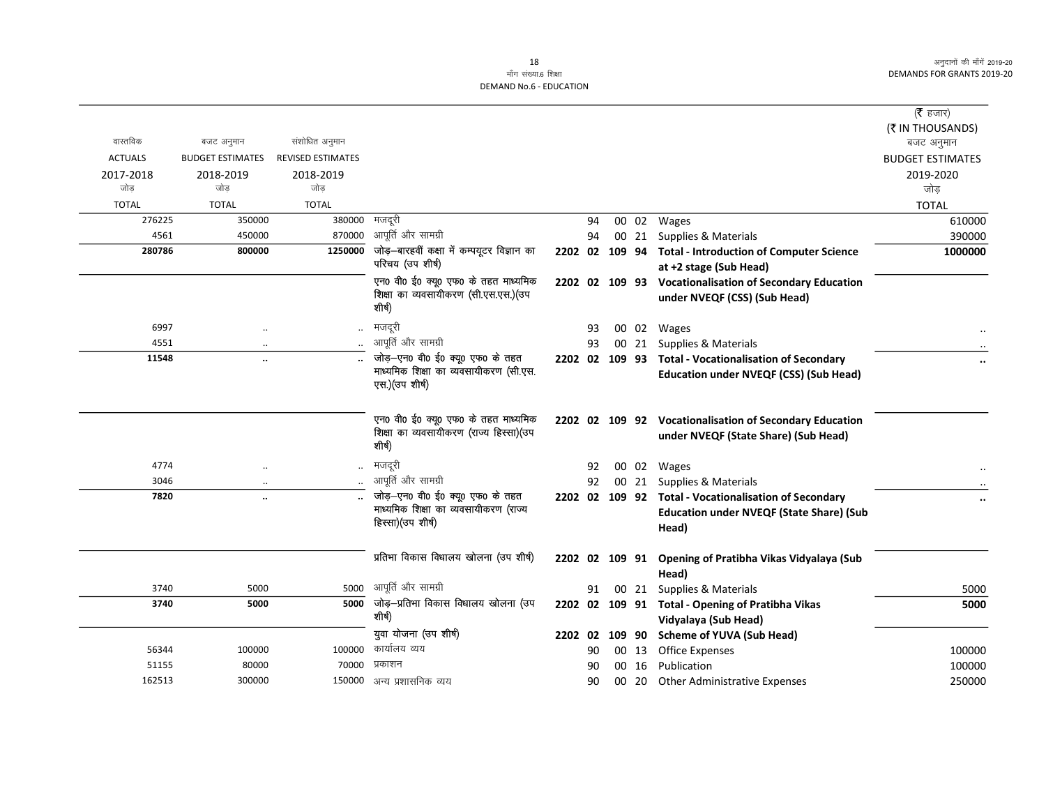### 18 माँग संख्या.6 शिक्षा

|                |                         |                          |                                                                                           |         |    |       |                                                                                                 | ( $\bar{\tau}$ हजार)    |
|----------------|-------------------------|--------------------------|-------------------------------------------------------------------------------------------|---------|----|-------|-------------------------------------------------------------------------------------------------|-------------------------|
|                |                         |                          |                                                                                           |         |    |       |                                                                                                 | (₹ IN THOUSANDS)        |
| वास्तविक       | बजट अनुमान              | संशोधित अनुमान           |                                                                                           |         |    |       |                                                                                                 | बजट अनुमान              |
| <b>ACTUALS</b> | <b>BUDGET ESTIMATES</b> | <b>REVISED ESTIMATES</b> |                                                                                           |         |    |       |                                                                                                 | <b>BUDGET ESTIMATES</b> |
| 2017-2018      | 2018-2019               | 2018-2019                |                                                                                           |         |    |       |                                                                                                 | 2019-2020               |
| जोड            | जोड                     | जोड                      |                                                                                           |         |    |       |                                                                                                 | जोड                     |
| <b>TOTAL</b>   | <b>TOTAL</b>            | <b>TOTAL</b>             |                                                                                           |         |    |       |                                                                                                 | <b>TOTAL</b>            |
| 276225         | 350000                  | 380000                   | मजदूरी                                                                                    |         | 94 |       | $\overline{00}$ 02 Wages                                                                        | 610000                  |
| 4561           | 450000                  | 870000                   | आपूर्ति और सामग्री                                                                        |         | 94 |       | 00 21 Supplies & Materials                                                                      | 390000                  |
| 280786         | 800000                  | 1250000                  | जोड़-बारहवीं कक्षा में कम्पयूटर विज्ञान का                                                |         |    |       | 2202 02 109 94 Total - Introduction of Computer Science                                         | 1000000                 |
|                |                         |                          | परिचय (उप शीर्ष)                                                                          |         |    |       | at +2 stage (Sub Head)                                                                          |                         |
|                |                         |                          | एन0 वी0 ई0 क्यू0 एफ0 के तहत माध्यमिक<br>शिक्षा का व्यवसायीकरण (सी.एस.एस.)(उप<br>शीर्ष)    |         |    |       | 2202 02 109 93 Vocationalisation of Secondary Education<br>under NVEQF (CSS) (Sub Head)         |                         |
| 6997           | $\ldots$                |                          | मजदूरी                                                                                    |         | 93 |       | 00 02 Wages                                                                                     |                         |
| 4551           | $\ddotsc$               |                          | आपूर्ति और सामग्री                                                                        |         | 93 | 00 21 | Supplies & Materials                                                                            |                         |
| 11548          | $\cdot$                 |                          | जोड़-एन0 वी0 ई0 क्यू0 एफ0 के तहत                                                          |         |    |       | 2202 02 109 93 Total - Vocationalisation of Secondary                                           | $\cdot \cdot$           |
|                |                         |                          | माध्यमिक शिक्षा का व्यवसायीकरण (सी.एस.<br>एस.) (उप शीर्ष)                                 |         |    |       | <b>Education under NVEQF (CSS) (Sub Head)</b>                                                   |                         |
|                |                         |                          | एन0 वी0 ई0 क्यू0 एफ0 के तहत माध्यमिक<br>शिक्षा का व्यवसायीकरण (राज्य हिस्सा)(उप<br>शीर्ष) |         |    |       | 2202 02 109 92 Vocationalisation of Secondary Education<br>under NVEQF (State Share) (Sub Head) |                         |
| 4774           | $\ddotsc$               |                          | मजदूरी                                                                                    |         | 92 |       | 00 02 Wages                                                                                     |                         |
| 3046           | $\cdot$                 |                          | आपूर्ति और सामग्री                                                                        |         | 92 |       | 00 21 Supplies & Materials                                                                      |                         |
| 7820           | $\ddot{\phantom{a}}$    |                          | जोड़-एन0 वी0 ई0 क्यू0 एफ0 के तहत                                                          |         |    |       | 2202 02 109 92 Total - Vocationalisation of Secondary                                           | $\ddot{\phantom{0}}$    |
|                |                         |                          | माध्यमिक शिक्षा का व्यवसायीकरण (राज्य<br>हिस्सा) (उप शीर्ष)                               |         |    |       | <b>Education under NVEQF (State Share) (Sub</b><br>Head)                                        |                         |
|                |                         |                          | प्रतिभा विकास विधालय खोलना (उप शीर्ष)                                                     |         |    |       | 2202 02 109 91 Opening of Pratibha Vikas Vidyalaya (Sub<br>Head)                                |                         |
| 3740           | 5000                    | 5000                     | आपूर्ति और सामग्री                                                                        |         | 91 | 00 21 | Supplies & Materials                                                                            | 5000                    |
| 3740           | 5000                    |                          | 5000 जोड़-प्रतिभा विकास विधालय खोलना (उप<br>शीर्ष)                                        |         |    |       | 2202 02 109 91 Total - Opening of Pratibha Vikas<br>Vidyalaya (Sub Head)                        | 5000                    |
|                |                         |                          | युवा योजना (उप शीर्ष)                                                                     | 2202 02 |    |       | 109 90 Scheme of YUVA (Sub Head)                                                                |                         |
| 56344          | 100000                  | 100000                   | कार्यालय व्यय                                                                             |         | 90 |       | 00 13 Office Expenses                                                                           | 100000                  |
| 51155          | 80000                   | 70000                    | प्रकाशन                                                                                   |         | 90 | 00 16 | Publication                                                                                     | 100000                  |
| 162513         | 300000                  |                          | 150000 अन्य प्रशासनिक व्यय                                                                |         | 90 |       | 00 20 Other Administrative Expenses                                                             | 250000                  |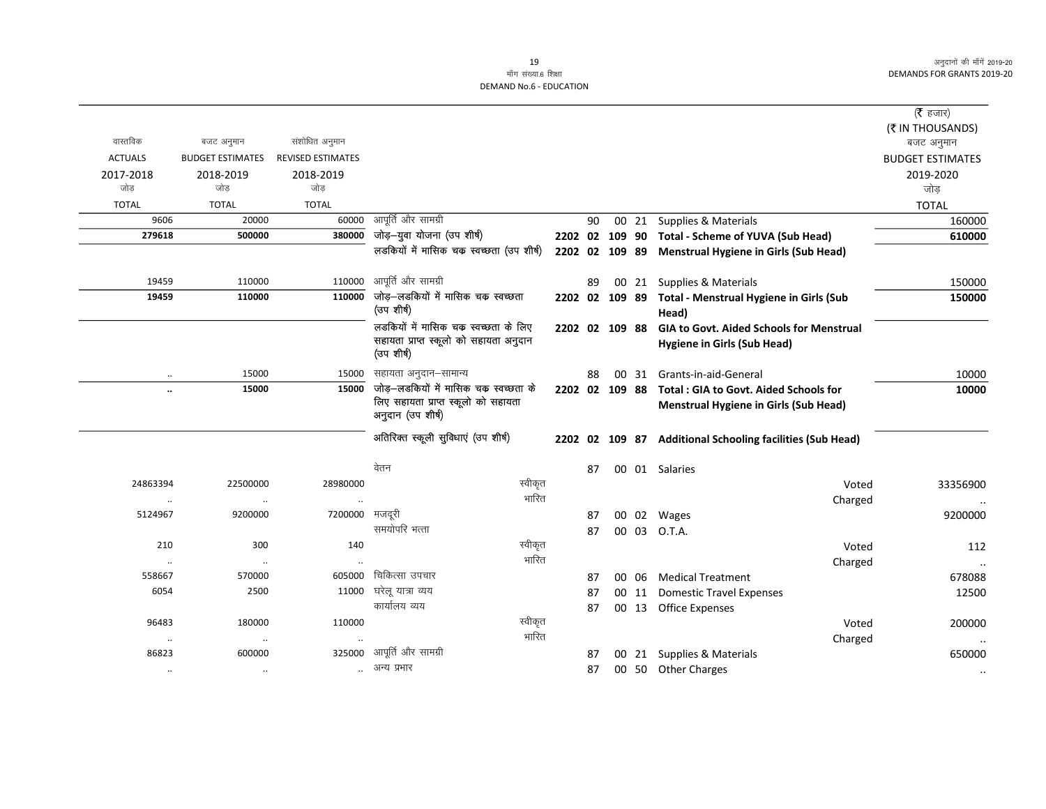$\sim$ 

#### 19 माँग संख्या.6 शिक्षा DEMAND No.6 - EDUCATION

|                      |                         |                          |                                                                              |    |                |                                                           | (रै हजार)               |
|----------------------|-------------------------|--------------------------|------------------------------------------------------------------------------|----|----------------|-----------------------------------------------------------|-------------------------|
|                      |                         |                          |                                                                              |    |                |                                                           | (₹ IN THOUSANDS)        |
| वास्तविक             | बजट अनुमान              | संशोधित अनुमान           |                                                                              |    |                |                                                           | बजट अनुमान              |
| <b>ACTUALS</b>       | <b>BUDGET ESTIMATES</b> | <b>REVISED ESTIMATES</b> |                                                                              |    |                |                                                           | <b>BUDGET ESTIMATES</b> |
| 2017-2018            | 2018-2019               | 2018-2019                |                                                                              |    |                |                                                           | 2019-2020               |
| जोड                  | जोड़                    | जोड़                     |                                                                              |    |                |                                                           | जोड                     |
| <b>TOTAL</b>         | <b>TOTAL</b>            | <b>TOTAL</b>             |                                                                              |    |                |                                                           | <b>TOTAL</b>            |
| 9606                 | 20000                   | 60000                    | आपूर्ति और सामग्री                                                           | 90 |                | 00 21 Supplies & Materials                                | 160000                  |
| 279618               | 500000                  | 380000                   | जोड़-युवा योजना (उप शीर्ष)                                                   |    | 2202 02 109 90 | <b>Total - Scheme of YUVA (Sub Head)</b>                  | 610000                  |
|                      |                         |                          | लडकियों में मासिक चक स्वच्छता (उप शीर्ष)                                     |    | 2202 02 109 89 | <b>Menstrual Hygiene in Girls (Sub Head)</b>              |                         |
| 19459                | 110000                  | 110000                   | आपूर्ति और सामग्री                                                           | 89 |                | 00 21 Supplies & Materials                                | 150000                  |
| 19459                | 110000                  | 110000                   | जोड़–लडकियों में मासिक चक स्वच्छता                                           |    | 2202 02 109 89 | Total - Menstrual Hygiene in Girls (Sub                   | 150000                  |
|                      |                         |                          | (उप शीर्ष)                                                                   |    |                | Head)                                                     |                         |
|                      |                         |                          | लडकियों में मासिक चक स्वच्छता के लिए                                         |    | 2202 02 109 88 | <b>GIA to Govt. Aided Schools for Menstrual</b>           |                         |
|                      |                         |                          | सहायता प्राप्त स्कूलो को सहायता अनुदान<br>(उपशीर्ष)                          |    |                | <b>Hygiene in Girls (Sub Head)</b>                        |                         |
|                      |                         |                          |                                                                              |    |                |                                                           |                         |
|                      | 15000                   | 15000                    | सहायता अनुदान–सामान्य                                                        | 88 |                | 00 31 Grants-in-aid-General                               | 10000                   |
| $\ddot{\phantom{a}}$ | 15000                   | 15000                    | जोड़–लडकियों में मासिक चक स्वच्छता के<br>लिए सहायता प्राप्त स्कूलो को सहायता |    | 2202 02 109 88 | <b>Total: GIA to Govt. Aided Schools for</b>              | 10000                   |
|                      |                         |                          | अनुदान (उप शीर्ष)                                                            |    |                | <b>Menstrual Hygiene in Girls (Sub Head)</b>              |                         |
|                      |                         |                          | अतिरिक्त स्कूली सुविधाएं (उप शीर्ष)                                          |    |                | 2202 02 109 87 Additional Schooling facilities (Sub Head) |                         |
|                      |                         |                          | वेतन                                                                         | 87 |                | 00 01 Salaries                                            |                         |
| 24863394             | 22500000                | 28980000                 | स्वीकृत                                                                      |    |                | Voted                                                     | 33356900                |
| $\ddotsc$            | $\ddotsc$               | $\ddotsc$                | भारित                                                                        |    |                | Charged                                                   |                         |
| 5124967              | 9200000                 | 7200000 मजदूरी           |                                                                              | 87 |                | 00 02 Wages                                               | 9200000                 |
|                      |                         |                          | समयोपरि भत्ता                                                                | 87 |                | 00 03 O.T.A.                                              |                         |
| 210                  | 300                     | 140                      | स्वीकृत                                                                      |    |                | Voted                                                     | 112                     |
| $\ddot{\phantom{0}}$ | $\ldots$                | $\ddot{\phantom{0}}$     | भारित                                                                        |    |                | Charged                                                   |                         |
| 558667               | 570000                  | 605000                   | चिकित्सा उपचार                                                               | 87 |                | 00 06 Medical Treatment                                   | 678088                  |
| 6054                 | 2500                    | 11000                    | घरेलू यात्रा व्यय                                                            | 87 |                | 00 11 Domestic Travel Expenses                            | 12500                   |
|                      |                         |                          | कार्यालय व्यय                                                                | 87 |                | 00 13 Office Expenses                                     |                         |
| 96483                | 180000                  | 110000                   | स्वीकृत                                                                      |    |                | Voted                                                     | 200000                  |
| $\cdot\cdot$         | $\ldots$                | $\ddotsc$                | भारित                                                                        |    |                | Charged                                                   |                         |
| 86823                | 600000                  | 325000                   | आपूर्ति और सामग्री                                                           | 87 |                | 00 21 Supplies & Materials                                | 650000                  |
| $\ddotsc$            | $\cdot$ .               |                          | अन्य प्रभार                                                                  | 87 |                | 00 50 Other Charges                                       |                         |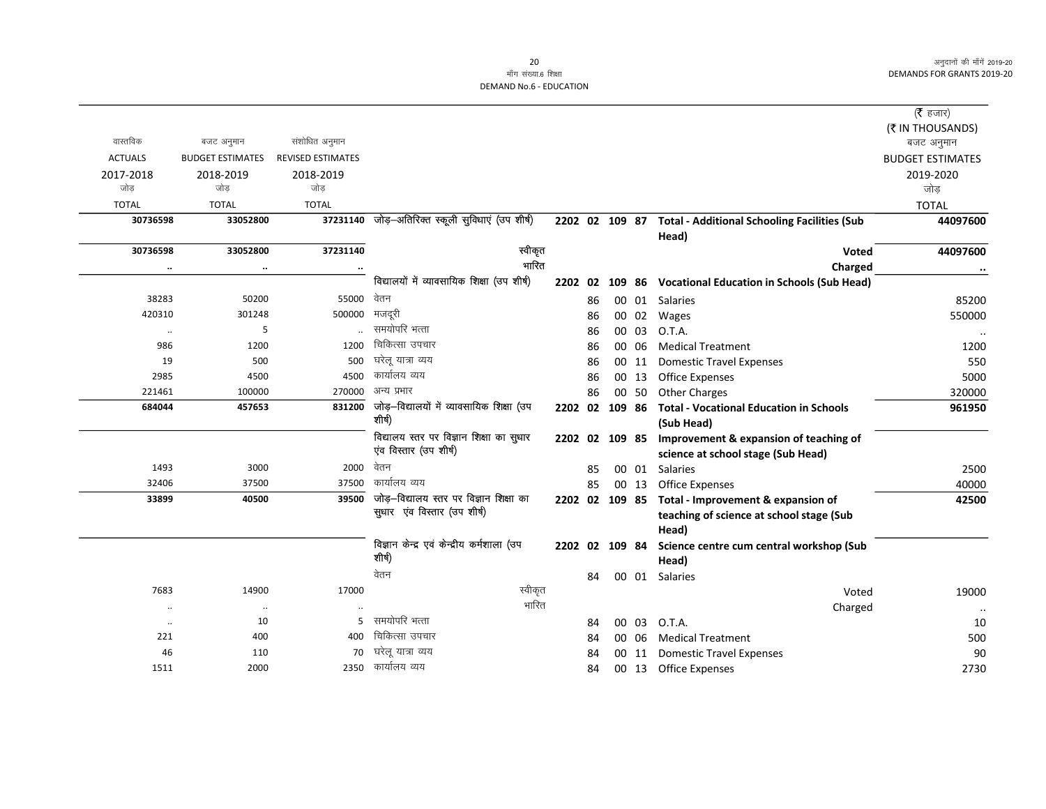# माँग संख्या.6 शिक्षा **DEMAND No.6 - EDUCATION**

|                |                         |                          |                                                                        |                |    |                |       |                                                     | ( <b>रै</b> हजार)       |
|----------------|-------------------------|--------------------------|------------------------------------------------------------------------|----------------|----|----------------|-------|-----------------------------------------------------|-------------------------|
|                |                         |                          |                                                                        |                |    |                |       |                                                     | (₹ IN THOUSANDS)        |
| वास्तविक       | बजट अनुमान              | संशोधित अनुमान           |                                                                        |                |    |                |       |                                                     | बजट अनुमान              |
| <b>ACTUALS</b> | <b>BUDGET ESTIMATES</b> | <b>REVISED ESTIMATES</b> |                                                                        |                |    |                |       |                                                     | <b>BUDGET ESTIMATES</b> |
| 2017-2018      | 2018-2019               | 2018-2019                |                                                                        |                |    |                |       |                                                     | 2019-2020               |
| जोड            | जोड                     | जोड                      |                                                                        |                |    |                |       |                                                     | जोड                     |
| <b>TOTAL</b>   | <b>TOTAL</b>            | <b>TOTAL</b>             |                                                                        |                |    |                |       |                                                     | <b>TOTAL</b>            |
| 30736598       | 33052800                |                          | 37231140 जोड़-अतिरिक्त स्कूली सुविधाएं (उप शीर्ष)                      | 2202 02 109 87 |    |                |       | <b>Total - Additional Schooling Facilities (Sub</b> | 44097600                |
|                |                         |                          |                                                                        |                |    |                |       | Head)                                               |                         |
| 30736598       | 33052800                | 37231140                 | स्वीकृत                                                                |                |    |                |       | <b>Voted</b>                                        | 44097600                |
|                |                         |                          | भारित                                                                  |                |    |                |       | Charged                                             | $\ddotsc$               |
|                |                         |                          | विद्यालयों में व्यावसायिक शिक्षा (उप शीर्ष)                            | 2202 02        |    | 109 86         |       | <b>Vocational Education in Schools (Sub Head)</b>   |                         |
| 38283          | 50200                   | 55000                    | वेतन                                                                   |                | 86 |                | 00 01 | Salaries                                            | 85200                   |
| 420310         | 301248                  | 500000                   | मजदरी                                                                  |                | 86 |                | 00 02 | Wages                                               | 550000                  |
| $\ldots$       | 5                       |                          | समयोपरि भत्ता                                                          |                | 86 |                | 00 03 | O.T.A.                                              |                         |
| 986            | 1200                    | 1200                     | चिकित्सा उपचार                                                         |                | 86 |                | 00 06 | <b>Medical Treatment</b>                            | 1200                    |
| 19             | 500                     | 500                      | घरेलू यात्रा व्यय                                                      |                | 86 |                | 00 11 | <b>Domestic Travel Expenses</b>                     | 550                     |
| 2985           | 4500                    | 4500                     | कार्यालय व्यय                                                          |                | 86 |                | 00 13 | <b>Office Expenses</b>                              | 5000                    |
| 221461         | 100000                  | 270000                   | अन्य प्रभार                                                            |                | 86 |                | 00 50 | <b>Other Charges</b>                                | 320000                  |
| 684044         | 457653                  | 831200                   | जोड़–विद्यालयों में व्यावसायिक शिक्षा (उप<br>शीर्ष)                    |                |    | 2202 02 109 86 |       | <b>Total - Vocational Education in Schools</b>      | 961950                  |
|                |                         |                          |                                                                        |                |    |                |       | (Sub Head)                                          |                         |
|                |                         |                          | विद्यालय स्तर पर विज्ञान शिक्षा का सुधार<br>एंव विस्तार (उप शीर्ष)     |                |    | 2202 02 109 85 |       | Improvement & expansion of teaching of              |                         |
|                |                         |                          | वेतन                                                                   |                |    |                |       | science at school stage (Sub Head)                  |                         |
| 1493           | 3000                    | 2000                     | कार्यालय व्यय                                                          |                | 85 |                | 00 01 | Salaries                                            | 2500                    |
| 32406          | 37500                   | 37500                    |                                                                        |                | 85 |                | 00 13 | <b>Office Expenses</b>                              | 40000                   |
| 33899          | 40500                   | 39500                    | जोड़-विद्यालय स्तर पर विज्ञान शिक्षा का<br>सुधार एव विस्तार (उप शीर्ष) |                |    | 2202 02 109 85 |       | Total - Improvement & expansion of                  | 42500                   |
|                |                         |                          |                                                                        |                |    |                |       | teaching of science at school stage (Sub<br>Head)   |                         |
|                |                         |                          | विज्ञान केन्द्र एवं केन्द्रीय कर्मशाला (उप                             |                |    | 2202 02 109 84 |       | Science centre cum central workshop (Sub            |                         |
|                |                         |                          | शीर्ष)                                                                 |                |    |                |       | Head)                                               |                         |
|                |                         |                          | वेतन                                                                   |                | 84 |                |       | 00 01 Salaries                                      |                         |
| 7683           | 14900                   | 17000                    | स्वीकृत                                                                |                |    |                |       | Voted                                               | 19000                   |
| $\ddotsc$      | $\ddotsc$               |                          | भारित                                                                  |                |    |                |       | Charged                                             | $\ddotsc$               |
| $\ldots$       | 10                      | 5                        | समयोपरि भत्ता                                                          |                | 84 |                | 00 03 | O.T.A.                                              | 10                      |
| 221            | 400                     | 400                      | चिकित्सा उपचार                                                         |                | 84 |                | 00 06 | <b>Medical Treatment</b>                            | 500                     |
| 46             | 110                     | 70                       | घरेलू यात्रा व्यय                                                      |                | 84 | 00             | 11    | <b>Domestic Travel Expenses</b>                     | 90                      |
| 1511           | 2000                    | 2350                     | कार्यालय व्यय                                                          |                | 84 |                | 00 13 | Office Expenses                                     | 2730                    |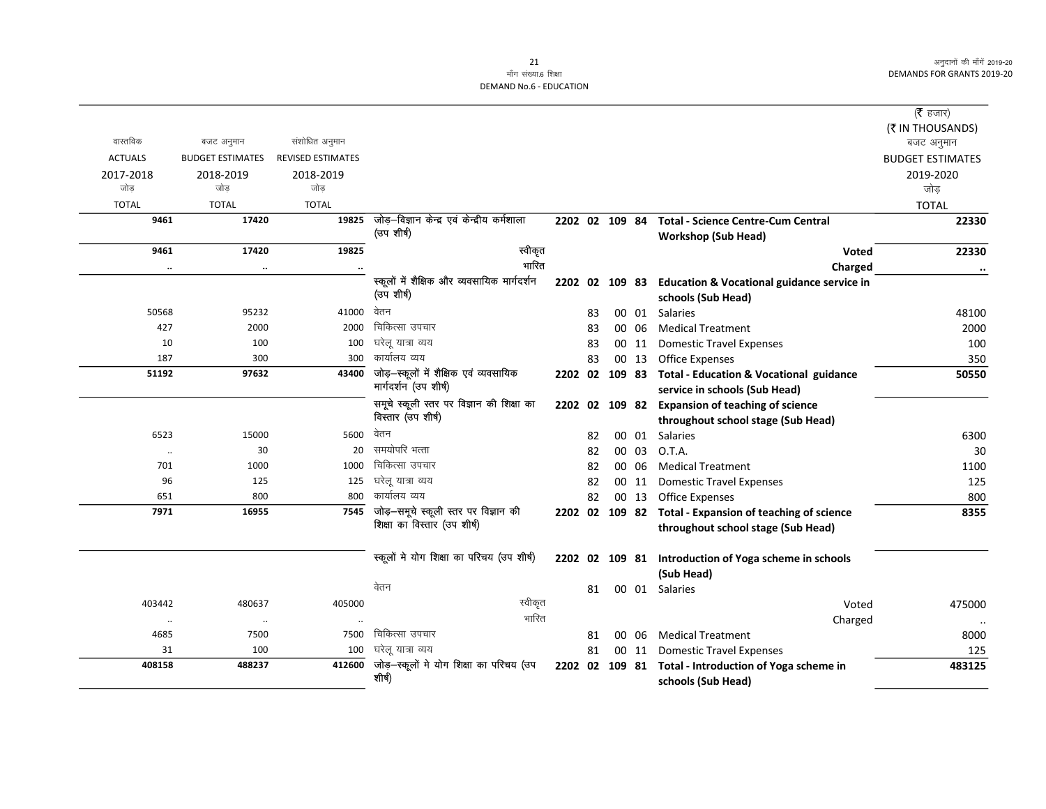# माँग संख्या.6 शिक्षा **DEMAND No.6 - EDUCATION**

|                |                         |                          |                                                           |                |    |       |                                                                         | (रै हजार)               |
|----------------|-------------------------|--------------------------|-----------------------------------------------------------|----------------|----|-------|-------------------------------------------------------------------------|-------------------------|
|                |                         |                          |                                                           |                |    |       |                                                                         | (₹ IN THOUSANDS)        |
| वास्तविक       | बजट अनुमान              | संशोधित अनुमान           |                                                           |                |    |       |                                                                         | बजट अनुमान              |
| <b>ACTUALS</b> | <b>BUDGET ESTIMATES</b> | <b>REVISED ESTIMATES</b> |                                                           |                |    |       |                                                                         | <b>BUDGET ESTIMATES</b> |
| 2017-2018      | 2018-2019               | 2018-2019                |                                                           |                |    |       |                                                                         | 2019-2020               |
| जोड            | जोड                     | जोड                      |                                                           |                |    |       |                                                                         | जोड़                    |
| <b>TOTAL</b>   | <b>TOTAL</b>            | <b>TOTAL</b>             |                                                           |                |    |       |                                                                         | <b>TOTAL</b>            |
| 9461           | 17420                   | 19825                    | जोड़-विज्ञान केन्द्र एवं केन्द्रीय कर्मशाला<br>(उप शीर्ष) | 2202 02 109 84 |    |       | <b>Total - Science Centre-Cum Central</b><br><b>Workshop (Sub Head)</b> | 22330                   |
| 9461           | 17420                   | 19825                    | स्वीकृत                                                   |                |    |       | <b>Voted</b>                                                            | 22330                   |
| $\cdot\cdot$   | $\ddotsc$               | $\ddotsc$                | भारित                                                     |                |    |       | Charged                                                                 | $\ddotsc$               |
|                |                         |                          | स्कूलों में शैक्षिक और व्यवसायिक मार्गदर्शन               |                |    |       | 2202 02 109 83 Education & Vocational guidance service in               |                         |
|                |                         |                          | (उप शीर्ष)                                                |                |    |       | schools (Sub Head)                                                      |                         |
| 50568          | 95232                   | 41000                    | वेतन                                                      |                | 83 |       | 00 01 Salaries                                                          | 48100                   |
| 427            | 2000                    | 2000                     | चिकित्सा उपचार                                            |                | 83 | 00 06 | <b>Medical Treatment</b>                                                | 2000                    |
| 10             | 100                     | 100                      | घरेलू यात्रा व्यय                                         |                | 83 | 00 11 | <b>Domestic Travel Expenses</b>                                         | 100                     |
| 187            | 300                     | 300                      | कार्यालय व्यय                                             |                | 83 | 00 13 | <b>Office Expenses</b>                                                  | 350                     |
| 51192          | 97632                   | 43400                    | जोड़-स्कूलों में शैक्षिक एवं व्यवसायिक                    | 2202 02 109 83 |    |       | <b>Total - Education &amp; Vocational guidance</b>                      | 50550                   |
|                |                         |                          | मार्गदर्शन (उप शीर्ष)                                     |                |    |       | service in schools (Sub Head)                                           |                         |
|                |                         |                          | समूचे स्कूली स्तर पर विज्ञान की शिक्षा का                 |                |    |       | 2202 02 109 82 Expansion of teaching of science                         |                         |
|                |                         |                          | विस्तार (उप शीर्ष)                                        |                |    |       | throughout school stage (Sub Head)                                      |                         |
| 6523           | 15000                   | 5600                     | वेतन                                                      |                | 82 |       | 00 01 Salaries                                                          | 6300                    |
| $\ldots$       | 30                      | 20                       | समयोपरि भत्ता                                             |                | 82 | 00 03 | O.T.A.                                                                  | 30                      |
| 701            | 1000                    | 1000                     | चिकित्सा उपचार                                            |                | 82 | 00 06 | <b>Medical Treatment</b>                                                | 1100                    |
| 96             | 125                     | 125                      | घरेलू यात्रा व्यय                                         |                | 82 | 00 11 | <b>Domestic Travel Expenses</b>                                         | 125                     |
| 651            | 800                     | 800                      | कार्यालय व्यय                                             |                | 82 | 00 13 | <b>Office Expenses</b>                                                  | 800                     |
| 7971           | 16955                   | 7545                     | जोड़—समूचे स्कूली स्तर पर विज्ञान की                      |                |    |       | 2202 02 109 82 Total - Expansion of teaching of science                 | 8355                    |
|                |                         |                          | शिक्षा का विस्तार (उप शीर्ष)                              |                |    |       | throughout school stage (Sub Head)                                      |                         |
|                |                         |                          |                                                           |                |    |       |                                                                         |                         |
|                |                         |                          | स्कूलों मे योग शिक्षा का परिचय (उप शीर्ष)                 |                |    |       | 2202 02 109 81 Introduction of Yoga scheme in schools                   |                         |
|                |                         |                          |                                                           |                |    |       | (Sub Head)                                                              |                         |
|                |                         |                          | वेतन                                                      |                | 81 |       | 00 01 Salaries                                                          |                         |
| 403442         | 480637                  | 405000                   | स्वीकृत                                                   |                |    |       | Voted                                                                   | 475000                  |
| $\cdot\cdot$   | $\cdot\cdot$            |                          | भारित                                                     |                |    |       | Charged                                                                 | $\ldots$                |
| 4685           | 7500                    | 7500                     | चिकित्सा उपचार                                            |                | 81 | 00 06 | <b>Medical Treatment</b>                                                | 8000                    |
| 31             | 100                     | 100                      | घरेल यात्रा व्यय                                          |                | 81 | 00 11 | <b>Domestic Travel Expenses</b>                                         | 125                     |
| 408158         | 488237                  | 412600                   | जोड़-स्कूलों मे योग शिक्षा का परिचय (उप<br>शीर्ष)         | 2202 02 109 81 |    |       | Total - Introduction of Yoga scheme in<br>schools (Sub Head)            | 483125                  |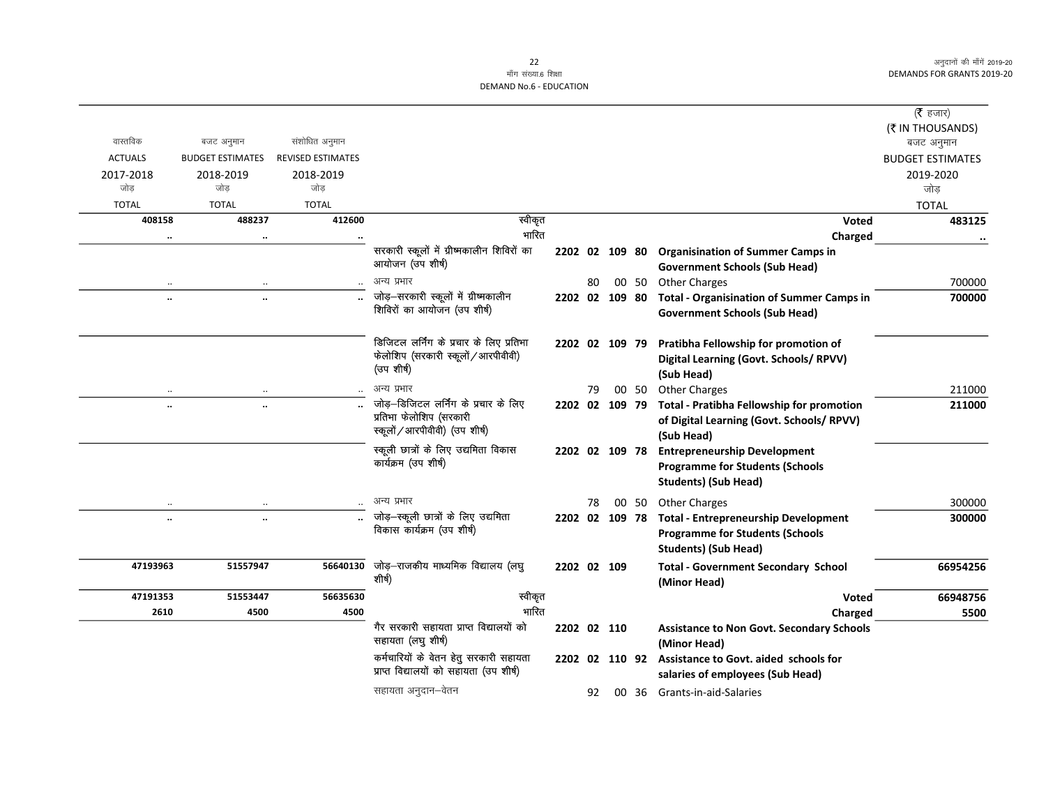# माँग संख्या.6 शिक्षा DEMAND No.6 - EDUCATION

|                   |                         |                          |                                                                                                   |    |                |       |                                                                                                                      | ( <b>रै</b> हजार)       |
|-------------------|-------------------------|--------------------------|---------------------------------------------------------------------------------------------------|----|----------------|-------|----------------------------------------------------------------------------------------------------------------------|-------------------------|
|                   |                         |                          |                                                                                                   |    |                |       |                                                                                                                      | (₹ IN THOUSANDS)        |
| वास्तविक          | बजट अनुमान              | संशोधित अनुमान           |                                                                                                   |    |                |       |                                                                                                                      | बजट अनुमान              |
| <b>ACTUALS</b>    | <b>BUDGET ESTIMATES</b> | <b>REVISED ESTIMATES</b> |                                                                                                   |    |                |       |                                                                                                                      | <b>BUDGET ESTIMATES</b> |
| 2017-2018<br>जोड़ | 2018-2019<br>जोड        | 2018-2019<br>जोड         |                                                                                                   |    |                |       |                                                                                                                      | 2019-2020<br>जोड        |
| <b>TOTAL</b>      | <b>TOTAL</b>            | <b>TOTAL</b>             |                                                                                                   |    |                |       |                                                                                                                      | <b>TOTAL</b>            |
| 408158            | 488237                  | 412600                   | स्वीकृत                                                                                           |    |                |       | <b>Voted</b>                                                                                                         | 483125                  |
|                   | $\ddotsc$               |                          | भारित                                                                                             |    |                |       | Charged                                                                                                              |                         |
|                   |                         |                          | सरकारी स्कूलों में ग्रीष्मकालीन शिविरों का<br>आयोजन (उप शीर्ष)                                    |    |                |       | 2202 02 109 80 Organisination of Summer Camps in<br><b>Government Schools (Sub Head)</b>                             |                         |
|                   |                         |                          | अन्य प्रभार                                                                                       | 80 |                |       | 00 50 Other Charges                                                                                                  | 700000                  |
|                   | ٠.                      |                          | जोड़-सरकारी स्कूलों में ग्रीष्मकालीन<br>शिविरों का आयोजन (उप शीर्ष)                               |    | 2202 02 109 80 |       | <b>Total - Organisination of Summer Camps in</b><br><b>Government Schools (Sub Head)</b>                             | 700000                  |
|                   |                         |                          | डिजिटल लर्निंग के प्रचार के लिए प्रतिभा<br>फेलोशिप (सरकारी स्कूलों / आरपीवीवी)<br>(उपशीर्ष)       |    | 2202 02 109 79 |       | Pratibha Fellowship for promotion of<br>Digital Learning (Govt. Schools/ RPVV)<br>(Sub Head)                         |                         |
| $\ddotsc$         | $\ddotsc$               |                          | अन्य प्रभार                                                                                       | 79 |                | 00 50 | <b>Other Charges</b>                                                                                                 | 211000                  |
| $\ddotsc$         | $\ddotsc$               |                          | जोड़–डिजिटल लर्निंग के प्रचार के लिए<br>प्रतिभा फेलोशिप (सरकारी<br>स्कूलों / आरपीवीवी) (उप शीर्ष) |    | 2202 02 109 79 |       | Total - Pratibha Fellowship for promotion<br>of Digital Learning (Govt. Schools/ RPVV)<br>(Sub Head)                 | 211000                  |
|                   |                         |                          | स्कूली छात्रों के लिए उद्यमिता विकास<br>कार्यक्रम (उप शीर्ष)                                      |    | 2202 02 109 78 |       | <b>Entrepreneurship Development</b><br><b>Programme for Students (Schools</b><br><b>Students) (Sub Head)</b>         |                         |
| $\cdot\cdot$      |                         |                          | अन्य प्रभार                                                                                       | 78 |                | 00 50 | <b>Other Charges</b>                                                                                                 | 300000                  |
| $\ddotsc$         | $\ddotsc$               |                          | जोड़-स्कूली छात्रों के लिए उद्यमिता<br>विकास कार्यक्रम (उप शीर्ष)                                 |    | 2202 02 109 78 |       | <b>Total - Entrepreneurship Development</b><br><b>Programme for Students (Schools</b><br><b>Students) (Sub Head)</b> | 300000                  |
| 47193963          | 51557947                | 56640130                 | जोड़—राजकीय माध्यमिक विद्यालय (लघु<br>शीर्ष)                                                      |    | 2202 02 109    |       | <b>Total - Government Secondary School</b><br>(Minor Head)                                                           | 66954256                |
| 47191353          | 51553447                | 56635630                 | स्वीकृत                                                                                           |    |                |       | <b>Voted</b>                                                                                                         | 66948756                |
| 2610              | 4500                    | 4500                     | भारित                                                                                             |    |                |       | Charged                                                                                                              | 5500                    |
|                   |                         |                          | गैर सरकारी सहायता प्राप्त विद्यालयों को<br>सहायता (लघु शीर्ष)                                     |    | 2202 02 110    |       | <b>Assistance to Non Govt. Secondary Schools</b><br>(Minor Head)                                                     |                         |
|                   |                         |                          | कर्मचारियों के वेतन हेतु सरकारी सहायता<br>प्राप्त विद्यालयों को सहायता (उप शीर्ष)                 |    | 2202 02 110 92 |       | Assistance to Govt. aided schools for<br>salaries of employees (Sub Head)                                            |                         |
|                   |                         |                          | सहायता अनुदान–वेतन                                                                                | 92 |                |       | 00 36 Grants-in-aid-Salaries                                                                                         |                         |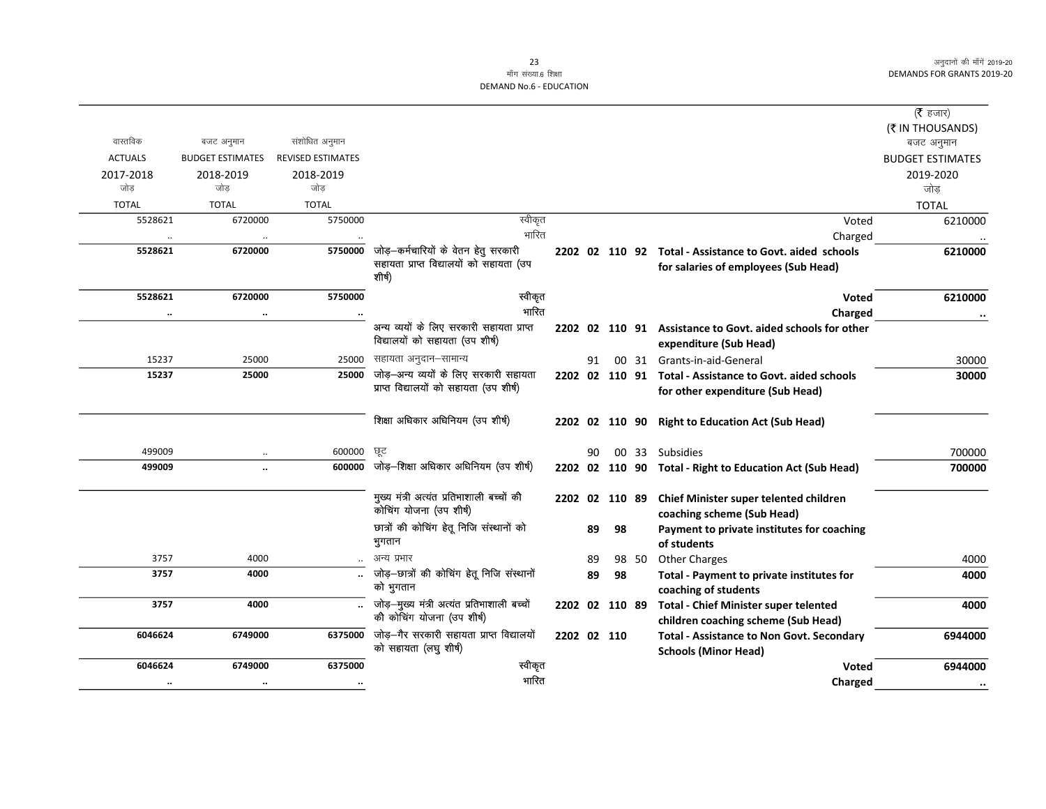# माँग संख्या.6 शिक्षा DEMAND No.6 - EDUCATION

|                |                         |                          |                                             |                |    |    |       |                                                            | ( <b>रै</b> हजार)       |
|----------------|-------------------------|--------------------------|---------------------------------------------|----------------|----|----|-------|------------------------------------------------------------|-------------------------|
|                |                         |                          |                                             |                |    |    |       |                                                            | (₹ IN THOUSANDS)        |
| वास्तविक       | बजट अनुमान              | संशोधित अनुमान           |                                             |                |    |    |       |                                                            | बजट अनुमान              |
| <b>ACTUALS</b> | <b>BUDGET ESTIMATES</b> | <b>REVISED ESTIMATES</b> |                                             |                |    |    |       |                                                            | <b>BUDGET ESTIMATES</b> |
| 2017-2018      | 2018-2019               | 2018-2019                |                                             |                |    |    |       |                                                            | 2019-2020               |
| जोड            | जोड                     | जोड                      |                                             |                |    |    |       |                                                            | जोड                     |
| <b>TOTAL</b>   | <b>TOTAL</b>            | <b>TOTAL</b>             |                                             |                |    |    |       |                                                            | <b>TOTAL</b>            |
| 5528621        | 6720000                 | 5750000                  | स्वीकृत                                     |                |    |    |       | Voted                                                      | 6210000                 |
|                |                         |                          | भारित                                       |                |    |    |       | Charged                                                    |                         |
| 5528621        | 6720000                 | 5750000                  | जोड़-कर्मचारियों के वेतन हेतु सरकारी        |                |    |    |       | 2202 02 110 92 Total - Assistance to Govt. aided schools   | 6210000                 |
|                |                         |                          | सहायता प्राप्त विद्यालयों को सहायता (उप     |                |    |    |       | for salaries of employees (Sub Head)                       |                         |
|                |                         |                          | शीर्ष)                                      |                |    |    |       |                                                            |                         |
| 5528621        | 6720000                 | 5750000                  | स्वीकृत                                     |                |    |    |       | <b>Voted</b>                                               | 6210000                 |
| $\cdots$       | $\ddotsc$               | $\cdots$                 | भारित                                       |                |    |    |       | Charged                                                    | $\ddotsc$               |
|                |                         |                          | अन्य व्ययों के लिए सरकारी सहायता प्राप्त    |                |    |    |       | 2202 02 110 91 Assistance to Govt. aided schools for other |                         |
|                |                         |                          | विद्यालयों को सहायता (उप शीर्ष)             |                |    |    |       | expenditure (Sub Head)                                     |                         |
| 15237          | 25000                   | 25000                    | सहायता अनुदान–सामान्य                       |                | 91 |    |       | 00 31 Grants-in-aid-General                                | 30000                   |
| 15237          | 25000                   | 25000                    | जोड़-अन्य व्ययों के लिए सरकारी सहायता       |                |    |    |       | 2202 02 110 91 Total - Assistance to Govt. aided schools   | 30000                   |
|                |                         |                          | प्राप्त विद्यालयों को सहायता (उप शीर्ष)     |                |    |    |       | for other expenditure (Sub Head)                           |                         |
|                |                         |                          |                                             |                |    |    |       |                                                            |                         |
|                |                         |                          | शिक्षा अधिकार अधिनियम (उप शीर्ष)            |                |    |    |       | 2202 02 110 90 Right to Education Act (Sub Head)           |                         |
|                |                         |                          |                                             |                |    |    |       |                                                            |                         |
| 499009         | $\ldots$                | 600000                   | ਯੂਟ                                         |                | 90 |    |       | 00 33 Subsidies                                            | 700000                  |
| 499009         | $\ddot{\phantom{a}}$    | 600000                   | जोड़-शिक्षा अधिकार अधिनियम (उप शीर्ष)       |                |    |    |       | 2202 02 110 90 Total - Right to Education Act (Sub Head)   | 700000                  |
|                |                         |                          |                                             |                |    |    |       |                                                            |                         |
|                |                         |                          | मुख्य मंत्री अत्यंत प्रतिभाशाली बच्चों की   | 2202 02 110 89 |    |    |       | Chief Minister super telented children                     |                         |
|                |                         |                          | कोचिंग योजना (उप शीर्ष)                     |                |    |    |       | coaching scheme (Sub Head)                                 |                         |
|                |                         |                          | छात्रों की कोचिंग हेतू निजि संस्थानों को    |                | 89 | 98 |       | Payment to private institutes for coaching                 |                         |
|                |                         |                          | भुगतान                                      |                |    |    |       | of students                                                |                         |
| 3757           | 4000                    |                          | अन्य प्रभार                                 |                | 89 |    | 98 50 | <b>Other Charges</b>                                       | 4000                    |
| 3757           | 4000                    |                          | जोड़—छात्रों की कोचिंग हेतू निजि संस्थानों  |                | 89 | 98 |       | Total - Payment to private institutes for                  | 4000                    |
|                |                         |                          | को भुगतान                                   |                |    |    |       | coaching of students                                       |                         |
| 3757           | 4000                    |                          | जोड़-मुख्य मंत्री अत्यंत प्रतिभाशाली बच्चों | 2202 02 110 89 |    |    |       | <b>Total - Chief Minister super telented</b>               | 4000                    |
|                |                         |                          | की कोचिंग योजना (उप शीर्ष)                  |                |    |    |       | children coaching scheme (Sub Head)                        |                         |
| 6046624        | 6749000                 | 6375000                  | जोड़—गैर सरकारी सहायता प्राप्त विद्यालयों   | 2202 02 110    |    |    |       | <b>Total - Assistance to Non Govt. Secondary</b>           | 6944000                 |
|                |                         |                          | को सहायता (लघु शीर्ष)                       |                |    |    |       | <b>Schools (Minor Head)</b>                                |                         |
| 6046624        | 6749000                 | 6375000                  | स्वीकृत                                     |                |    |    |       | <b>Voted</b>                                               | 6944000                 |
| $\cdot\cdot$   | $\cdot\cdot$            | $\cdots$                 | भारित                                       |                |    |    |       | Charged                                                    | $\cdot\cdot$            |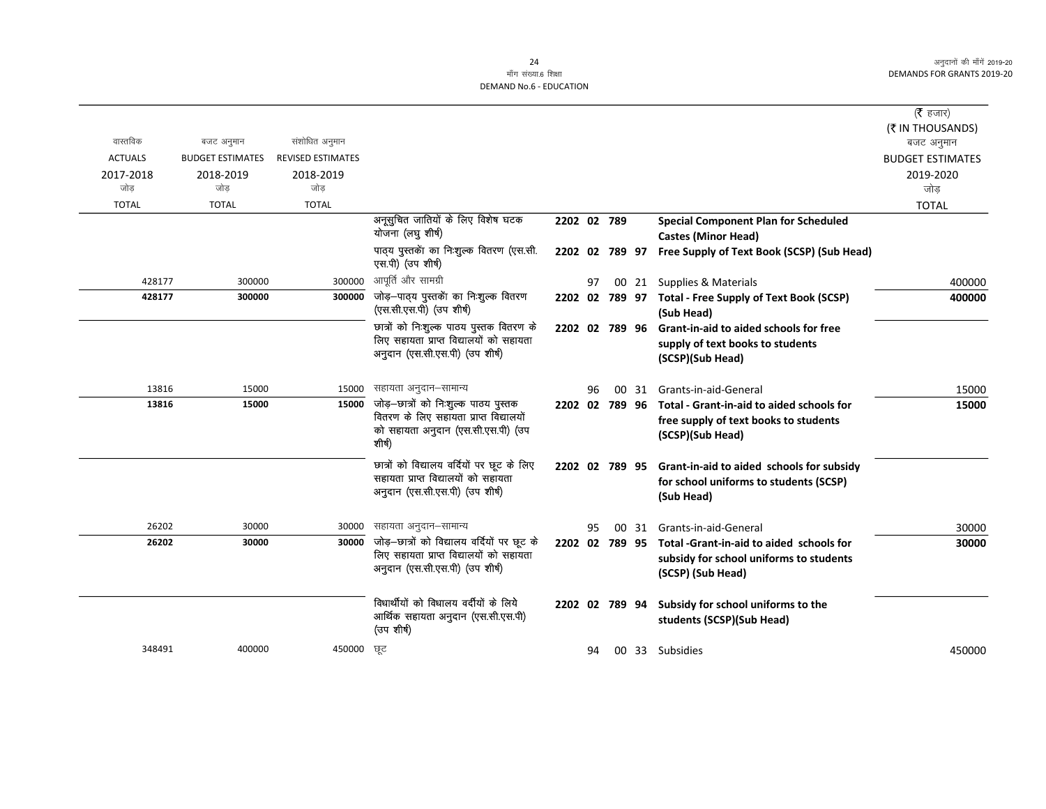|                |                         |                          |                                                                                        |                |    |       |                                                                           | ( <b>रै</b> हजार)       |
|----------------|-------------------------|--------------------------|----------------------------------------------------------------------------------------|----------------|----|-------|---------------------------------------------------------------------------|-------------------------|
|                |                         |                          |                                                                                        |                |    |       |                                                                           | (₹ IN THOUSANDS)        |
| वास्तविक       | बजट अनुमान              | संशोधित अनुमान           |                                                                                        |                |    |       |                                                                           | बजट अनुमान              |
| <b>ACTUALS</b> | <b>BUDGET ESTIMATES</b> | <b>REVISED ESTIMATES</b> |                                                                                        |                |    |       |                                                                           | <b>BUDGET ESTIMATES</b> |
| 2017-2018      | 2018-2019               | 2018-2019                |                                                                                        |                |    |       |                                                                           | 2019-2020               |
| जोड            | जोड                     | जोड                      |                                                                                        |                |    |       |                                                                           | जोड                     |
| <b>TOTAL</b>   | <b>TOTAL</b>            | <b>TOTAL</b>             |                                                                                        |                |    |       |                                                                           | <b>TOTAL</b>            |
|                |                         |                          | अनूसुचित जातियों के लिए विशेष घटक<br>योजना (लघु शीर्ष)                                 | 2202 02 789    |    |       | <b>Special Component Plan for Scheduled</b><br><b>Castes (Minor Head)</b> |                         |
|                |                         |                          | पाठ्य पुस्तकों का निःशुल्क वितरण (एस.सी.<br>एस.पी) (उप शीर्ष)                          |                |    |       | 2202 02 789 97 Free Supply of Text Book (SCSP) (Sub Head)                 |                         |
| 428177         | 300000                  | 300000                   | आपूर्ति और सामग्री                                                                     |                | 97 |       | 00 21 Supplies & Materials                                                | 400000                  |
| 428177         | 300000                  | 300000                   | जोड़-पाठ्य पुस्तकेंा का निःशुल्क वितरण<br>(एस.सी.एस.पी) (उप शीर्ष)                     |                |    |       | 2202 02 789 97 Total - Free Supply of Text Book (SCSP)<br>(Sub Head)      | 400000                  |
|                |                         |                          | छात्रों को निःशुल्क पाठय पुस्तक वितरण के                                               | 2202 02 789 96 |    |       | <b>Grant-in-aid to aided schools for free</b>                             |                         |
|                |                         |                          | लिए सहायता प्राप्त विद्यालयों को सहायता<br>अनुदान (एस.सी.एस.पी) (उप शीर्ष)             |                |    |       | supply of text books to students<br>(SCSP)(Sub Head)                      |                         |
| 13816          | 15000                   | 15000                    | सहायता अनुदान–सामान्य                                                                  |                | 96 | 00 31 | Grants-in-aid-General                                                     | 15000                   |
| 13816          | 15000                   | 15000                    | जोड़-छात्रों को निःशुल्क पाठय पुस्तक                                                   |                |    |       | 2202 02 789 96 Total - Grant-in-aid to aided schools for                  | 15000                   |
|                |                         |                          | वितरण के लिए सहायता प्राप्त विद्यालयों<br>को सहायता अनुदान (एस.सी.एस.पी) (उप<br>शीर्ष) |                |    |       | free supply of text books to students<br>(SCSP)(Sub Head)                 |                         |
|                |                         |                          | छात्रों को विद्यालय वर्दियों पर छूट के लिए                                             | 2202 02 789 95 |    |       | Grant-in-aid to aided schools for subsidy                                 |                         |
|                |                         |                          | सहायता प्राप्त विद्यालयों को सहायता<br>अनुदान (एस.सी.एस.पी) (उप शीर्ष)                 |                |    |       | for school uniforms to students (SCSP)<br>(Sub Head)                      |                         |
| 26202          | 30000                   | 30000                    | सहायता अनुदान–सामान्य                                                                  |                | 95 | 00 31 | Grants-in-aid-General                                                     | 30000                   |
| 26202          | 30000                   | 30000                    | जोड़-छात्रों को विद्यालय वर्दियों पर छूट के                                            | 2202 02 789 95 |    |       | Total -Grant-in-aid to aided schools for                                  | 30000                   |
|                |                         |                          | लिए सहायता प्राप्त विद्यालयों को सहायता<br>अनुदान (एस.सी.एस.पी) (उप शीर्ष)             |                |    |       | subsidy for school uniforms to students                                   |                         |
|                |                         |                          |                                                                                        |                |    |       | (SCSP) (Sub Head)                                                         |                         |
|                |                         |                          | विधार्थीयों को विधालय वर्दीयों के लिये                                                 | 2202 02 789 94 |    |       | Subsidy for school uniforms to the                                        |                         |
|                |                         |                          | आर्थिक सहायता अनुदान (एस.सी.एस.पी)<br>(उप शीर्ष)                                       |                |    |       | students (SCSP)(Sub Head)                                                 |                         |
| 348491         | 400000                  | 450000                   | ਯੂਟ                                                                                    |                | 94 |       | 00 33 Subsidies                                                           | 450000                  |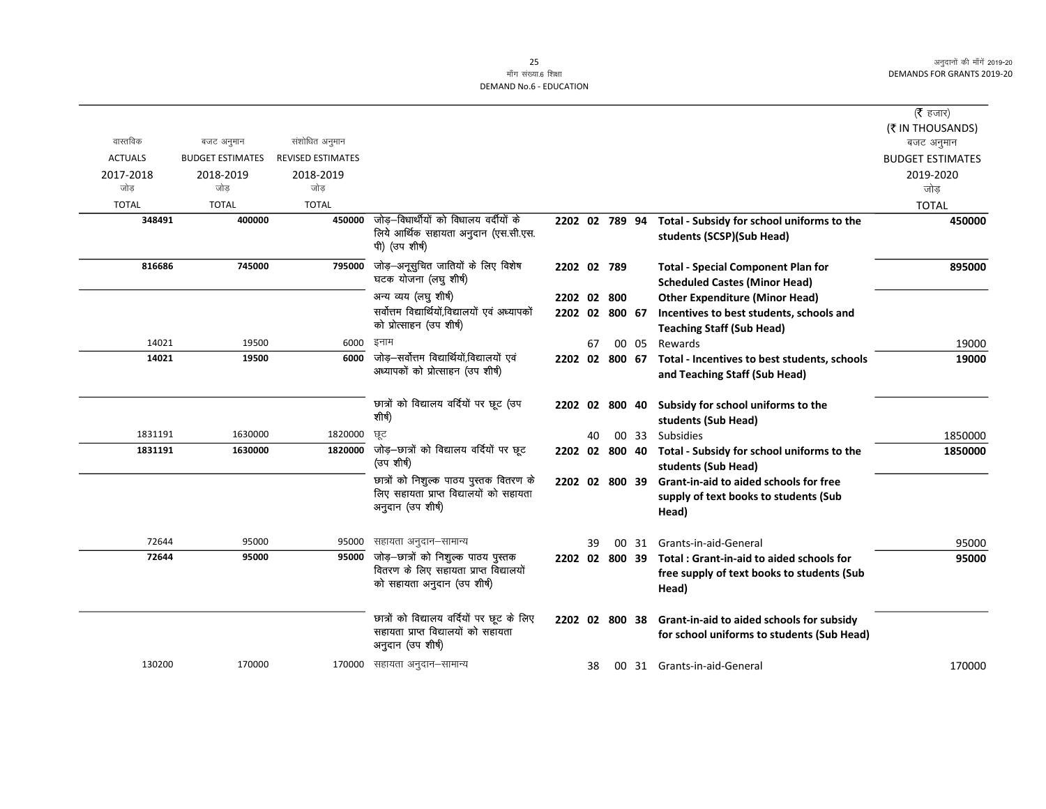|                |                         |                          |                                                                                                        |                |    |     |       |                                                                                         | ( $\bar{\tau}$ हजार)<br>(₹ IN THOUSANDS) |
|----------------|-------------------------|--------------------------|--------------------------------------------------------------------------------------------------------|----------------|----|-----|-------|-----------------------------------------------------------------------------------------|------------------------------------------|
| वास्तविक       | बजट अनुमान              | संशोधित अनुमान           |                                                                                                        |                |    |     |       |                                                                                         | बजट अनुमान                               |
| <b>ACTUALS</b> | <b>BUDGET ESTIMATES</b> | <b>REVISED ESTIMATES</b> |                                                                                                        |                |    |     |       |                                                                                         | <b>BUDGET ESTIMATES</b>                  |
| 2017-2018      | 2018-2019               | 2018-2019                |                                                                                                        |                |    |     |       |                                                                                         | 2019-2020                                |
| जोड            | जोड                     | जोड                      |                                                                                                        |                |    |     |       |                                                                                         | जोड़                                     |
| <b>TOTAL</b>   | <b>TOTAL</b>            | <b>TOTAL</b>             |                                                                                                        |                |    |     |       |                                                                                         | <b>TOTAL</b>                             |
| 348491         | 400000                  | 450000                   | जोड़—विधार्थीयों को विधालय वर्दीयों के                                                                 | 2202 02 789 94 |    |     |       | Total - Subsidy for school uniforms to the                                              | 450000                                   |
|                |                         |                          | लिये आर्थिक सहायता अनुदान (एस.सी.एस.<br>पी) (उप शीर्ष)                                                 |                |    |     |       | students (SCSP)(Sub Head)                                                               |                                          |
| 816686         | 745000                  | 795000                   | जोड़-अनूसुचित जातियों के लिए विशेष                                                                     | 2202 02 789    |    |     |       | <b>Total - Special Component Plan for</b>                                               | 895000                                   |
|                |                         |                          | घटक योजना (लघु शीर्ष)                                                                                  |                |    |     |       | <b>Scheduled Castes (Minor Head)</b>                                                    |                                          |
|                |                         |                          | अन्य व्यय (लघु शीर्ष)                                                                                  | 2202 02 800    |    |     |       | <b>Other Expenditure (Minor Head)</b>                                                   |                                          |
|                |                         |                          | सर्वोत्तम विद्यार्थियों,विद्यालयों एवं अध्यापकों                                                       | 2202 02 800 67 |    |     |       | Incentives to best students, schools and                                                |                                          |
|                |                         |                          | को प्रोत्साहन (उप शीर्ष)                                                                               |                |    |     |       | <b>Teaching Staff (Sub Head)</b>                                                        |                                          |
| 14021          | 19500                   | 6000                     | इनाम                                                                                                   |                | 67 |     | 00 05 | Rewards                                                                                 | 19000                                    |
| 14021          | 19500                   | 6000                     | जोड़-सर्वोत्तम विद्यार्थियों,विद्यालयों एवं<br>अध्यापकों को प्रोत्साहन (उप शीर्ष)                      | 2202 02 800 67 |    |     |       | Total - Incentives to best students, schools<br>and Teaching Staff (Sub Head)           | 19000                                    |
|                |                         |                          | छात्रों को विद्यालय वर्दियों पर छूट (उप<br>शीर्ष)                                                      | 2202 02 800 40 |    |     |       | Subsidy for school uniforms to the<br>students (Sub Head)                               |                                          |
| 1831191        | 1630000                 | 1820000                  | छूट                                                                                                    |                | 40 |     |       | 00 33 Subsidies                                                                         | 1850000                                  |
| 1831191        | 1630000                 | 1820000                  | जोड़-छात्रों को विद्यालय वर्दियों पर छूट<br>(उप शीर्ष)                                                 | 2202 02 800 40 |    |     |       | Total - Subsidy for school uniforms to the<br>students (Sub Head)                       | 1850000                                  |
|                |                         |                          | छात्रों को निशुल्क पाठय पुस्तक वितरण के                                                                | 2202 02 800 39 |    |     |       | Grant-in-aid to aided schools for free                                                  |                                          |
|                |                         |                          | लिए सहायता प्राप्त विद्यालयों को सहायता<br>अनुदान (उप शीर्ष)                                           |                |    |     |       | supply of text books to students (Sub<br>Head)                                          |                                          |
| 72644          | 95000                   | 95000                    | सहायता अनुदान–सामान्य                                                                                  |                | 39 | 00. |       | 31 Grants-in-aid-General                                                                | 95000                                    |
| 72644          | 95000                   | 95000                    | जोड़—छात्रों को निशुल्क पाठय पुस्तक                                                                    | 2202 02 800 39 |    |     |       | Total: Grant-in-aid to aided schools for                                                | 95000                                    |
|                |                         |                          | वितरण के लिए सहायता प्राप्त विद्यालयों<br>को सहायता अनुदान (उप शीर्ष)                                  |                |    |     |       | free supply of text books to students (Sub<br>Head)                                     |                                          |
|                |                         |                          | छात्रों को विद्यालय वर्दियों पर छूट के लिए<br>सहायता प्राप्त विद्यालयों को सहायता<br>अनुदान (उप शीर्ष) | 2202 02 800 38 |    |     |       | Grant-in-aid to aided schools for subsidy<br>for school uniforms to students (Sub Head) |                                          |
| 130200         | 170000                  | 170000                   | सहायता अनुदान–सामान्य                                                                                  |                | 38 |     |       | 00 31 Grants-in-aid-General                                                             | 170000                                   |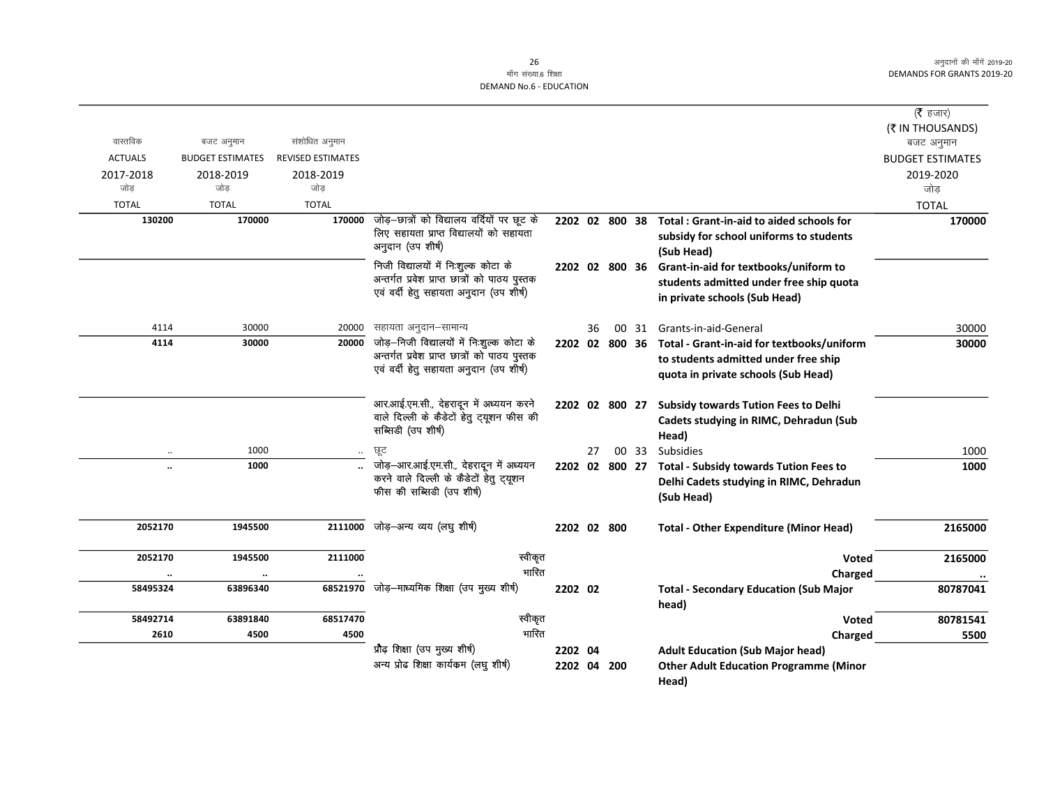|                |                         |                          |                                                                                                                |                |    |                |       |                                                                                                        | ( <b>रै</b> हजार)       |
|----------------|-------------------------|--------------------------|----------------------------------------------------------------------------------------------------------------|----------------|----|----------------|-------|--------------------------------------------------------------------------------------------------------|-------------------------|
|                |                         |                          |                                                                                                                |                |    |                |       |                                                                                                        | (₹ IN THOUSANDS)        |
| वास्तविक       | बजट अनुमान              | संशोधित अनुमान           |                                                                                                                |                |    |                |       |                                                                                                        | बजट अनुमान              |
| <b>ACTUALS</b> | <b>BUDGET ESTIMATES</b> | <b>REVISED ESTIMATES</b> |                                                                                                                |                |    |                |       |                                                                                                        | <b>BUDGET ESTIMATES</b> |
| 2017-2018      | 2018-2019               | 2018-2019                |                                                                                                                |                |    |                |       |                                                                                                        | 2019-2020               |
| जोड            | जोड                     | जोड                      |                                                                                                                |                |    |                |       |                                                                                                        | जोड                     |
| <b>TOTAL</b>   | <b>TOTAL</b>            | <b>TOTAL</b>             |                                                                                                                |                |    |                |       |                                                                                                        | <b>TOTAL</b>            |
| 130200         | 170000                  | 170000                   | जोड़–छात्रों को विद्यालय वर्दियों पर छूट के<br>लिए सहायता प्राप्त विद्यालयों को सहायता<br>अनुदान (उप शीर्ष)    |                |    | 2202 02 800 38 |       | Total: Grant-in-aid to aided schools for<br>subsidy for school uniforms to students<br>(Sub Head)      | 170000                  |
|                |                         |                          | निजी विद्यालयों में नि:शुल्क कोटा के                                                                           |                |    | 2202 02 800 36 |       | Grant-in-aid for textbooks/uniform to                                                                  |                         |
|                |                         |                          | अन्तर्गत प्रवेश प्राप्त छात्रों को पाठय पुस्तक                                                                 |                |    |                |       | students admitted under free ship quota                                                                |                         |
|                |                         |                          | एवं वर्दी हेतु सहायता अनुदान (उप शीर्ष)                                                                        |                |    |                |       | in private schools (Sub Head)                                                                          |                         |
| 4114           | 30000                   | 20000                    | सहायता अनुदान–सामान्य                                                                                          |                | 36 |                | 00 31 | Grants-in-aid-General                                                                                  | 30000                   |
| 4114           | 30000                   | 20000                    | जोड़–निजी विद्यालयों में निःशुल्क कोटा के                                                                      |                |    | 2202 02 800 36 |       | Total - Grant-in-aid for textbooks/uniform                                                             | 30000                   |
|                |                         |                          | अन्तर्गत प्रवेश प्राप्त छात्रों को पाठय पुस्तक                                                                 |                |    |                |       | to students admitted under free ship                                                                   |                         |
|                |                         |                          | एवं वर्दी हेतु सहायता अनुदान (उप शीर्ष)                                                                        |                |    |                |       | quota in private schools (Sub Head)                                                                    |                         |
|                |                         |                          | आर.आई.एम.सी., देहरादून में अध्ययन करने<br>वाले दिल्ली के कैडेटों हेतु ट्यूशन फीस की<br>सब्सिडी (उप शीर्ष)      |                |    | 2202 02 800 27 |       | <b>Subsidy towards Tution Fees to Delhi</b><br>Cadets studying in RIMC, Dehradun (Sub<br>Head)         |                         |
|                | 1000                    | $\ldots$                 | ਲ੍ਰਟ                                                                                                           |                | 27 |                | 00 33 | <b>Subsidies</b>                                                                                       | 1000                    |
| $\ddotsc$      | 1000                    |                          | जोड़-आर.आई.एम.सी., देहरादून में अध्ययन<br>करने वाले दिल्ली के कैडेटों हेतु ट्यूशन<br>फीस की सब्सिडी (उप शीर्ष) | 2202 02 800 27 |    |                |       | <b>Total - Subsidy towards Tution Fees to</b><br>Delhi Cadets studying in RIMC, Dehradun<br>(Sub Head) | 1000                    |
| 2052170        | 1945500                 | 2111000                  | जोड़–अन्य व्यय (लघु शीर्ष)                                                                                     | 2202 02 800    |    |                |       | <b>Total - Other Expenditure (Minor Head)</b>                                                          | 2165000                 |
| 2052170        | 1945500                 | 2111000                  | स्वीकृत                                                                                                        |                |    |                |       | <b>Voted</b>                                                                                           | 2165000                 |
| $\ddotsc$      | $\ddot{\phantom{a}}$    |                          | भारित                                                                                                          |                |    |                |       | Charged                                                                                                |                         |
| 58495324       | 63896340                |                          | 68521970 जोड़—माध्यमिक शिक्षा (उप मुख्य शीर्ष)                                                                 | 2202 02        |    |                |       | <b>Total - Secondary Education (Sub Major</b>                                                          | 80787041                |
|                |                         |                          |                                                                                                                |                |    |                |       | head)                                                                                                  |                         |
| 58492714       | 63891840                | 68517470                 | स्वीकृत                                                                                                        |                |    |                |       | <b>Voted</b>                                                                                           | 80781541                |
| 2610           | 4500                    | 4500                     | भारित                                                                                                          |                |    |                |       | Charged                                                                                                | 5500                    |
|                |                         |                          | प्रौढ़ शिक्षा (उप मुख्य शीर्ष)                                                                                 | 2202 04        |    |                |       | <b>Adult Education (Sub Major head)</b>                                                                |                         |
|                |                         |                          | अन्य प्रोढ शिक्षा कार्यकम (लघु शीर्ष)                                                                          | 2202 04 200    |    |                |       | <b>Other Adult Education Programme (Minor</b>                                                          |                         |
|                |                         |                          |                                                                                                                |                |    |                |       | Head)                                                                                                  |                         |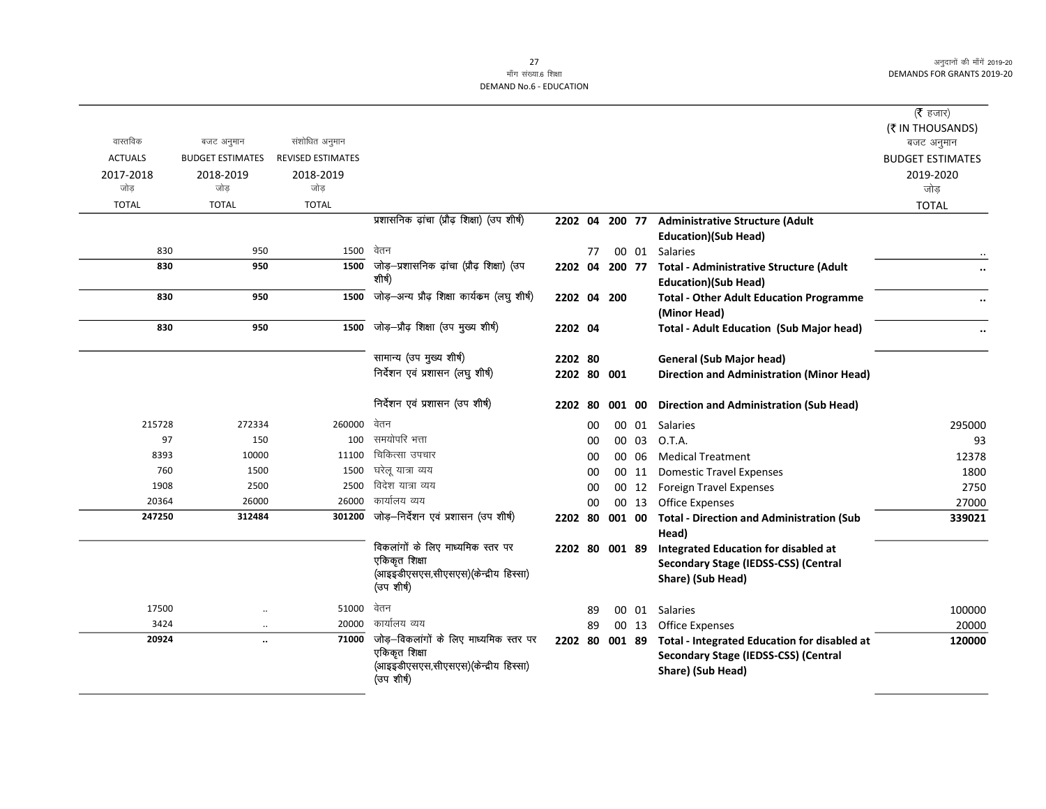|                  |                         |                          |                                                       |                |    |        |       |                                                     | ( $\bar{\tau}$ हजार)    |
|------------------|-------------------------|--------------------------|-------------------------------------------------------|----------------|----|--------|-------|-----------------------------------------------------|-------------------------|
| वास्तविक         |                         | संशोधित अनुमान           |                                                       |                |    |        |       |                                                     | (₹ IN THOUSANDS)        |
|                  | बजट अनुमान              | <b>REVISED ESTIMATES</b> |                                                       |                |    |        |       |                                                     | बजट अनुमान              |
| <b>ACTUALS</b>   | <b>BUDGET ESTIMATES</b> |                          |                                                       |                |    |        |       |                                                     | <b>BUDGET ESTIMATES</b> |
| 2017-2018<br>जोड | 2018-2019<br>जोड        | 2018-2019<br>जोड         |                                                       |                |    |        |       |                                                     | 2019-2020<br>जोड        |
| <b>TOTAL</b>     | <b>TOTAL</b>            | <b>TOTAL</b>             |                                                       |                |    |        |       |                                                     |                         |
|                  |                         |                          | प्रशासनिक ढ़ांचा (प्रौढ़ शिक्षा) (उप शीर्ष)           | 2202 04 200 77 |    |        |       | <b>Administrative Structure (Adult</b>              | <b>TOTAL</b>            |
|                  |                         |                          |                                                       |                |    |        |       | <b>Education)(Sub Head)</b>                         |                         |
| 830              | 950                     | 1500                     | वेतन                                                  |                | 77 |        |       | 00 01 Salaries                                      |                         |
| 830              | 950                     | 1500                     | जोड़-प्रशासनिक ढ़ांचा (प्रौढ़ शिक्षा) (उप             | 2202 04        |    |        |       | 200 77 Total - Administrative Structure (Adult      |                         |
|                  |                         |                          | शीर्ष)                                                |                |    |        |       | <b>Education)(Sub Head)</b>                         |                         |
| 830              | 950                     | 1500                     | जोड़-अन्य प्रौढ़ शिक्षा कार्यकम (लघु शीर्ष)           | 2202 04 200    |    |        |       | <b>Total - Other Adult Education Programme</b>      |                         |
|                  |                         |                          |                                                       |                |    |        |       | (Minor Head)                                        |                         |
| 830              | 950                     | 1500                     | जोड़-प्रौढ़ शिक्षा (उप मुख्य शीर्ष)                   | 2202 04        |    |        |       | <b>Total - Adult Education (Sub Major head)</b>     |                         |
|                  |                         |                          |                                                       |                |    |        |       |                                                     |                         |
|                  |                         |                          | सामान्य (उप मुख्य शीर्ष)                              | 2202 80        |    |        |       | <b>General (Sub Major head)</b>                     |                         |
|                  |                         |                          | निर्देशन एवं प्रशासन (लघु शीर्ष)                      | 2202 80 001    |    |        |       | <b>Direction and Administration (Minor Head)</b>    |                         |
|                  |                         |                          |                                                       |                |    |        |       |                                                     |                         |
|                  |                         |                          | निर्देशन एवं प्रशासन (उप शीर्ष)                       | 2202 80        |    | 001 00 |       | <b>Direction and Administration (Sub Head)</b>      |                         |
| 215728           | 272334                  | 260000                   | वेतन                                                  |                | 00 |        | 00 01 | Salaries                                            | 295000                  |
| 97               | 150                     | 100                      | समयोपरि भत्ता                                         |                | 00 |        | 00 03 | O.T.A.                                              | 93                      |
| 8393             | 10000                   | 11100                    | चिकित्सा उपचार                                        |                | 00 |        | 00 06 | <b>Medical Treatment</b>                            | 12378                   |
| 760              | 1500                    | 1500                     | घरेल यात्रा व्यय                                      |                | 00 |        | 00 11 | <b>Domestic Travel Expenses</b>                     | 1800                    |
| 1908             | 2500                    | 2500                     | विदेश यात्रा व्यय                                     |                | 00 |        |       | 00 12 Foreign Travel Expenses                       | 2750                    |
| 20364            | 26000                   | 26000                    | कार्यालय व्यय                                         |                | 00 |        | 00 13 | <b>Office Expenses</b>                              | 27000                   |
| 247250           | 312484                  | 301200                   | जोड़-निर्देशन एवं प्रशासन (उप शीर्ष)                  | 2202 80        |    |        |       | 001 00 Total - Direction and Administration (Sub    | 339021                  |
|                  |                         |                          |                                                       |                |    |        |       | Head)                                               |                         |
|                  |                         |                          | विकलांगों के लिए माध्यमिक स्तर पर                     | 2202 80 001 89 |    |        |       | Integrated Education for disabled at                |                         |
|                  |                         |                          | एकिकृत शिक्षा<br>(आइइडीएसएस,सीएसएस)(केन्द्रीय हिस्सा) |                |    |        |       | Secondary Stage (IEDSS-CSS) (Central                |                         |
|                  |                         |                          | (उपशीर्ष)                                             |                |    |        |       | Share) (Sub Head)                                   |                         |
| 17500            | $\ddotsc$               | 51000                    | वेतन                                                  |                | 89 |        | 00 01 | <b>Salaries</b>                                     | 100000                  |
| 3424             | $\ddotsc$               | 20000                    | कार्यालय व्यय                                         |                | 89 |        | 00 13 | <b>Office Expenses</b>                              | 20000                   |
| 20924            | $\ddot{\phantom{a}}$    | 71000                    | जोड़-विकलांगों के लिए माध्यमिक स्तर पर                | 2202 80 001 89 |    |        |       | <b>Total - Integrated Education for disabled at</b> | 120000                  |
|                  |                         |                          | एकिकृत शिक्षा                                         |                |    |        |       | Secondary Stage (IEDSS-CSS) (Central                |                         |
|                  |                         |                          | (आइइडीएसएस,सीएसएस)(केन्द्रीय हिस्सा)                  |                |    |        |       | Share) (Sub Head)                                   |                         |
|                  |                         |                          | (उपशीर्ष)                                             |                |    |        |       |                                                     |                         |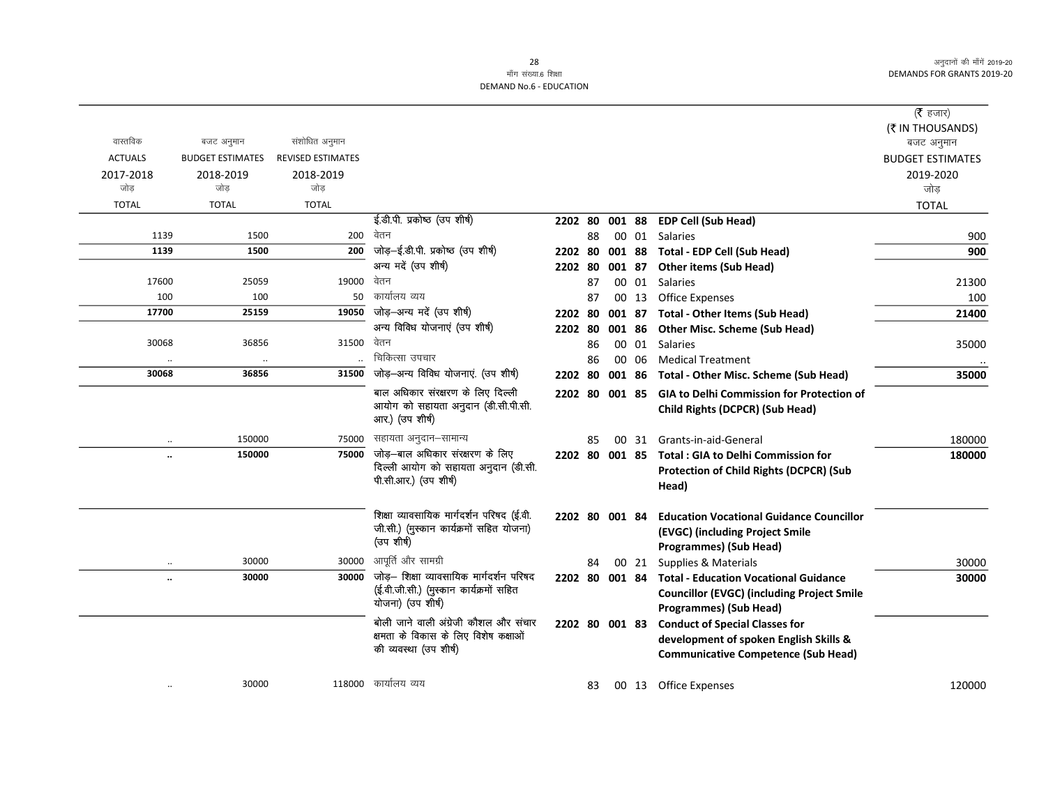#### 28 माँग संख्या.6 शिक्षा DEMAND No.6 - EDUCATION

|                      |                         |                          |                                                        |                |    |        |       |                                                   | ( $\bar{\tau}$ हजार)    |
|----------------------|-------------------------|--------------------------|--------------------------------------------------------|----------------|----|--------|-------|---------------------------------------------------|-------------------------|
|                      |                         |                          |                                                        |                |    |        |       |                                                   | (₹ IN THOUSANDS)        |
| वास्तविक             | बजट अनुमान              | संशोधित अनुमान           |                                                        |                |    |        |       |                                                   | बजट अनुमान              |
| <b>ACTUALS</b>       | <b>BUDGET ESTIMATES</b> | <b>REVISED ESTIMATES</b> |                                                        |                |    |        |       |                                                   | <b>BUDGET ESTIMATES</b> |
| 2017-2018            | 2018-2019               | 2018-2019                |                                                        |                |    |        |       |                                                   | 2019-2020               |
| जोड                  | जोड                     | जोड                      |                                                        |                |    |        |       |                                                   | जोड                     |
| <b>TOTAL</b>         | <b>TOTAL</b>            | <b>TOTAL</b>             |                                                        |                |    |        |       |                                                   | <b>TOTAL</b>            |
|                      |                         |                          | ई.डी.पी. प्रकोष्ठ (उप शीर्ष)                           | 2202 80        |    | 001 88 |       | <b>EDP Cell (Sub Head)</b>                        |                         |
| 1139                 | 1500                    | 200                      | वेतन                                                   |                | 88 |        | 00 01 | <b>Salaries</b>                                   | 900                     |
| 1139                 | 1500                    | 200                      | जोड़-ई.डी.पी. प्रकोष्ठ (उप शीर्ष)                      | 2202 80        |    |        |       | 001 88 Total - EDP Cell (Sub Head)                | 900                     |
|                      |                         |                          | अन्य मदें (उप शीर्ष)                                   | 2202 80        |    |        |       | 001 87 Other items (Sub Head)                     |                         |
| 17600                | 25059                   | 19000                    | वेतन                                                   |                | 87 |        |       | 00 01 Salaries                                    | 21300                   |
| 100                  | 100                     | 50                       | कार्यालय व्यय                                          |                | 87 |        |       | 00 13 Office Expenses                             | 100                     |
| 17700                | 25159                   |                          | 19050 जोड़-अन्य मदें (उप शीर्ष)                        | 2202 80        |    |        |       | 001 87 Total - Other Items (Sub Head)             | 21400                   |
|                      |                         |                          | अन्य विविध योजनाएं (उप शीर्ष)                          | 2202 80        |    |        |       | 001 86 Other Misc. Scheme (Sub Head)              |                         |
| 30068                | 36856                   | 31500                    | वेतन                                                   |                | 86 |        | 00 01 | Salaries                                          | 35000                   |
|                      | $\cdot$                 |                          | चिकित्सा उपचार                                         |                | 86 |        | 00 06 | <b>Medical Treatment</b>                          |                         |
| 30068                | 36856                   | 31500                    | जोड़-अन्य विविध योजनाएं. (उप शीर्ष)                    | 2202 80        |    |        |       | 001 86 Total - Other Misc. Scheme (Sub Head)      | 35000                   |
|                      |                         |                          | बाल अधिकार संरक्षरण के लिए दिल्ली                      | 2202 80 001 85 |    |        |       | <b>GIA to Delhi Commission for Protection of</b>  |                         |
|                      |                         |                          | आयोग को सहायता अनुदान (डी.सी.पी.सी.<br>आर.) (उप शीर्ष) |                |    |        |       | Child Rights (DCPCR) (Sub Head)                   |                         |
|                      | 150000                  | 75000                    | सहायता अनुदान–सामान्य                                  |                | 85 |        |       | 00 31 Grants-in-aid-General                       | 180000                  |
| $\ddot{\phantom{a}}$ | 150000                  | 75000                    | जोड़—बाल अधिकार संरक्षरण के लिए                        |                |    |        |       | 2202 80 001 85 Total: GIA to Delhi Commission for | 180000                  |
|                      |                         |                          | दिल्ली आयोग को सहायता अनुदान (डी.सी.                   |                |    |        |       | Protection of Child Rights (DCPCR) (Sub           |                         |
|                      |                         |                          | पी.सी.आर.) (उप शीर्ष)                                  |                |    |        |       | Head)                                             |                         |
|                      |                         |                          |                                                        |                |    |        |       |                                                   |                         |
|                      |                         |                          | शिक्षा व्यावसायिक मार्गदर्शन परिषद (ई.वी.              | 2202 80 001 84 |    |        |       | <b>Education Vocational Guidance Councillor</b>   |                         |
|                      |                         |                          | जी.सी.) (मुस्कान कार्यक्रमों सहित योजना)               |                |    |        |       | (EVGC) (including Project Smile                   |                         |
|                      |                         |                          | (उप शीर्ष)                                             |                |    |        |       | <b>Programmes) (Sub Head)</b>                     |                         |
| $\ddotsc$            | 30000                   | 30000                    | आपूर्ति और सामग्री                                     |                | 84 |        | 00 21 | Supplies & Materials                              | 30000                   |
| $\ddot{\phantom{a}}$ | 30000                   | 30000                    | जोड़- शिक्षा व्यावसायिक मार्गदर्शन परिषद               | 2202 80 001 84 |    |        |       | <b>Total - Education Vocational Guidance</b>      | 30000                   |
|                      |                         |                          | (ई.वी.जी.सी.) (मुस्कान कार्यक्रमों सहित                |                |    |        |       | <b>Councillor (EVGC) (including Project Smile</b> |                         |
|                      |                         |                          | योजना) (उप शीर्ष)                                      |                |    |        |       | <b>Programmes) (Sub Head)</b>                     |                         |
|                      |                         |                          | बोली जाने वाली अंग्रेजी कौशल और संचार                  | 2202 80 001 83 |    |        |       | <b>Conduct of Special Classes for</b>             |                         |
|                      |                         |                          | क्षमता के विकास के लिए विशेष कक्षाओं                   |                |    |        |       | development of spoken English Skills &            |                         |
|                      |                         |                          | की व्यवस्था (उप शीर्ष)                                 |                |    |        |       | <b>Communicative Competence (Sub Head)</b>        |                         |
|                      |                         |                          |                                                        |                |    |        |       |                                                   |                         |
|                      | 30000                   |                          | 118000 कार्यालय व्यय                                   |                | 83 |        |       | 00 13 Office Expenses                             | 120000                  |
|                      |                         |                          |                                                        |                |    |        |       |                                                   |                         |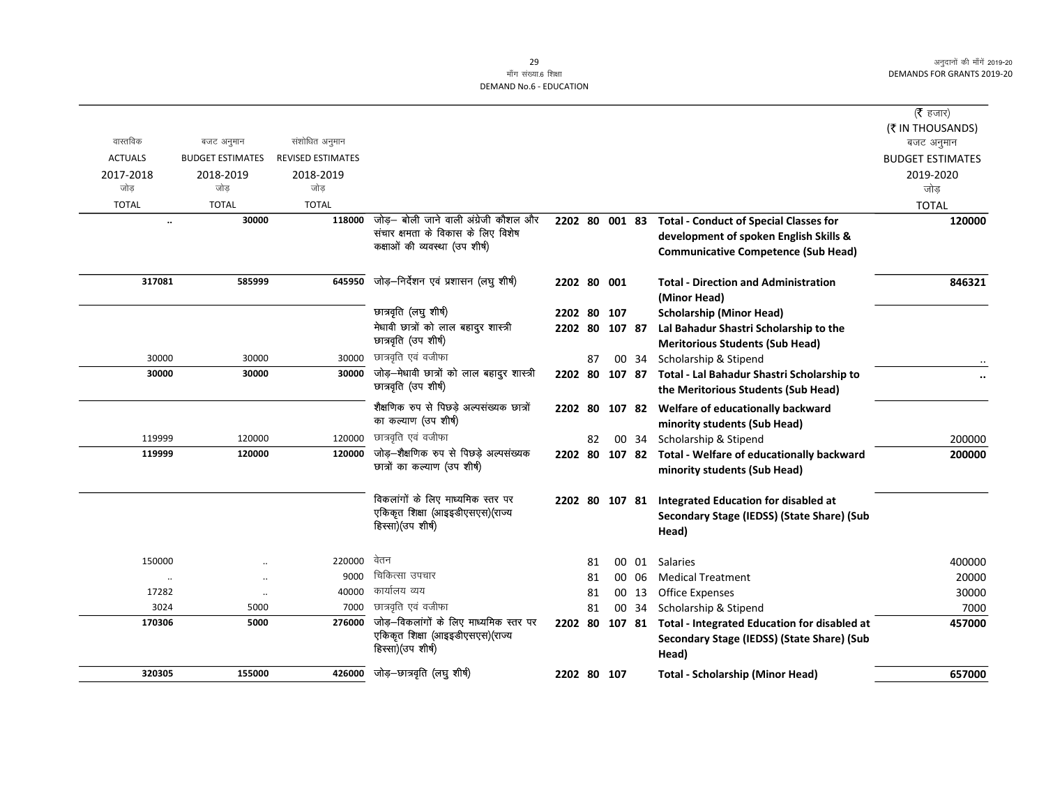|                |                         |                          |                                                                                                               |                |    |       |                                                                                                                                       | (रे हजार)               |
|----------------|-------------------------|--------------------------|---------------------------------------------------------------------------------------------------------------|----------------|----|-------|---------------------------------------------------------------------------------------------------------------------------------------|-------------------------|
|                |                         |                          |                                                                                                               |                |    |       |                                                                                                                                       | (₹ IN THOUSANDS)        |
| वास्तविक       | बजट अनुमान              | संशोधित अनुमान           |                                                                                                               |                |    |       |                                                                                                                                       | बजट अनुमान              |
| <b>ACTUALS</b> | <b>BUDGET ESTIMATES</b> | <b>REVISED ESTIMATES</b> |                                                                                                               |                |    |       |                                                                                                                                       | <b>BUDGET ESTIMATES</b> |
| 2017-2018      | 2018-2019               | 2018-2019                |                                                                                                               |                |    |       |                                                                                                                                       | 2019-2020               |
| जोड            | जोड                     | जोड                      |                                                                                                               |                |    |       |                                                                                                                                       | जोड                     |
| <b>TOTAL</b>   | <b>TOTAL</b>            | <b>TOTAL</b>             |                                                                                                               |                |    |       |                                                                                                                                       | <b>TOTAL</b>            |
| $\ddotsc$      | 30000                   | 118000                   | जोड़— बोली जाने वाली अंग्रेजी कौशल और<br>संचार क्षमता के विकास के लिए विशेष<br>कक्षाओं की व्यवस्था (उप शीर्ष) | 2202 80 001 83 |    |       | <b>Total - Conduct of Special Classes for</b><br>development of spoken English Skills &<br><b>Communicative Competence (Sub Head)</b> | 120000                  |
| 317081         | 585999                  | 645950                   | जोड़-निर्देशन एवं प्रशासन (लघु शीर्ष)                                                                         | 2202 80 001    |    |       | <b>Total - Direction and Administration</b><br>(Minor Head)                                                                           | 846321                  |
|                |                         |                          | छात्रवृति (लघु शीर्ष)                                                                                         | 2202 80 107    |    |       | <b>Scholarship (Minor Head)</b>                                                                                                       |                         |
|                |                         |                          | मेधावी छात्रों को लाल बहादुर शास्त्री                                                                         | 2202 80 107 87 |    |       | Lal Bahadur Shastri Scholarship to the                                                                                                |                         |
|                |                         |                          | छात्रवृति (उप शीर्ष)                                                                                          |                |    |       | <b>Meritorious Students (Sub Head)</b>                                                                                                |                         |
| 30000          | 30000                   | 30000                    | छात्रवृति एवं वजीफा                                                                                           |                | 87 | 00 34 | Scholarship & Stipend                                                                                                                 |                         |
| 30000          | 30000                   | 30000                    | जोड़—मेधावी छात्रों को लाल बहादुर शास्त्री                                                                    |                |    |       | 2202 80 107 87 Total - Lal Bahadur Shastri Scholarship to                                                                             |                         |
|                |                         |                          | छात्रवृति (उप शीर्ष)                                                                                          |                |    |       | the Meritorious Students (Sub Head)                                                                                                   |                         |
|                |                         |                          | शैक्षणिक रुप से पिछड़े अल्पसंख्यक छात्रों<br>का कल्याण (उप शीर्ष)                                             |                |    |       | 2202 80 107 82 Welfare of educationally backward<br>minority students (Sub Head)                                                      |                         |
| 119999         | 120000                  | 120000                   | छात्रवृति एवं वजीफा                                                                                           |                | 82 | 00 34 | Scholarship & Stipend                                                                                                                 | 200000                  |
| 119999         | 120000                  | 120000                   | जोड़-शैक्षणिक रुप से पिछड़े अल्पसंख्यक<br>छात्रों का कल्याण (उप शीर्ष)                                        |                |    |       | 2202 80 107 82 Total - Welfare of educationally backward<br>minority students (Sub Head)                                              | 200000                  |
|                |                         |                          | विकलांगों के लिए माध्यमिक स्तर पर<br>एकिकृत शिक्षा (आइइडीएसएस)(राज्य<br>हिस्सा)(उप शीर्ष)                     | 2202 80 107 81 |    |       | <b>Integrated Education for disabled at</b><br>Secondary Stage (IEDSS) (State Share) (Sub<br>Head)                                    |                         |
| 150000         |                         | 220000                   | वेतन                                                                                                          |                | 81 |       | 00 01 Salaries                                                                                                                        | 400000                  |
| $\ldots$       | $\ddotsc$               | 9000                     | चिकित्सा उपचार                                                                                                |                | 81 | 00 06 | <b>Medical Treatment</b>                                                                                                              | 20000                   |
| 17282          | $\ddotsc$               | 40000                    | कार्यालय व्यय                                                                                                 |                | 81 | 00 13 | <b>Office Expenses</b>                                                                                                                | 30000                   |
| 3024           | 5000                    | 7000                     | छात्रवृति एवं वजीफा                                                                                           |                | 81 | 00 34 | Scholarship & Stipend                                                                                                                 | 7000                    |
| 170306         | 5000                    | 276000                   | जोड़-विकलांगों के लिए माध्यमिक स्तर पर<br>एकिकृत शिक्षा (आइइडीएसएस)(राज्य<br>हिस्सा) (उप शीर्ष)               |                |    |       | 2202 80 107 81 Total - Integrated Education for disabled at<br>Secondary Stage (IEDSS) (State Share) (Sub<br>Head)                    | 457000                  |
| 320305         | 155000                  | 426000                   | जोड़–छात्रवृति (लघु शीर्ष)                                                                                    | 2202 80 107    |    |       | <b>Total - Scholarship (Minor Head)</b>                                                                                               | 657000                  |
|                |                         |                          |                                                                                                               |                |    |       |                                                                                                                                       |                         |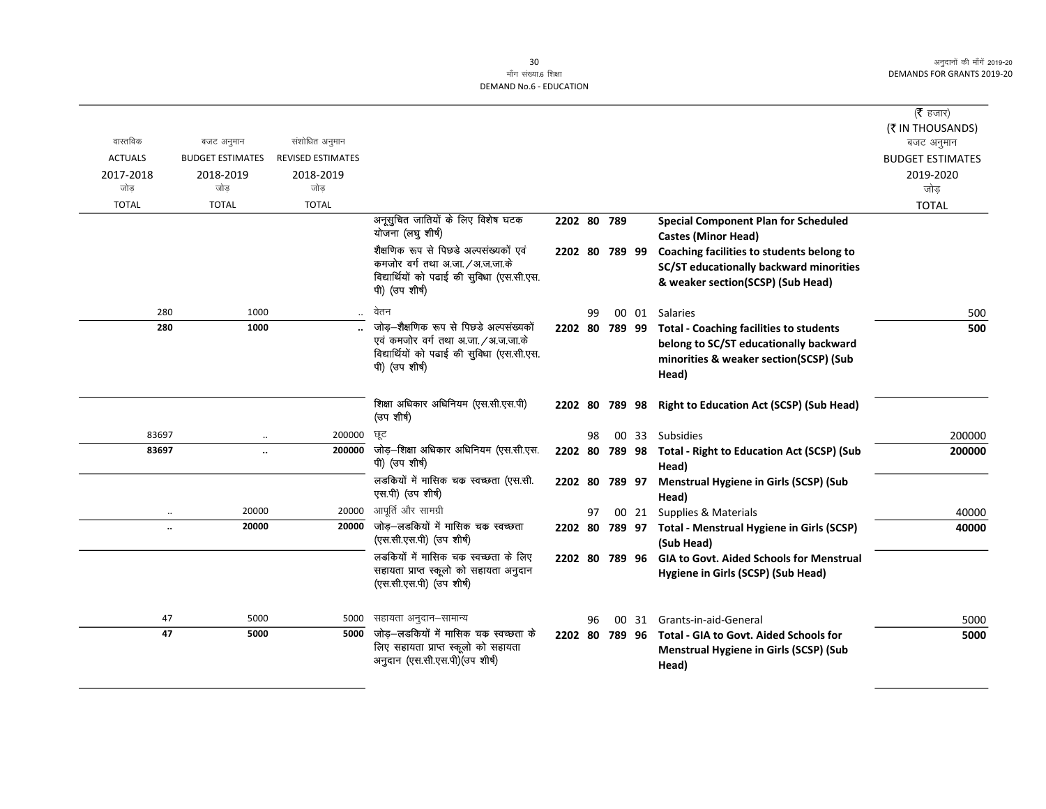|                |                      |                         |                          |                                                                               |                |    |       |                                                                    | ( <b>रै</b> हजार)<br>(そ IN THOUSANDS) |
|----------------|----------------------|-------------------------|--------------------------|-------------------------------------------------------------------------------|----------------|----|-------|--------------------------------------------------------------------|---------------------------------------|
| वास्तविक       |                      | बजट अनुमान              | संशोधित अनुमान           |                                                                               |                |    |       |                                                                    | बजट अनुमान                            |
| <b>ACTUALS</b> |                      | <b>BUDGET ESTIMATES</b> | <b>REVISED ESTIMATES</b> |                                                                               |                |    |       |                                                                    | <b>BUDGET ESTIMATES</b>               |
| 2017-2018      |                      | 2018-2019               | 2018-2019                |                                                                               |                |    |       |                                                                    | 2019-2020                             |
| जोड            |                      | जोड                     | जोड                      |                                                                               |                |    |       |                                                                    | जोड                                   |
| <b>TOTAL</b>   |                      | <b>TOTAL</b>            | <b>TOTAL</b>             |                                                                               |                |    |       |                                                                    | <b>TOTAL</b>                          |
|                |                      |                         |                          | अनूसुचित जातियों के लिए विशेष घटक                                             | 2202 80 789    |    |       | <b>Special Component Plan for Scheduled</b>                        |                                       |
|                |                      |                         |                          | योजना (लघु शीर्ष)                                                             |                |    |       | <b>Castes (Minor Head)</b>                                         |                                       |
|                |                      |                         |                          | शैक्षणिक रूप से पिछडे अल्पसंख्यकों एवं                                        | 2202 80 789 99 |    |       | Coaching facilities to students belong to                          |                                       |
|                |                      |                         |                          | कमजोर वर्ग तथा अ.जा. /अ.ज.जा.के<br>विद्यार्थियों को पढाई की सुविधा (एस.सी.एस. |                |    |       | SC/ST educationally backward minorities                            |                                       |
|                |                      |                         |                          | पी) (उप शीर्ष)                                                                |                |    |       | & weaker section(SCSP) (Sub Head)                                  |                                       |
|                | 280                  | 1000                    |                          | वेतन                                                                          |                | 99 | 00 01 | Salaries                                                           | 500                                   |
|                | 280                  | 1000                    |                          | जोड़–शैक्षणिक रूप से पिछडे अल्पसंख्यकों                                       |                |    |       | 2202 80 789 99 Total - Coaching facilities to students             | 500                                   |
|                |                      |                         |                          | एवं कमजोर वर्ग तथा अ.जा. /अ.ज.जा.के                                           |                |    |       | belong to SC/ST educationally backward                             |                                       |
|                |                      |                         |                          | विद्यार्थियों को पढाई की सुविधा (एस.सी.एस.<br>पी) (उप शीर्ष)                  |                |    |       | minorities & weaker section(SCSP) (Sub                             |                                       |
|                |                      |                         |                          |                                                                               |                |    |       | Head)                                                              |                                       |
|                |                      |                         |                          |                                                                               |                |    |       |                                                                    |                                       |
|                |                      |                         |                          | शिक्षा अधिकार अधिनियम (एस.सी.एस.पी)<br>(उप शीर्ष)                             |                |    |       | 2202 80 789 98 Right to Education Act (SCSP) (Sub Head)            |                                       |
|                | 83697                |                         | 200000                   | छट                                                                            |                | 98 |       | 00 33 Subsidies                                                    | 200000                                |
|                | 83697                | $\ddot{\phantom{a}}$    | 200000                   | जोड़-शिक्षा अधिकार अधिनियम (एस.सी.एस.<br>पी) (उप शीर्ष)                       |                |    |       | 2202 80 789 98 Total - Right to Education Act (SCSP) (Sub<br>Head) | 200000                                |
|                |                      |                         |                          | लडकियों में मासिक चक स्वच्छता (एस.सी.<br>एस.पी) (उप शीर्ष)                    | 2202 80 789 97 |    |       | <b>Menstrual Hygiene in Girls (SCSP) (Sub</b><br>Head)             |                                       |
|                |                      | 20000                   | 20000                    | आपूर्ति और सामग्री                                                            |                | 97 |       | 00 21 Supplies & Materials                                         | 40000                                 |
|                | $\ddot{\phantom{a}}$ | 20000                   | 20000                    | जोड–लडकियों में मासिक चक स्वच्छता                                             |                |    |       | 2202 80 789 97 Total - Menstrual Hygiene in Girls (SCSP)           | 40000                                 |
|                |                      |                         |                          | (एस.सी.एस.पी) (उप शीर्ष)                                                      |                |    |       | (Sub Head)                                                         |                                       |
|                |                      |                         |                          | लड़कियों में मासिक चक स्वच्छता के लिए                                         |                |    |       | 2202 80 789 96 GIA to Govt. Aided Schools for Menstrual            |                                       |
|                |                      |                         |                          | सहायता प्राप्त स्कूलो को सहायता अनुदान<br>(एस.सी.एस.पी) (उप शीर्ष)            |                |    |       | Hygiene in Girls (SCSP) (Sub Head)                                 |                                       |
|                |                      |                         |                          |                                                                               |                |    |       |                                                                    |                                       |
|                | 47                   | 5000                    | 5000                     | सहायता अनुदान–सामान्य                                                         |                | 96 |       | 00 31 Grants-in-aid-General                                        | 5000                                  |
|                | 47                   | 5000                    | 5000                     | जोड़–लडकियों में मासिक चक स्वच्छता के                                         |                |    |       | 2202 80 789 96 Total - GIA to Govt. Aided Schools for              | 5000                                  |
|                |                      |                         |                          | लिए सहायता प्राप्त स्कूलो को सहायता                                           |                |    |       | <b>Menstrual Hygiene in Girls (SCSP) (Sub</b>                      |                                       |
|                |                      |                         |                          | अनुदान (एस.सी.एस.पी) (उप शीर्ष)                                               |                |    |       | Head)                                                              |                                       |
|                |                      |                         |                          |                                                                               |                |    |       |                                                                    |                                       |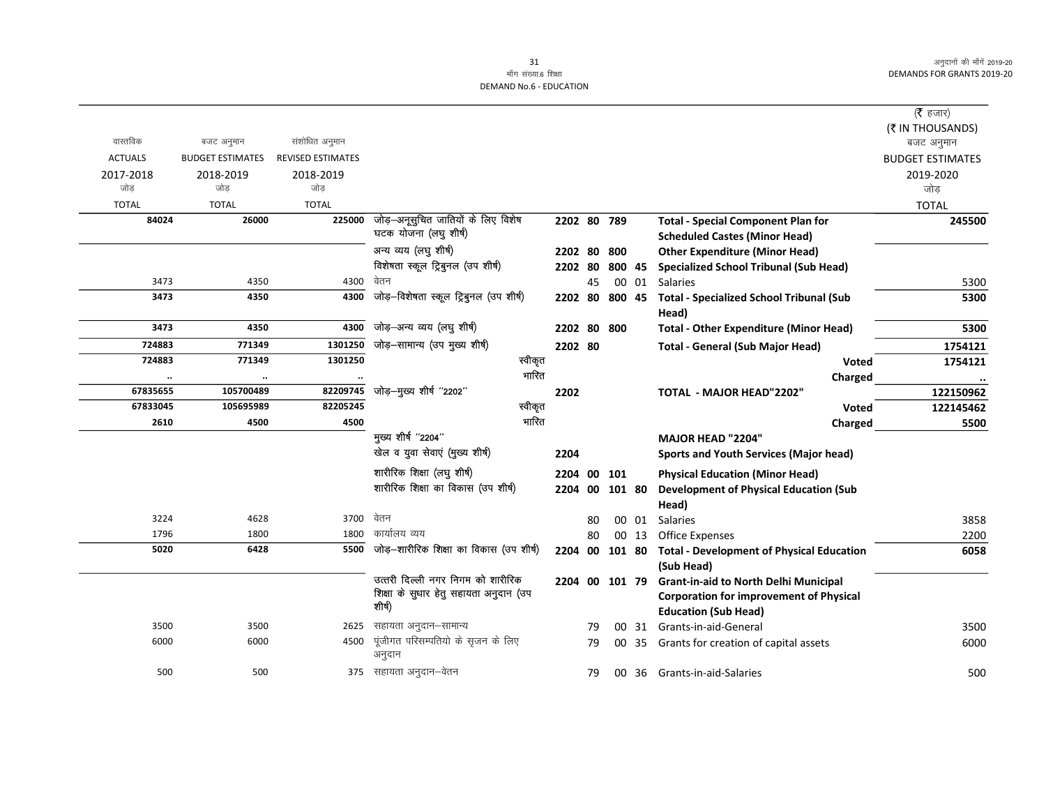#### 31 माँग संख्या.6 शिक्षा **DEMAND No.6 - EDUCATION**

|                |                         |                          |                                              |         |                |    |        |       |                                                  | ( <b>रै</b> हजार)       |
|----------------|-------------------------|--------------------------|----------------------------------------------|---------|----------------|----|--------|-------|--------------------------------------------------|-------------------------|
|                |                         |                          |                                              |         |                |    |        |       |                                                  | (₹ IN THOUSANDS)        |
| वास्तविक       | बजट अनुमान              | संशोधित अनुमान           |                                              |         |                |    |        |       |                                                  | बजट अनुमान              |
| <b>ACTUALS</b> | <b>BUDGET ESTIMATES</b> | <b>REVISED ESTIMATES</b> |                                              |         |                |    |        |       |                                                  | <b>BUDGET ESTIMATES</b> |
| 2017-2018      | 2018-2019               | 2018-2019                |                                              |         |                |    |        |       |                                                  | 2019-2020               |
| जोड            | जोड                     | जोड                      |                                              |         |                |    |        |       |                                                  | जोड                     |
| <b>TOTAL</b>   | <b>TOTAL</b>            | <b>TOTAL</b>             |                                              |         |                |    |        |       |                                                  | <b>TOTAL</b>            |
| 84024          | 26000                   | 225000                   | जोड़—अनूसुचित जातियों के लिए विशेष           |         | 2202 80 789    |    |        |       | <b>Total - Special Component Plan for</b>        | 245500                  |
|                |                         |                          | घटक योजना (लघु शीर्ष)                        |         |                |    |        |       | <b>Scheduled Castes (Minor Head)</b>             |                         |
|                |                         |                          | अन्य व्यय (लघु शीर्ष)                        |         | 2202 80        |    | 800    |       | <b>Other Expenditure (Minor Head)</b>            |                         |
|                |                         |                          | विशेषता स्कूल ट्रिबुनल (उप शीर्ष)            |         | 2202 80        |    | 800 45 |       | <b>Specialized School Tribunal (Sub Head)</b>    |                         |
| 3473           | 4350                    | 4300                     | वेतन                                         |         |                | 45 |        |       | 00 01 Salaries                                   | 5300                    |
| 3473           | 4350                    | 4300                     | जोड़-विशेषता स्कूल ट्रिबुनल (उप शीर्ष)       |         | 2202 80        |    | 800 45 |       | <b>Total - Specialized School Tribunal (Sub</b>  | 5300                    |
|                |                         |                          |                                              |         |                |    |        |       | Head)                                            |                         |
| 3473           | 4350                    | 4300                     | जोड़—अन्य व्यय (लघु शीर्ष)                   |         | 2202 80        |    | 800    |       | <b>Total - Other Expenditure (Minor Head)</b>    | 5300                    |
| 724883         | 771349                  | 1301250                  | जोड़-सामान्य (उप मुख्य शीर्ष)                |         | 2202 80        |    |        |       | <b>Total - General (Sub Major Head)</b>          | 1754121                 |
| 724883         | 771349                  | 1301250                  |                                              | स्वीकृत |                |    |        |       | <b>Voted</b>                                     | 1754121                 |
| $\ldots$       | $\ldots$                |                          |                                              | भारित   |                |    |        |       | Charged                                          | $\cdot \cdot$           |
| 67835655       | 105700489               | 82209745                 | जोड़-मुख्य शीर्ष "2202"                      |         | 2202           |    |        |       | <b>TOTAL - MAJOR HEAD"2202"</b>                  | 122150962               |
| 67833045       | 105695989               | 82205245                 |                                              | स्वीकृत |                |    |        |       | <b>Voted</b>                                     | 122145462               |
| 2610           | 4500                    | 4500                     |                                              | भारित   |                |    |        |       | Charged                                          | 5500                    |
|                |                         |                          | मुख्य शीर्ष "2204"                           |         |                |    |        |       | <b>MAJOR HEAD "2204"</b>                         |                         |
|                |                         |                          | खेल व युवा सेवाएं (मुख्य शीर्ष)              |         | 2204           |    |        |       | <b>Sports and Youth Services (Major head)</b>    |                         |
|                |                         |                          | शारीरिक शिक्षा (लघु शीर्ष)                   |         | 2204 00        |    | 101    |       | <b>Physical Education (Minor Head)</b>           |                         |
|                |                         |                          | शारीरिक शिक्षा का विकास (उप शीर्ष)           |         | 2204           | 00 | 101 80 |       | <b>Development of Physical Education (Sub</b>    |                         |
|                |                         |                          |                                              |         |                |    |        |       | Head)                                            |                         |
| 3224           | 4628                    | 3700                     | वेतन                                         |         |                | 80 |        | 00 01 | <b>Salaries</b>                                  | 3858                    |
| 1796           | 1800                    | 1800                     | कार्यालय व्यय                                |         |                | 80 |        | 00 13 | <b>Office Expenses</b>                           | 2200                    |
| 5020           | 6428                    |                          | 5500 जोड़-शारीरिक शिक्षा का विकास (उप शीर्ष) |         | 2204           | 00 | 101 80 |       | <b>Total - Development of Physical Education</b> | 6058                    |
|                |                         |                          |                                              |         |                |    |        |       | (Sub Head)                                       |                         |
|                |                         |                          | उत्तरी दिल्ली नगर निगम को शारीरिक            |         | 2204 00 101 79 |    |        |       | <b>Grant-in-aid to North Delhi Municipal</b>     |                         |
|                |                         |                          | शिक्षा के सुधार हेतु सहायता अनुदान (उप       |         |                |    |        |       | <b>Corporation for improvement of Physical</b>   |                         |
|                |                         |                          | शीर्ष)                                       |         |                |    |        |       | <b>Education (Sub Head)</b>                      |                         |
| 3500           | 3500                    | 2625                     | सहायता अनुदान–सामान्य                        |         |                | 79 |        | 00 31 | Grants-in-aid-General                            | 3500                    |
| 6000           | 6000                    | 4500                     | पूंजीगत परिसम्पतियो के सृजन के लिए           |         |                | 79 |        | 00 35 | Grants for creation of capital assets            | 6000                    |
|                |                         |                          | अनुदान                                       |         |                |    |        |       |                                                  |                         |
| 500            | 500                     |                          | 375 सहायता अनुदान–वेतन                       |         |                | 79 |        |       | 00 36 Grants-in-aid-Salaries                     | 500                     |
|                |                         |                          |                                              |         |                |    |        |       |                                                  |                         |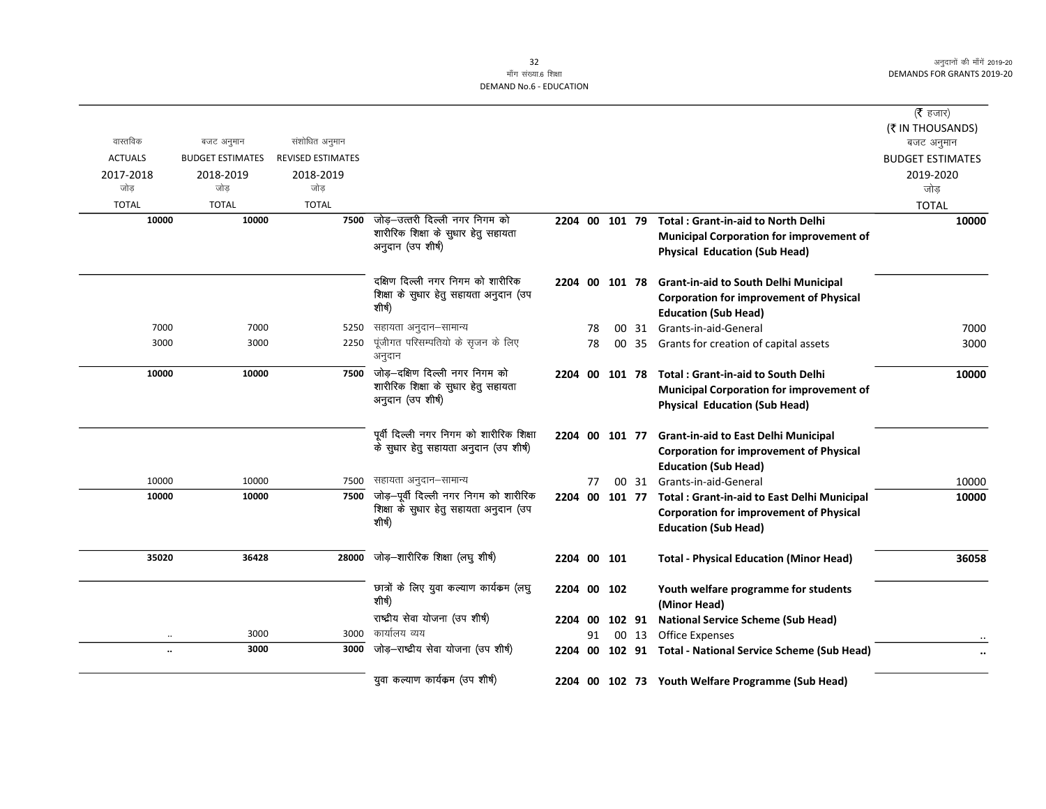|                |                         |                          |                                              |                |    |       |                                                             | ( <b>रै</b> हजार)       |
|----------------|-------------------------|--------------------------|----------------------------------------------|----------------|----|-------|-------------------------------------------------------------|-------------------------|
|                |                         |                          |                                              |                |    |       |                                                             | (₹ IN THOUSANDS)        |
| वास्तविक       | बजट अनुमान              | संशोधित अनुमान           |                                              |                |    |       |                                                             | बजट अनुमान              |
| <b>ACTUALS</b> | <b>BUDGET ESTIMATES</b> | <b>REVISED ESTIMATES</b> |                                              |                |    |       |                                                             | <b>BUDGET ESTIMATES</b> |
| 2017-2018      | 2018-2019               | 2018-2019                |                                              |                |    |       |                                                             | 2019-2020               |
| जोड            | जोड                     | जोड                      |                                              |                |    |       |                                                             | जोड                     |
| <b>TOTAL</b>   | <b>TOTAL</b>            | <b>TOTAL</b>             |                                              |                |    |       |                                                             | <b>TOTAL</b>            |
| 10000          | 10000                   | 7500                     | जोड़–उत्तरी दिल्ली नगर निगम को               | 2204 00 101 79 |    |       | <b>Total: Grant-in-aid to North Delhi</b>                   | 10000                   |
|                |                         |                          | शारीरिक शिक्षा के सुधार हेतु सहायता          |                |    |       | <b>Municipal Corporation for improvement of</b>             |                         |
|                |                         |                          | अनुदान (उप शीर्ष)                            |                |    |       | <b>Physical Education (Sub Head)</b>                        |                         |
|                |                         |                          | दक्षिण दिल्ली नगर निगम को शारीरिक            |                |    |       | 2204 00 101 78 Grant-in-aid to South Delhi Municipal        |                         |
|                |                         |                          | शिक्षा के सुधार हेतु सहायता अनुदान (उप       |                |    |       | <b>Corporation for improvement of Physical</b>              |                         |
|                |                         |                          | शीर्ष)                                       |                |    |       | <b>Education (Sub Head)</b>                                 |                         |
| 7000           | 7000                    | 5250                     | सहायता अनुदान-सामान्य                        |                | 78 |       | 00 31 Grants-in-aid-General                                 | 7000                    |
| 3000           | 3000                    | 2250                     | पूंजीगत परिसम्पतियो के सृजन के लिए<br>अनुदान |                | 78 |       | 00 35 Grants for creation of capital assets                 | 3000                    |
| 10000          | 10000                   | 7500                     | जोड़—दक्षिण दिल्ली नगर निगम को               |                |    |       | 2204 00 101 78 Total: Grant-in-aid to South Delhi           | 10000                   |
|                |                         |                          | शारीरिक शिक्षा के सुधार हेतु सहायता          |                |    |       | <b>Municipal Corporation for improvement of</b>             |                         |
|                |                         |                          | अनुदान (उप शीर्ष)                            |                |    |       | <b>Physical Education (Sub Head)</b>                        |                         |
|                |                         |                          | पूर्वी दिल्ली नगर निगम को शारीरिक शिक्षा     |                |    |       | 2204 00 101 77 Grant-in-aid to East Delhi Municipal         |                         |
|                |                         |                          | के सुधार हेतु सहायता अनुदान (उप शीर्ष)       |                |    |       | <b>Corporation for improvement of Physical</b>              |                         |
|                |                         |                          |                                              |                |    |       | <b>Education (Sub Head)</b>                                 |                         |
| 10000          | 10000                   | 7500                     | सहायता अनुदान–सामान्य                        |                | 77 |       | 00 31 Grants-in-aid-General                                 | 10000                   |
| 10000          | 10000                   | 7500                     | जोड़-पूर्वी दिल्ली नगर निगम को शारीरिक       |                |    |       | 2204 00 101 77 Total : Grant-in-aid to East Delhi Municipal | 10000                   |
|                |                         |                          | शिक्षा के सुधार हेतु सहायता अनुदान (उप       |                |    |       | <b>Corporation for improvement of Physical</b>              |                         |
|                |                         |                          | शीर्ष)                                       |                |    |       | <b>Education (Sub Head)</b>                                 |                         |
| 35020          | 36428                   | 28000                    | जोड़-शारीरिक शिक्षा (लघु शीर्ष)              | 2204 00 101    |    |       | <b>Total - Physical Education (Minor Head)</b>              | 36058                   |
|                |                         |                          |                                              |                |    |       |                                                             |                         |
|                |                         |                          | छात्रों के लिए युवा कल्याण कार्यकम (लघु      | 2204 00 102    |    |       | Youth welfare programme for students                        |                         |
|                |                         |                          | शीर्ष)                                       |                |    |       | (Minor Head)                                                |                         |
|                |                         |                          | राष्ट्रीय सेवा योजना (उप शीर्ष)              | 2204 00        |    |       | 102 91 National Service Scheme (Sub Head)                   |                         |
|                | 3000                    | 3000                     | कार्यालय व्यय                                |                | 91 | 00 13 | <b>Office Expenses</b>                                      |                         |
| $\ldots$       | 3000                    | 3000                     | जोड़–राष्ट्रीय सेवा योजना (उप शीर्ष)         |                |    |       | 2204 00 102 91 Total - National Service Scheme (Sub Head)   |                         |
|                |                         |                          | युवा कल्याण कार्यक्रम (उप शीर्ष)             |                |    |       | 2204 00 102 73 Youth Welfare Programme (Sub Head)           |                         |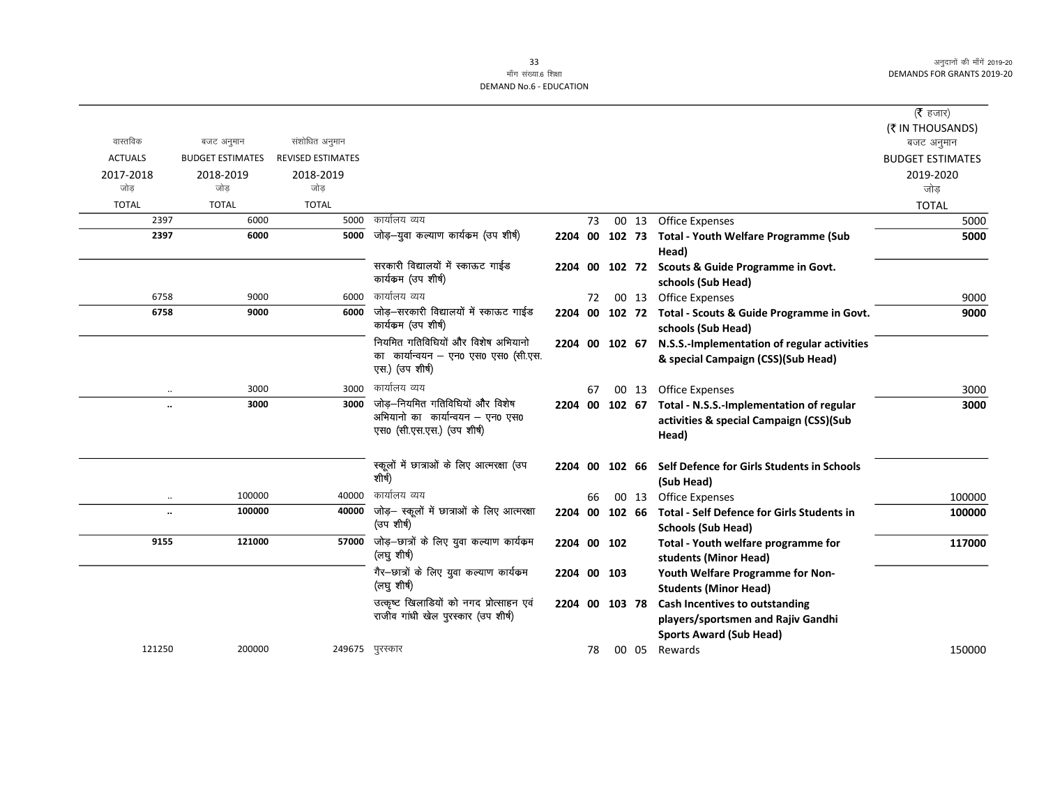# माँग संख्या.6 शिक्षा DEMAND No.6 - EDUCATION

|                      |                         |                          |                                                                                               |                |    |       |                                                                                                               | ( $\bar{\tau}$ हजार)    |
|----------------------|-------------------------|--------------------------|-----------------------------------------------------------------------------------------------|----------------|----|-------|---------------------------------------------------------------------------------------------------------------|-------------------------|
|                      |                         |                          |                                                                                               |                |    |       |                                                                                                               | (₹ IN THOUSANDS)        |
| वास्तविक             | बजट अनुमान              | संशोधित अनुमान           |                                                                                               |                |    |       |                                                                                                               | बजट अनुमान              |
| <b>ACTUALS</b>       | <b>BUDGET ESTIMATES</b> | <b>REVISED ESTIMATES</b> |                                                                                               |                |    |       |                                                                                                               | <b>BUDGET ESTIMATES</b> |
| 2017-2018            | 2018-2019               | 2018-2019                |                                                                                               |                |    |       |                                                                                                               | 2019-2020               |
| जोड                  | जोड                     | जोड                      |                                                                                               |                |    |       |                                                                                                               | जोड                     |
| <b>TOTAL</b>         | <b>TOTAL</b>            | <b>TOTAL</b>             |                                                                                               |                |    |       |                                                                                                               | <b>TOTAL</b>            |
| 2397                 | 6000                    | 5000                     | कार्यालय व्यय                                                                                 |                | 73 |       | 00 13 Office Expenses                                                                                         | 5000                    |
| 2397                 | 6000                    | 5000                     | जोड़—युवा कल्याण कार्यक्रम (उप शीर्ष)                                                         |                |    |       | 2204 00 102 73 Total - Youth Welfare Programme (Sub<br>Head)                                                  | 5000                    |
|                      |                         |                          | सरकारी विद्यालयों में स्काऊट गाईड<br>कार्यकम (उप शीर्ष)                                       |                |    |       | 2204 00 102 72 Scouts & Guide Programme in Govt.<br>schools (Sub Head)                                        |                         |
| 6758                 | 9000                    | 6000                     | कार्यालय व्यय                                                                                 |                | 72 |       | 00 13 Office Expenses                                                                                         | 9000                    |
| 6758                 | 9000                    | 6000                     | जोड़-सरकारी विद्यालयों में स्काऊट गाईड<br>कार्यकम (उप शीर्ष)                                  |                |    |       | 2204 00 102 72 Total - Scouts & Guide Programme in Govt.<br>schools (Sub Head)                                | 9000                    |
|                      |                         |                          | नियमित गतिविधियों और विशेष अभियानो<br>का कार्यान्वयन - एन0 एस0 एस0 (सी.एस.<br>एस.) (उप शीर्ष) | 2204 00 102 67 |    |       | N.S.S.-Implementation of regular activities<br>& special Campaign (CSS)(Sub Head)                             |                         |
| $\cdot\cdot$         | 3000                    | 3000                     | कार्यालय व्यय                                                                                 |                | 67 | 00 13 | <b>Office Expenses</b>                                                                                        | 3000                    |
| $\ddotsc$            | 3000                    | 3000                     | जोड़-नियमित गतिविधियों और विशेष                                                               | 2204 00 102 67 |    |       | Total - N.S.S.-Implementation of regular                                                                      | 3000                    |
|                      |                         |                          | अभियानो का कार्यान्वयन – एन0 एस0<br>एस0 (सी.एस.एस.) (उप शीर्ष)                                |                |    |       | activities & special Campaign (CSS)(Sub<br>Head)                                                              |                         |
|                      |                         |                          | स्कूलों में छात्राओं के लिए आत्मरक्षा (उप<br>शीर्ष)                                           | 2204 00 102 66 |    |       | Self Defence for Girls Students in Schools<br>(Sub Head)                                                      |                         |
| $\ddotsc$            | 100000                  | 40000                    | कार्यालय व्यय                                                                                 |                | 66 | 00 13 | <b>Office Expenses</b>                                                                                        | 100000                  |
| $\ddot{\phantom{a}}$ | 100000                  | 40000                    | जोड़- स्कूलों में छात्राओं के लिए आत्मरक्षा<br>(उप शीर्ष)                                     |                |    |       | 2204 00 102 66 Total - Self Defence for Girls Students in<br><b>Schools (Sub Head)</b>                        | 100000                  |
| 9155                 | 121000                  | 57000                    | जोड़-छात्रों के लिए युवा कल्याण कार्यक्रम<br>(लघु शीर्ष)                                      | 2204 00 102    |    |       | Total - Youth welfare programme for<br>students (Minor Head)                                                  | 117000                  |
|                      |                         |                          | गैर-छात्रों के लिए युवा कल्याण कार्यक्रम<br>(लघु शीर्ष)                                       | 2204 00 103    |    |       | Youth Welfare Programme for Non-<br><b>Students (Minor Head)</b>                                              |                         |
|                      |                         |                          | उत्कृष्ट खिलाडियों को नगद प्रोत्साहन एवं<br>राजीव गांधी खेल पुरस्कार (उप शीर्ष)               | 2204 00 103 78 |    |       | <b>Cash Incentives to outstanding</b><br>players/sportsmen and Rajiv Gandhi<br><b>Sports Award (Sub Head)</b> |                         |
| 121250               | 200000                  |                          | 249675 पुरस्कार                                                                               |                | 78 |       | 00 05 Rewards                                                                                                 | 150000                  |
|                      |                         |                          |                                                                                               |                |    |       |                                                                                                               |                         |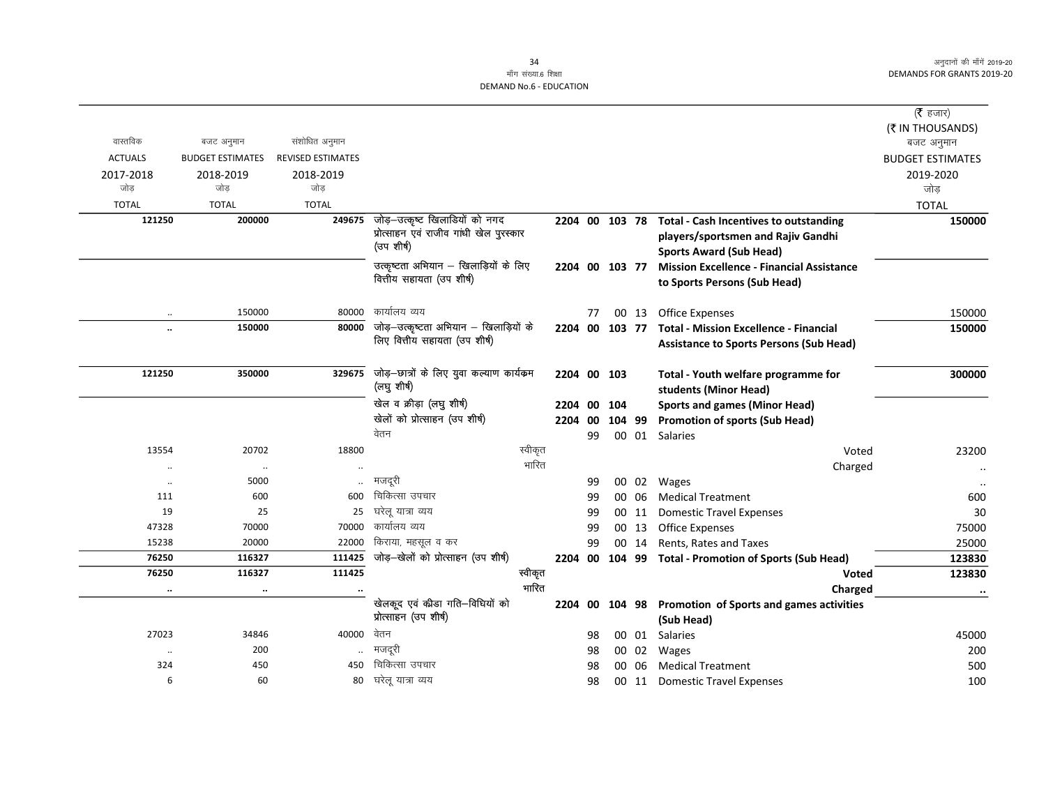|                      |                         |                          |                                           |             |    |                |       |                                                       | ( $\bar{\tau}$ हजार)    |
|----------------------|-------------------------|--------------------------|-------------------------------------------|-------------|----|----------------|-------|-------------------------------------------------------|-------------------------|
|                      |                         |                          |                                           |             |    |                |       |                                                       | (₹ IN THOUSANDS)        |
| वास्तविक             | बजट अनुमान              | संशोधित अनुमान           |                                           |             |    |                |       |                                                       | बजट अनुमान              |
| <b>ACTUALS</b>       | <b>BUDGET ESTIMATES</b> | <b>REVISED ESTIMATES</b> |                                           |             |    |                |       |                                                       | <b>BUDGET ESTIMATES</b> |
| 2017-2018            | 2018-2019               | 2018-2019                |                                           |             |    |                |       |                                                       | 2019-2020               |
| जोड                  | जोड                     | जोड                      |                                           |             |    |                |       |                                                       | जोड़                    |
| <b>TOTAL</b>         | <b>TOTAL</b>            | <b>TOTAL</b>             |                                           |             |    |                |       |                                                       | <b>TOTAL</b>            |
| 121250               | 200000                  | 249675                   | जोड़-उत्कृष्ट खिलाडियों को नगद            |             |    | 2204 00 103 78 |       | <b>Total - Cash Incentives to outstanding</b>         | 150000                  |
|                      |                         |                          | प्रोत्साहन एवं राजीव गांधी खेल पुरस्कार   |             |    |                |       | players/sportsmen and Rajiv Gandhi                    |                         |
|                      |                         |                          | (उप शीर्ष)                                |             |    |                |       | <b>Sports Award (Sub Head)</b>                        |                         |
|                      |                         |                          | उत्कृष्टता अभियान – खिलाड़ियों के लिए     |             |    | 2204 00 103 77 |       | <b>Mission Excellence - Financial Assistance</b>      |                         |
|                      |                         |                          | वित्तीय सहायता (उप शीर्ष)                 |             |    |                |       | to Sports Persons (Sub Head)                          |                         |
|                      |                         |                          |                                           |             |    |                |       |                                                       |                         |
| $\ldots$             | 150000                  | 80000                    | कार्यालय व्यय                             |             | 77 |                | 00 13 | <b>Office Expenses</b>                                | 150000                  |
| $\ddot{\phantom{a}}$ | 150000                  | 80000                    | जोड़–उत्कृष्टता अभियान – खिलाड़ियों के    |             |    | 2204 00 103 77 |       | <b>Total - Mission Excellence - Financial</b>         | 150000                  |
|                      |                         |                          | लिए वित्तीय सहायता (उप शीर्ष)             |             |    |                |       | <b>Assistance to Sports Persons (Sub Head)</b>        |                         |
|                      |                         |                          |                                           |             |    |                |       |                                                       |                         |
| 121250               | 350000                  | 329675                   | जोड़—छात्रों के लिए युवा कल्याण कार्यक्रम | 2204 00 103 |    |                |       | Total - Youth welfare programme for                   | 300000                  |
|                      |                         |                          | (लघु शीर्ष)                               |             |    |                |       | students (Minor Head)                                 |                         |
|                      |                         |                          | खेल व क्रीड़ा (लघु शीर्ष)                 | 2204 00 104 |    |                |       | <b>Sports and games (Minor Head)</b>                  |                         |
|                      |                         |                          | खेलों को प्रोत्साहन (उप शीर्ष)            | 2204        | 00 | 104 99         |       | <b>Promotion of sports (Sub Head)</b>                 |                         |
|                      |                         |                          | वेतन                                      |             | 99 |                |       | 00 01 Salaries                                        |                         |
| 13554                | 20702                   | 18800                    | स्वीकृत                                   |             |    |                |       | Voted                                                 | 23200                   |
| $\cdot$ .            | $\ddotsc$               | $\ddotsc$                | भारित                                     |             |    |                |       | Charged                                               | $\ddotsc$               |
| $\ddotsc$            | 5000                    |                          | मजदूरी                                    |             | 99 |                | 00 02 | Wages                                                 | $\ddotsc$               |
| 111                  | 600                     | 600                      | चिकित्सा उपचार                            |             | 99 |                | 00 06 | <b>Medical Treatment</b>                              | 600                     |
| 19                   | 25                      | 25                       | घरेलू यात्रा व्यय                         |             | 99 |                | 00 11 | <b>Domestic Travel Expenses</b>                       | 30                      |
| 47328                | 70000                   | 70000                    | कार्यालय व्यय                             |             | 99 |                | 00 13 | <b>Office Expenses</b>                                | 75000                   |
| 15238                | 20000                   | 22000                    | किराया, महसूल व कर                        |             | 99 |                | 00 14 | Rents, Rates and Taxes                                | 25000                   |
| 76250                | 116327                  | 111425                   | जोड़—खेलों को प्रोत्साहन (उप शीर्ष)       |             |    |                |       | 2204 00 104 99 Total - Promotion of Sports (Sub Head) | 123830                  |
| 76250                | 116327                  | 111425                   | स्वीकृत                                   |             |    |                |       | <b>Voted</b>                                          | 123830                  |
| $\cdots$             | $\ddotsc$               | $\cdot$                  | भारित                                     |             |    |                |       | Charged                                               | $\cdots$                |
|                      |                         |                          | खेलकूद एवं कीडा गति-विधियों को            |             |    | 2204 00 104 98 |       | Promotion of Sports and games activities              |                         |
|                      |                         |                          | प्रोत्साहन (उप शीर्ष)                     |             |    |                |       | (Sub Head)                                            |                         |
| 27023                | 34846                   | 40000                    | वेतन                                      |             | 98 |                | 00 01 | <b>Salaries</b>                                       | 45000                   |
| $\ddotsc$            | 200                     |                          | मजदूरी                                    |             | 98 |                | 00 02 | Wages                                                 | 200                     |
| 324                  | 450                     | 450                      | चिकित्सा उपचार                            |             | 98 |                | 00 06 | <b>Medical Treatment</b>                              | 500                     |
| 6                    | 60                      | 80                       | घरेलू यात्रा व्यय                         |             | 98 |                |       | 00 11 Domestic Travel Expenses                        | 100                     |
|                      |                         |                          |                                           |             |    |                |       |                                                       |                         |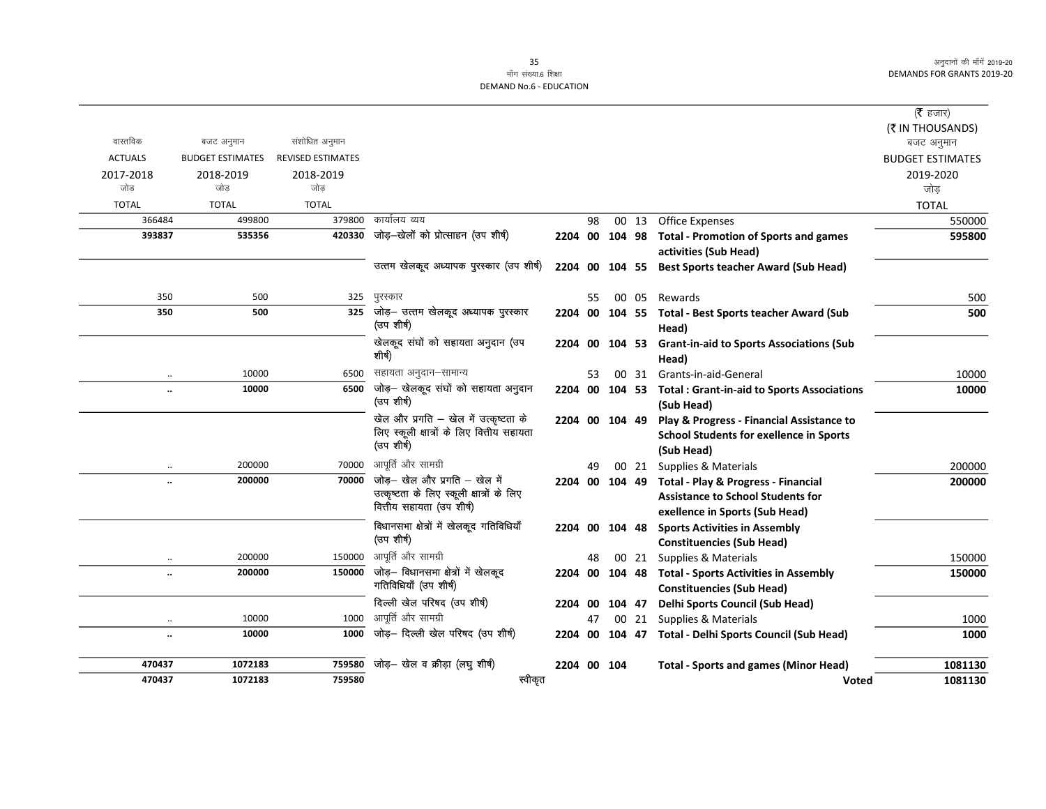# माँग संख्या.6 शिक्षा DEMAND No.6 - EDUCATION

|                                   |                         |                          |                                                                        |                |    |                |       |                                                            | ( $\bar{\tau}$ हजार)           |
|-----------------------------------|-------------------------|--------------------------|------------------------------------------------------------------------|----------------|----|----------------|-------|------------------------------------------------------------|--------------------------------|
| वास्तविक                          | बजट अनुमान              | संशोधित अनुमान           |                                                                        |                |    |                |       |                                                            | (₹ IN THOUSANDS)<br>बजट अनुमान |
| <b>ACTUALS</b>                    | <b>BUDGET ESTIMATES</b> | <b>REVISED ESTIMATES</b> |                                                                        |                |    |                |       |                                                            | <b>BUDGET ESTIMATES</b>        |
| 2017-2018                         | 2018-2019               | 2018-2019                |                                                                        |                |    |                |       |                                                            | 2019-2020                      |
| जोड                               | जोड                     | जोड                      |                                                                        |                |    |                |       |                                                            | जोड़                           |
| <b>TOTAL</b>                      | <b>TOTAL</b>            | <b>TOTAL</b>             |                                                                        |                |    |                |       |                                                            | <b>TOTAL</b>                   |
| 366484                            | 499800                  | 379800                   | कार्यालय व्यय                                                          |                | 98 |                | 00 13 | Office Expenses                                            | 550000                         |
| 393837                            | 535356                  |                          | $\overline{420330}$ जोड़-खेलों को प्रोत्साहन (उप शीर्ष)                |                |    | 2204 00 104 98 |       | <b>Total - Promotion of Sports and games</b>               | 595800                         |
|                                   |                         |                          |                                                                        |                |    |                |       | activities (Sub Head)                                      |                                |
|                                   |                         |                          | उत्तम खेलकूद अध्यापक पुरस्कार (उप शीर्ष)                               |                |    |                |       | 2204 00 104 55 Best Sports teacher Award (Sub Head)        |                                |
| 350                               | 500                     | 325                      | पुरस्कार                                                               |                | 55 | 00             | 05    | Rewards                                                    | 500                            |
| 350                               | 500                     | 325                      | जोड़- उत्तम खेलकूद अध्यापक पुरस्कार                                    |                |    |                |       | 2204 00 104 55 Total - Best Sports teacher Award (Sub      | 500                            |
|                                   |                         |                          | (उप शीर्ष)                                                             |                |    |                |       | Head)                                                      |                                |
|                                   |                         |                          | खेलकूद संघों को सहायता अनुदान (उप                                      |                |    | 2204 00 104 53 |       | <b>Grant-in-aid to Sports Associations (Sub</b>            |                                |
|                                   |                         |                          | शीर्ष)                                                                 |                |    |                |       | Head)                                                      |                                |
| $\ddot{\phantom{0}}$              | 10000                   | 6500                     | सहायता अनुदान–सामान्य                                                  |                | 53 |                |       | 00 31 Grants-in-aid-General                                | 10000                          |
| $\ddot{\phantom{a}}$              | 10000                   | 6500                     | जोड़– खेलकूद संघों को सहायता अनुदान                                    |                |    |                |       | 2204 00 104 53 Total : Grant-in-aid to Sports Associations | 10000                          |
|                                   |                         |                          | (उप शीर्ष)                                                             |                |    |                |       | (Sub Head)                                                 |                                |
|                                   |                         |                          | खेल और प्रगति – खेल में उत्कृष्टता के                                  |                |    | 2204 00 104 49 |       | Play & Progress - Financial Assistance to                  |                                |
|                                   |                         |                          | लिए स्कूली क्षात्रों के लिए वित्तीय सहायता<br>(उप शीर्ष)               |                |    |                |       | <b>School Students for exellence in Sports</b>             |                                |
|                                   |                         |                          |                                                                        |                |    |                |       | (Sub Head)                                                 |                                |
| $\ddotsc$                         | 200000                  | 70000                    | आपूर्ति और सामग्री                                                     |                | 49 |                | 00 21 | Supplies & Materials                                       | 200000                         |
| $\ddot{\phantom{a}}$              | 200000                  | 70000                    | जोड़- खेल और प्रगति - खेल में                                          | 2204 00 104 49 |    |                |       | Total - Play & Progress - Financial                        | 200000                         |
|                                   |                         |                          | उत्कृष्टता के लिए स्कूली क्षात्रों के लिए<br>वित्तीय सहायता (उप शीर्ष) |                |    |                |       | <b>Assistance to School Students for</b>                   |                                |
|                                   |                         |                          |                                                                        |                |    |                |       | exellence in Sports (Sub Head)                             |                                |
|                                   |                         |                          | विधानसभा क्षेत्रों में खेलकूद गतिविधियाँ<br>(उप शीर्ष)                 | 2204           |    | 00 104 48      |       | <b>Sports Activities in Assembly</b>                       |                                |
|                                   |                         |                          |                                                                        |                |    |                |       | <b>Constituencies (Sub Head)</b>                           |                                |
|                                   | 200000                  | 150000                   | आपूर्ति और सामग्री                                                     |                | 48 |                | 00 21 | Supplies & Materials                                       | 150000                         |
| $\ddot{\phantom{a}}$              | 200000                  | 150000                   | जोड़- विधानसभा क्षेत्रों में खेलकूद<br>गतिविधियाँ (उप शीर्ष)           | 2204           |    |                |       | 00 104 48 Total - Sports Activities in Assembly            | 150000                         |
|                                   |                         |                          | दिल्ली खेल परिषद (उप शीर्ष)                                            |                |    |                |       | <b>Constituencies (Sub Head)</b>                           |                                |
|                                   | 10000                   | 1000                     | आपूर्ति और सामग्री                                                     | 2204           | 00 | 104 47         |       | Delhi Sports Council (Sub Head)                            |                                |
| $\ddotsc$<br>$\ddot{\phantom{a}}$ | 10000                   | 1000                     | जोड़– दिल्ली खेल परिषद (उप शीर्ष)                                      |                | 47 |                |       | 00 21 Supplies & Materials                                 | 1000                           |
|                                   |                         |                          |                                                                        | 2204           |    |                |       | 00 104 47 Total - Delhi Sports Council (Sub Head)          | 1000                           |
| 470437                            | 1072183                 | 759580                   | जोड़- खेल व क्रीड़ा (लघु शीर्ष)                                        |                |    | 2204 00 104    |       | <b>Total - Sports and games (Minor Head)</b>               | 1081130                        |
| 470437                            | 1072183                 | 759580                   | स्वीकृत                                                                |                |    |                |       | Voted                                                      | 1081130                        |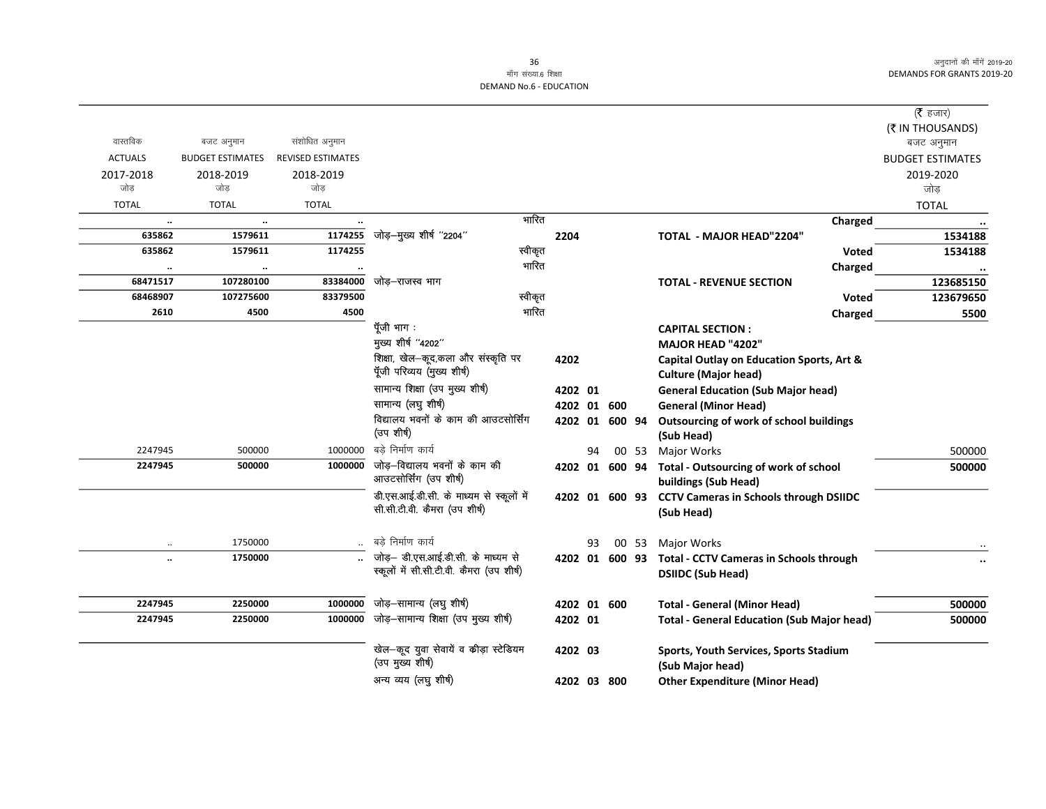# माँग संख्या.6 शिक्षा **DEMAND No.6 - EDUCATION**

|                |                         |                          |                                                |       |                |    |       |                                                        | ( $\bar{\tau}$ हजार)    |
|----------------|-------------------------|--------------------------|------------------------------------------------|-------|----------------|----|-------|--------------------------------------------------------|-------------------------|
|                |                         |                          |                                                |       |                |    |       |                                                        | (₹ IN THOUSANDS)        |
| वास्तविक       | बजट अनुमान              | संशोधित अनुमान           |                                                |       |                |    |       |                                                        | बजट अनुमान              |
| <b>ACTUALS</b> | <b>BUDGET ESTIMATES</b> | <b>REVISED ESTIMATES</b> |                                                |       |                |    |       |                                                        | <b>BUDGET ESTIMATES</b> |
| 2017-2018      | 2018-2019               | 2018-2019                |                                                |       |                |    |       |                                                        | 2019-2020               |
| जोड            | जोड                     | जोड़                     |                                                |       |                |    |       |                                                        | जोड़                    |
| <b>TOTAL</b>   | <b>TOTAL</b>            | <b>TOTAL</b>             |                                                |       |                |    |       |                                                        | <b>TOTAL</b>            |
| $\ldots$       | $\ddotsc$               |                          |                                                | भारित |                |    |       | Charged                                                |                         |
| 635862         | 1579611                 | 1174255                  | जोड़–मुख्य शीर्ष "2204"                        |       | 2204           |    |       | <b>TOTAL - MAJOR HEAD"2204"</b>                        | 1534188                 |
| 635862         | 1579611                 | 1174255                  | स्वीकृत                                        |       |                |    |       | <b>Voted</b>                                           | 1534188                 |
| $\ldots$       | $\ddotsc$               |                          |                                                | भारित |                |    |       | Charged                                                |                         |
| 68471517       | 107280100               | 83384000                 | जोड–राजस्व भाग                                 |       |                |    |       | <b>TOTAL - REVENUE SECTION</b>                         | 123685150               |
| 68468907       | 107275600               | 83379500                 | स्वीकृत                                        |       |                |    |       | <b>Voted</b>                                           | 123679650               |
| 2610           | 4500                    | 4500                     |                                                | भारित |                |    |       | Charged                                                | 5500                    |
|                |                         |                          | पूँजी भाग :                                    |       |                |    |       | <b>CAPITAL SECTION:</b>                                |                         |
|                |                         |                          | मुख्य शीर्ष "4202"                             |       |                |    |       | <b>MAJOR HEAD "4202"</b>                               |                         |
|                |                         |                          | शिक्षा, खेल-कूद,कला और संस्कृति पर             |       | 4202           |    |       | Capital Outlay on Education Sports, Art &              |                         |
|                |                         |                          | पूँजी परिव्यय (मुख्य शीर्ष)                    |       |                |    |       | <b>Culture (Major head)</b>                            |                         |
|                |                         |                          | सामान्य शिक्षा (उप मुख्य शीर्ष)                |       | 4202 01        |    |       | <b>General Education (Sub Major head)</b>              |                         |
|                |                         |                          | सामान्य (लघु शीर्ष)                            |       | 4202 01 600    |    |       | <b>General (Minor Head)</b>                            |                         |
|                |                         |                          | विद्यालय भवनों के काम की आउटसोर्सिंग           |       | 4202 01 600 94 |    |       | Outsourcing of work of school buildings                |                         |
|                |                         |                          | (उप शीर्ष)                                     |       |                |    |       | (Sub Head)                                             |                         |
| 2247945        | 500000                  | 1000000                  | बडे निर्माण कार्य                              |       |                | 94 | 00 53 | <b>Major Works</b>                                     | 500000                  |
| 2247945        | 500000                  | 1000000                  | जोड़—विद्यालय भवनों के काम की                  |       | 4202 01 600 94 |    |       | <b>Total - Outsourcing of work of school</b>           | 500000                  |
|                |                         |                          | आउटसोर्सिंग (उप शीर्ष)                         |       |                |    |       | buildings (Sub Head)                                   |                         |
|                |                         |                          | डी.एस.आई.डी.सी. के माध्यम से स्कूलों में       |       |                |    |       | 4202 01 600 93 CCTV Cameras in Schools through DSIIDC  |                         |
|                |                         |                          | सी.सी.टी.वी. कैमरा (उप शीर्ष)                  |       |                |    |       | (Sub Head)                                             |                         |
|                |                         |                          |                                                |       |                |    |       |                                                        |                         |
|                | 1750000                 |                          | बडे निर्माण कार्य                              |       |                | 93 |       | 00 53 Major Works                                      |                         |
|                | 1750000                 |                          | जोड़– डी.एस.आई.डी.सी. के माध्यम से             |       |                |    |       | 4202 01 600 93 Total - CCTV Cameras in Schools through |                         |
|                |                         |                          | स्कूलों में सी.सी.टी.वी. कैमरा (उप शीर्ष)      |       |                |    |       | <b>DSIIDC (Sub Head)</b>                               |                         |
|                |                         |                          |                                                |       |                |    |       |                                                        |                         |
| 2247945        | 2250000                 | 1000000                  | जोड़-सामान्य (लघु शीर्ष)                       |       | 4202 01 600    |    |       | <b>Total - General (Minor Head)</b>                    | 500000                  |
| 2247945        | 2250000                 |                          | $1000000$ जोड़-सामान्य शिक्षा (उप मुख्य शीर्ष) |       | 4202 01        |    |       | <b>Total - General Education (Sub Major head)</b>      | 500000                  |
|                |                         |                          |                                                |       |                |    |       |                                                        |                         |
|                |                         |                          | खेल-कूद युवा सेवायें व कीड़ा स्टेडियम          |       | 4202 03        |    |       | Sports, Youth Services, Sports Stadium                 |                         |
|                |                         |                          | (उप मुख्य शीर्ष)                               |       |                |    |       | (Sub Major head)                                       |                         |
|                |                         |                          | अन्य व्यय (लघु शीर्ष)                          |       | 4202 03 800    |    |       | <b>Other Expenditure (Minor Head)</b>                  |                         |
|                |                         |                          |                                                |       |                |    |       |                                                        |                         |